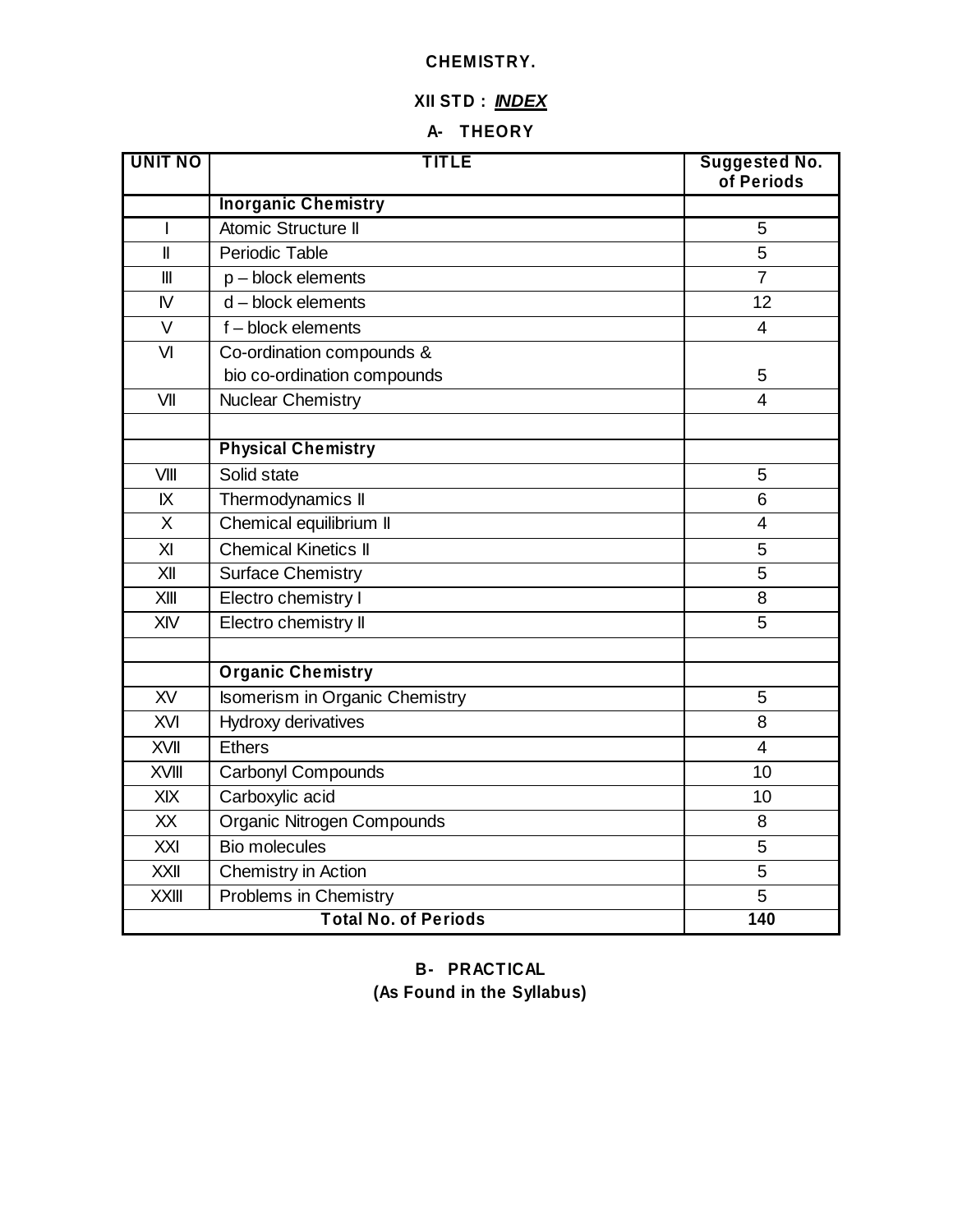### **CHEMISTRY.**

# **XII STD :** *INDEX*

# **A- THEORY**

| <b>UNIT NO</b> | <b>TITLE</b>                   | <b>Suggested No.</b><br>of Periods |
|----------------|--------------------------------|------------------------------------|
|                | <b>Inorganic Chemistry</b>     |                                    |
| $\mathbf{I}$   | Atomic Structure II            | 5                                  |
| $\mathbf{I}$   | Periodic Table                 | 5                                  |
| $\mathbf{III}$ | $p - block$ elements           | $\overline{7}$                     |
| $\mathsf{N}$   | $d - block$ elements           | 12                                 |
| $\vee$         | $f - block$ elements           | $\overline{4}$                     |
| VI             | Co-ordination compounds &      |                                    |
|                | bio co-ordination compounds    | 5                                  |
| VII            | <b>Nuclear Chemistry</b>       | $\overline{4}$                     |
|                | <b>Physical Chemistry</b>      |                                    |
| VIII           | Solid state                    | 5                                  |
| IX             | Thermodynamics II              | 6                                  |
| X              | Chemical equilibrium II        | $\overline{4}$                     |
| $\overline{X}$ | <b>Chemical Kinetics II</b>    | 5                                  |
| XII            | <b>Surface Chemistry</b>       | 5                                  |
| XIII           | Electro chemistry I            | 8                                  |
| XIV            | Electro chemistry II           | 5                                  |
|                | <b>Organic Chemistry</b>       |                                    |
| XV             | Isomerism in Organic Chemistry | 5                                  |
| XVI            | Hydroxy derivatives            | 8                                  |
| <b>XVII</b>    | Ethers                         | $\overline{4}$                     |
| XVIII          | <b>Carbonyl Compounds</b>      | 10                                 |
| XIX            | Carboxylic acid                | 10                                 |
| XX             | Organic Nitrogen Compounds     | 8                                  |
| XXI            | <b>Bio molecules</b>           | 5                                  |
| <b>XXII</b>    | Chemistry in Action            | 5                                  |
| <b>XXIII</b>   | Problems in Chemistry          | 5                                  |
|                | <b>Total No. of Periods</b>    | 140                                |

# **B- PRACTICAL (As Found in the Syllabus)**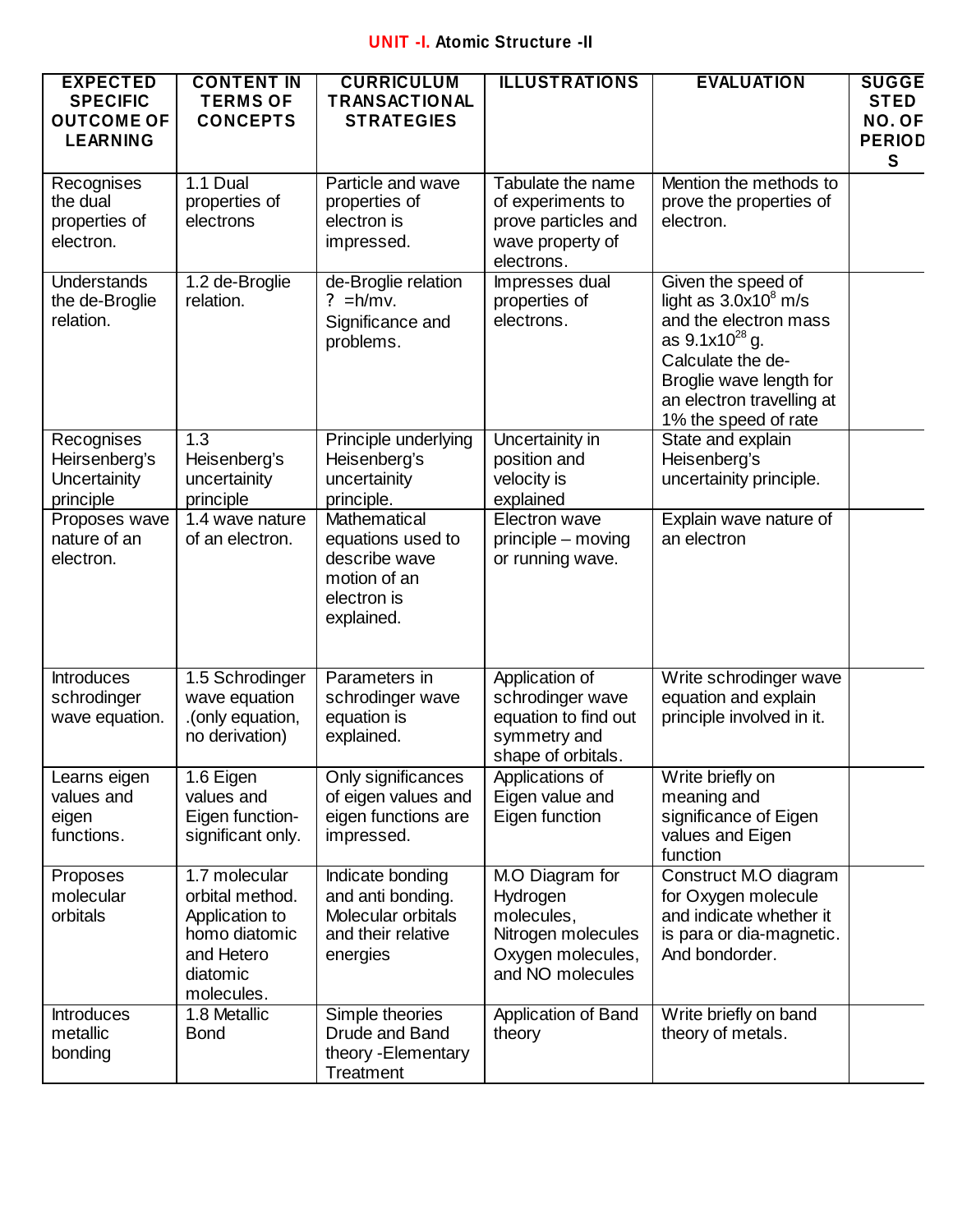## **UNIT -I. Atomic Structure -II**

| <b>EXPECTED</b><br><b>SPECIFIC</b><br><b>OUTCOME OF</b><br><b>LEARNING</b> | <b>CONTENT IN</b><br><b>TERMS OF</b><br><b>CONCEPTS</b>                                                     | <b>CURRICULUM</b><br><b>TRANSACTIONAL</b><br><b>STRATEGIES</b>                                  | <b>ILLUSTRATIONS</b>                                                                                     | <b>EVALUATION</b>                                                                                                                                                                                  | <b>SUGGE</b><br><b>STED</b><br>NO. OF<br><b>PERIOD</b><br>S |
|----------------------------------------------------------------------------|-------------------------------------------------------------------------------------------------------------|-------------------------------------------------------------------------------------------------|----------------------------------------------------------------------------------------------------------|----------------------------------------------------------------------------------------------------------------------------------------------------------------------------------------------------|-------------------------------------------------------------|
| Recognises<br>the dual<br>properties of<br>electron.                       | 1.1 Dual<br>properties of<br>electrons                                                                      | Particle and wave<br>properties of<br>electron is<br>impressed.                                 | Tabulate the name<br>of experiments to<br>prove particles and<br>wave property of<br>electrons.          | Mention the methods to<br>prove the properties of<br>electron.                                                                                                                                     |                                                             |
| <b>Understands</b><br>the de-Broglie<br>relation.                          | 1.2 de-Broglie<br>relation.                                                                                 | de-Broglie relation<br>$? = h/mv.$<br>Significance and<br>problems.                             | Impresses dual<br>properties of<br>electrons.                                                            | Given the speed of<br>light as $3.0x10^8$ m/s<br>and the electron mass<br>as $9.1x10^{28}$ g.<br>Calculate the de-<br>Broglie wave length for<br>an electron travelling at<br>1% the speed of rate |                                                             |
| Recognises<br>Heirsenberg's<br>Uncertainity<br>principle                   | 1.3<br>Heisenberg's<br>uncertainity<br>principle                                                            | Principle underlying<br>Heisenberg's<br>uncertainity<br>principle.                              | Uncertainity in<br>position and<br>velocity is<br>explained                                              | State and explain<br>Heisenberg's<br>uncertainity principle.                                                                                                                                       |                                                             |
| Proposes wave<br>nature of an<br>electron.                                 | 1.4 wave nature<br>of an electron.                                                                          | Mathematical<br>equations used to<br>describe wave<br>motion of an<br>electron is<br>explained. | Electron wave<br>principle – moving<br>or running wave.                                                  | Explain wave nature of<br>an electron                                                                                                                                                              |                                                             |
| <b>Introduces</b><br>schrodinger<br>wave equation.                         | 1.5 Schrodinger<br>wave equation<br>.(only equation,<br>no derivation)                                      | Parameters in<br>schrodinger wave<br>equation is<br>explained.                                  | Application of<br>schrodinger wave<br>equation to find out<br>symmetry and<br>shape of orbitals.         | Write schrodinger wave<br>equation and explain<br>principle involved in it.                                                                                                                        |                                                             |
| Learns eigen<br>values and<br>eigen<br>functions.                          | 1.6 Eigen<br>values and<br>Eigen function-<br>significant only.                                             | Only significances<br>of eigen values and<br>eigen functions are<br>impressed.                  | Applications of<br>Eigen value and<br>Eigen function                                                     | Write briefly on<br>meaning and<br>significance of Eigen<br>values and Eigen<br>function                                                                                                           |                                                             |
| Proposes<br>molecular<br>orbitals                                          | 1.7 molecular<br>orbital method.<br>Application to<br>homo diatomic<br>and Hetero<br>diatomic<br>molecules. | Indicate bonding<br>and anti bonding.<br>Molecular orbitals<br>and their relative<br>energies   | M.O Diagram for<br>Hydrogen<br>molecules,<br>Nitrogen molecules<br>Oxygen molecules,<br>and NO molecules | Construct M.O diagram<br>for Oxygen molecule<br>and indicate whether it<br>is para or dia-magnetic.<br>And bondorder.                                                                              |                                                             |
| <b>Introduces</b><br>metallic<br>bonding                                   | 1.8 Metallic<br><b>Bond</b>                                                                                 | Simple theories<br>Drude and Band<br>theory - Elementary<br>Treatment                           | Application of Band<br>theory                                                                            | Write briefly on band<br>theory of metals.                                                                                                                                                         |                                                             |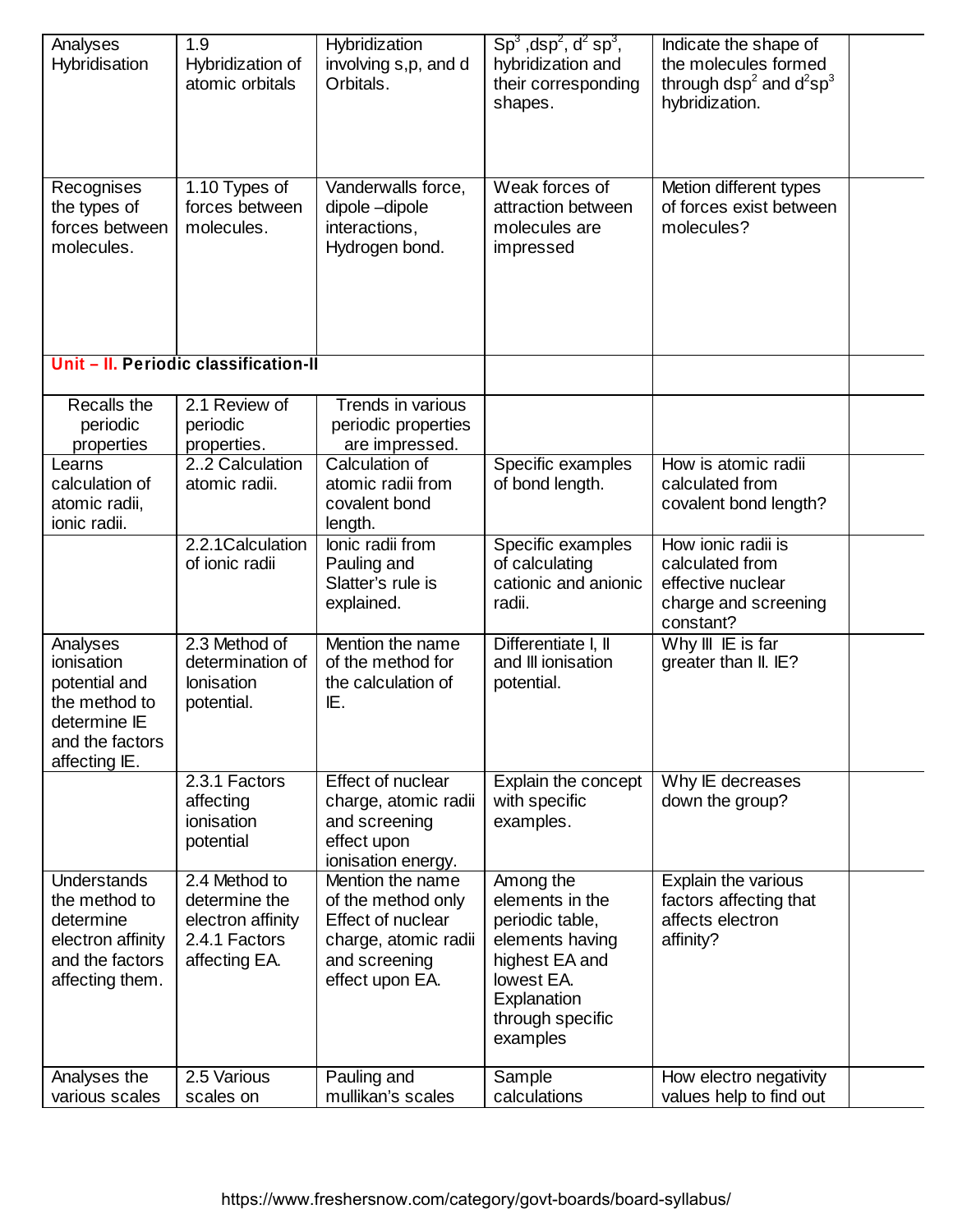| Analyses<br>Hybridisation                                                                                    | 1.9<br>Hybridization of<br>atomic orbitals                                            | Hybridization<br>involving s,p, and d<br>Orbitals.                                                                      | $Sp3$ , dsp <sup>2</sup> , d <sup>2</sup> sp <sup>3</sup> ,<br>hybridization and<br>their corresponding<br>shapes.                                | Indicate the shape of<br>the molecules formed<br>through $dsp^2$ and $d^2sp^3$<br>hybridization. |  |
|--------------------------------------------------------------------------------------------------------------|---------------------------------------------------------------------------------------|-------------------------------------------------------------------------------------------------------------------------|---------------------------------------------------------------------------------------------------------------------------------------------------|--------------------------------------------------------------------------------------------------|--|
| Recognises<br>the types of<br>forces between<br>molecules.                                                   | 1.10 Types of<br>forces between<br>molecules.                                         | Vanderwalls force,<br>dipole-dipole<br>interactions,<br>Hydrogen bond.                                                  | Weak forces of<br>attraction between<br>molecules are<br>impressed                                                                                | Metion different types<br>of forces exist between<br>molecules?                                  |  |
|                                                                                                              | Unit - II. Periodic classification-II                                                 |                                                                                                                         |                                                                                                                                                   |                                                                                                  |  |
| Recalls the<br>periodic<br>properties                                                                        | 2.1 Review of<br>periodic<br>properties.                                              | Trends in various<br>periodic properties<br>are impressed.                                                              |                                                                                                                                                   |                                                                                                  |  |
| Learns<br>calculation of<br>atomic radii,<br>ionic radii.                                                    | 22 Calculation<br>atomic radii.                                                       | Calculation of<br>atomic radii from<br>covalent bond<br>length.                                                         | Specific examples<br>of bond length.                                                                                                              | How is atomic radii<br>calculated from<br>covalent bond length?                                  |  |
|                                                                                                              | 2.2.1 Calculation<br>of ionic radii                                                   | lonic radii from<br>Pauling and<br>Slatter's rule is<br>explained.                                                      | Specific examples<br>of calculating<br>cationic and anionic<br>radii.                                                                             | How ionic radii is<br>calculated from<br>effective nuclear<br>charge and screening<br>constant?  |  |
| Analyses<br>ionisation<br>potential and<br>the method to<br>determine IE<br>and the factors<br>affecting IE. | 2.3 Method of<br>determination of<br><b>lonisation</b><br>potential.                  | Mention the name<br>of the method for<br>the calculation of<br>IE.                                                      | Differentiate I, II<br>and III ionisation<br>potential.                                                                                           | Why III IE is far<br>greater than II. IE?                                                        |  |
|                                                                                                              | 2.3.1 Factors<br>affecting<br>ionisation<br>potential                                 | <b>Effect of nuclear</b><br>charge, atomic radii<br>and screening<br>effect upon<br>ionisation energy.                  | Explain the concept<br>with specific<br>examples.                                                                                                 | Why IE decreases<br>down the group?                                                              |  |
| <b>Understands</b><br>the method to<br>determine<br>electron affinity<br>and the factors<br>affecting them.  | 2.4 Method to<br>determine the<br>electron affinity<br>2.4.1 Factors<br>affecting EA. | Mention the name<br>of the method only<br>Effect of nuclear<br>charge, atomic radii<br>and screening<br>effect upon EA. | Among the<br>elements in the<br>periodic table,<br>elements having<br>highest EA and<br>lowest EA.<br>Explanation<br>through specific<br>examples | Explain the various<br>factors affecting that<br>affects electron<br>affinity?                   |  |
| Analyses the<br>various scales                                                                               | 2.5 Various<br>scales on                                                              | Pauling and<br>mullikan's scales                                                                                        | Sample<br>calculations                                                                                                                            | How electro negativity<br>values help to find out                                                |  |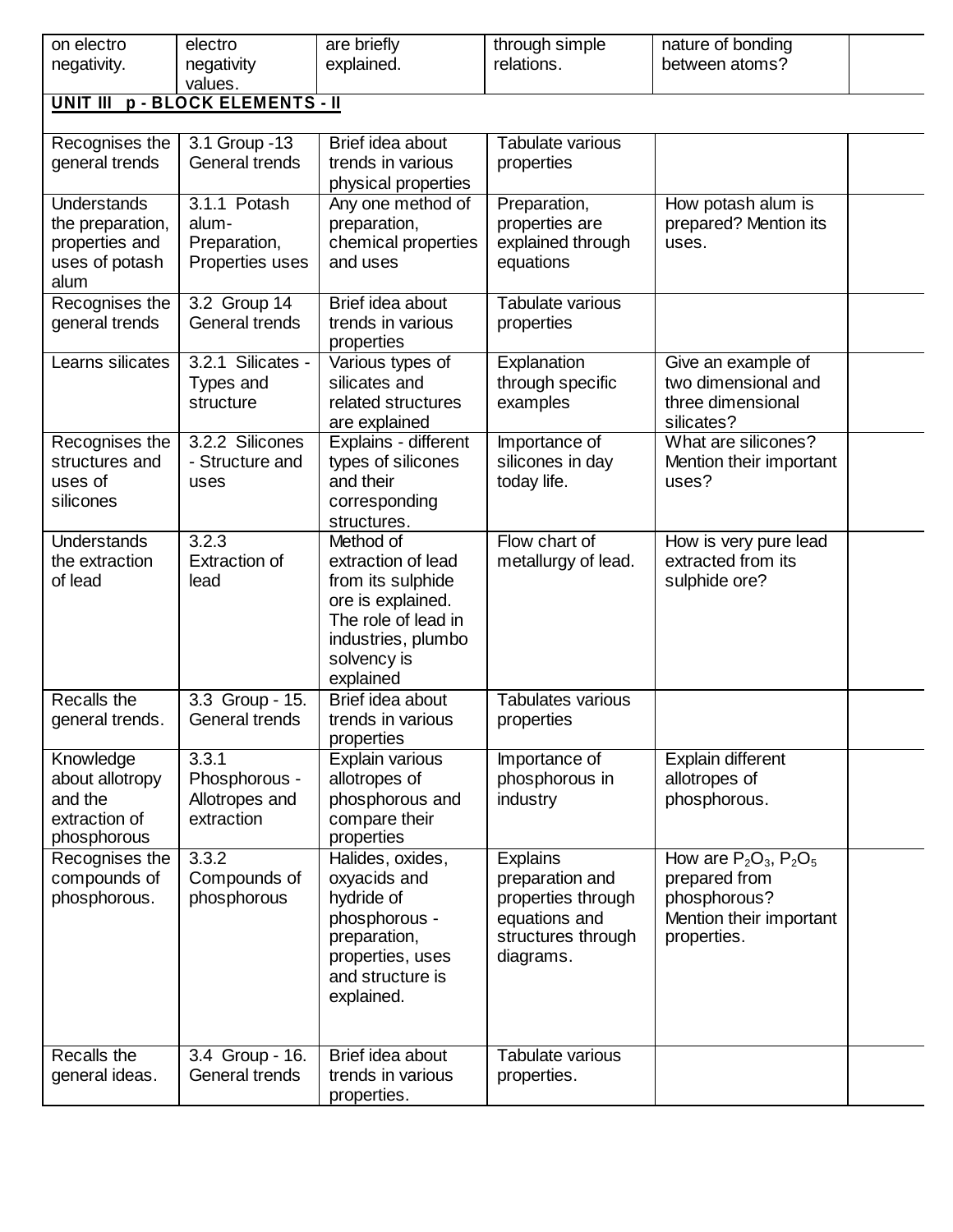| on electro         | electro                          | are briefly                          | through simple           | nature of bonding           |  |  |  |  |  |
|--------------------|----------------------------------|--------------------------------------|--------------------------|-----------------------------|--|--|--|--|--|
| negativity.        | negativity                       | explained.                           | relations.               | between atoms?              |  |  |  |  |  |
|                    | values.                          |                                      |                          |                             |  |  |  |  |  |
|                    | UNIT III p - BLOCK ELEMENTS - II |                                      |                          |                             |  |  |  |  |  |
| Recognises the     | 3.1 Group - 13                   | Brief idea about                     | Tabulate various         |                             |  |  |  |  |  |
| general trends     | General trends                   | trends in various                    | properties               |                             |  |  |  |  |  |
|                    |                                  | physical properties                  |                          |                             |  |  |  |  |  |
| Understands        | 3.1.1 Potash                     | Any one method of                    | Preparation,             | How potash alum is          |  |  |  |  |  |
| the preparation,   | alum-                            | preparation,                         | properties are           | prepared? Mention its       |  |  |  |  |  |
| properties and     | Preparation,                     | chemical properties                  | explained through        | uses.                       |  |  |  |  |  |
| uses of potash     | Properties uses                  | and uses                             | equations                |                             |  |  |  |  |  |
| alum               |                                  |                                      |                          |                             |  |  |  |  |  |
| Recognises the     | 3.2 Group 14                     | Brief idea about                     | Tabulate various         |                             |  |  |  |  |  |
| general trends     | General trends                   | trends in various<br>properties      | properties               |                             |  |  |  |  |  |
| Learns silicates   | 3.2.1 Silicates -                | Various types of                     | Explanation              | Give an example of          |  |  |  |  |  |
|                    | Types and                        | silicates and                        | through specific         | two dimensional and         |  |  |  |  |  |
|                    | structure                        | related structures                   | examples                 | three dimensional           |  |  |  |  |  |
|                    |                                  | are explained                        |                          | silicates?                  |  |  |  |  |  |
| Recognises the     | 3.2.2 Silicones                  | Explains - different                 | Importance of            | What are silicones?         |  |  |  |  |  |
| structures and     | - Structure and                  | types of silicones                   | silicones in day         | Mention their important     |  |  |  |  |  |
| uses of            | uses                             | and their                            | today life.              | uses?                       |  |  |  |  |  |
| silicones          |                                  | corresponding                        |                          |                             |  |  |  |  |  |
|                    |                                  | structures.                          |                          |                             |  |  |  |  |  |
| <b>Understands</b> | 3.2.3                            | Method of                            | Flow chart of            | How is very pure lead       |  |  |  |  |  |
| the extraction     | <b>Extraction of</b>             | extraction of lead                   | metallurgy of lead.      | extracted from its          |  |  |  |  |  |
| of lead            | lead                             | from its sulphide                    |                          | sulphide ore?               |  |  |  |  |  |
|                    |                                  | ore is explained.                    |                          |                             |  |  |  |  |  |
|                    |                                  | The role of lead in                  |                          |                             |  |  |  |  |  |
|                    |                                  | industries, plumbo                   |                          |                             |  |  |  |  |  |
|                    |                                  | solvency is<br>explained             |                          |                             |  |  |  |  |  |
| Recalls the        | 3.3 Group - 15.                  | Brief idea about                     | <b>Tabulates various</b> |                             |  |  |  |  |  |
| general trends.    | General trends                   | trends in various                    | properties               |                             |  |  |  |  |  |
|                    |                                  | properties                           |                          |                             |  |  |  |  |  |
| Knowledge          | 3.3.1                            | Explain various                      | Importance of            | Explain different           |  |  |  |  |  |
| about allotropy    | Phosphorous -                    | allotropes of                        | phosphorous in           | allotropes of               |  |  |  |  |  |
| and the            | Allotropes and                   | phosphorous and                      | industry                 | phosphorous.                |  |  |  |  |  |
| extraction of      | extraction                       | compare their                        |                          |                             |  |  |  |  |  |
| phosphorous        |                                  | properties                           |                          |                             |  |  |  |  |  |
| Recognises the     | 3.3.2                            | Halides, oxides,                     | <b>Explains</b>          | How are $P_2O_3$ , $P_2O_5$ |  |  |  |  |  |
| compounds of       | Compounds of                     | oxyacids and                         | preparation and          | prepared from               |  |  |  |  |  |
| phosphorous.       | phosphorous                      | hydride of                           | properties through       | phosphorous?                |  |  |  |  |  |
|                    |                                  | phosphorous -                        | equations and            | Mention their important     |  |  |  |  |  |
|                    |                                  | preparation,                         | structures through       | properties.                 |  |  |  |  |  |
|                    |                                  | properties, uses<br>and structure is | diagrams.                |                             |  |  |  |  |  |
|                    |                                  | explained.                           |                          |                             |  |  |  |  |  |
|                    |                                  |                                      |                          |                             |  |  |  |  |  |
|                    |                                  |                                      |                          |                             |  |  |  |  |  |
| Recalls the        | 3.4 Group - 16.                  | Brief idea about                     | Tabulate various         |                             |  |  |  |  |  |
| general ideas.     | General trends                   | trends in various                    | properties.              |                             |  |  |  |  |  |
|                    |                                  | properties.                          |                          |                             |  |  |  |  |  |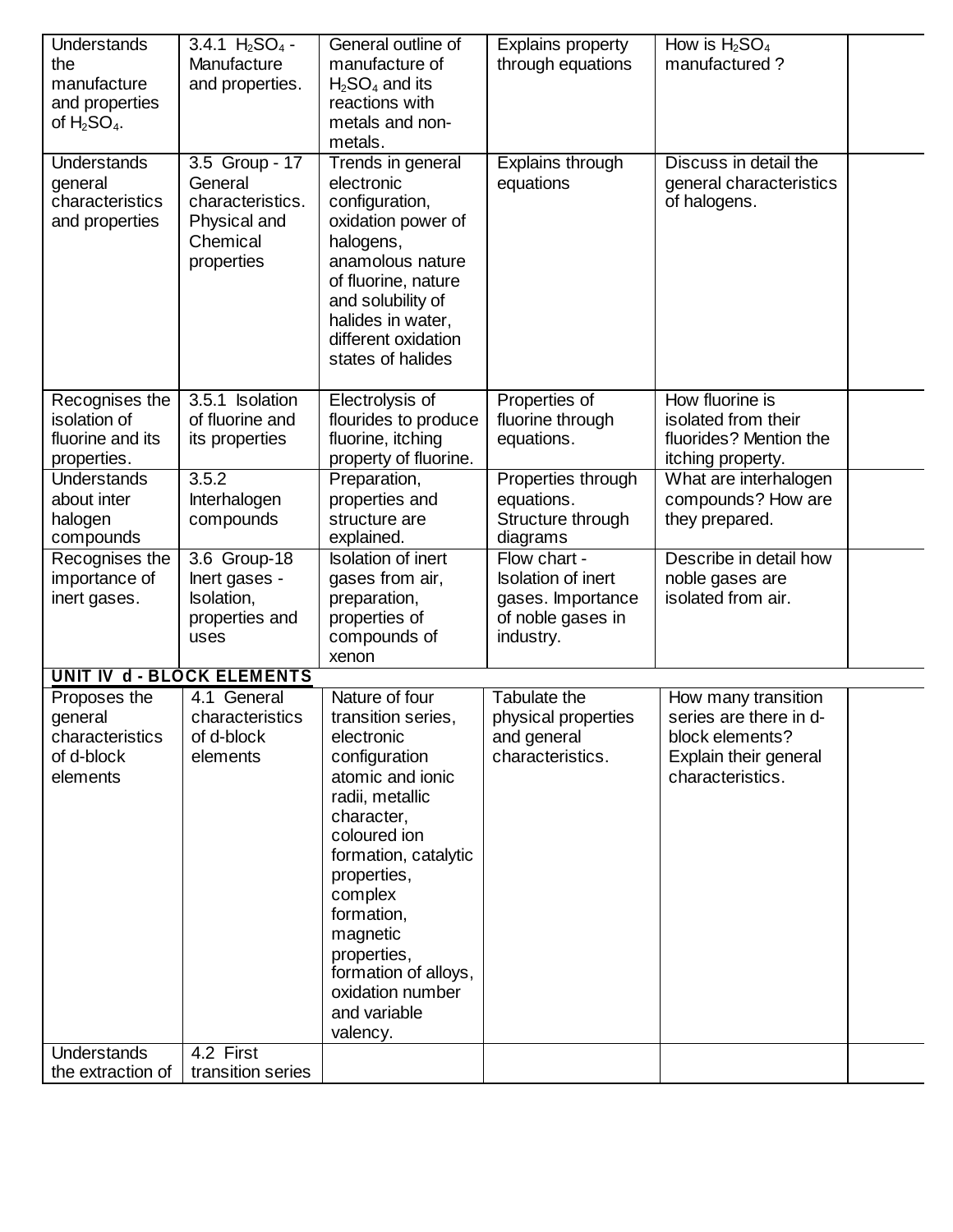| Understands<br>the<br>manufacture<br>and properties<br>of $H_2SO_4$ .                      | 3.4.1 $H_2SO_4$ -<br>Manufacture<br>and properties.                                     | General outline of<br>manufacture of<br>$H2SO4$ and its<br>reactions with<br>metals and non-<br>metals.                                                                                                                                                                                                     | <b>Explains property</b><br>through equations                                                    | How is $H_2SO_4$<br>manufactured?                                                                             |  |
|--------------------------------------------------------------------------------------------|-----------------------------------------------------------------------------------------|-------------------------------------------------------------------------------------------------------------------------------------------------------------------------------------------------------------------------------------------------------------------------------------------------------------|--------------------------------------------------------------------------------------------------|---------------------------------------------------------------------------------------------------------------|--|
| <b>Understands</b><br>general<br>characteristics<br>and properties                         | 3.5 Group - 17<br>General<br>characteristics.<br>Physical and<br>Chemical<br>properties | Trends in general<br>electronic<br>configuration,<br>oxidation power of<br>halogens,<br>anamolous nature<br>of fluorine, nature<br>and solubility of<br>halides in water,<br>different oxidation<br>states of halides                                                                                       | Explains through<br>equations                                                                    | Discuss in detail the<br>general characteristics<br>of halogens.                                              |  |
| Recognises the<br>isolation of<br>fluorine and its<br>properties.                          | 3.5.1 Isolation<br>of fluorine and<br>its properties                                    | Electrolysis of<br>flourides to produce<br>fluorine, itching<br>property of fluorine.                                                                                                                                                                                                                       | Properties of<br>fluorine through<br>equations.                                                  | How fluorine is<br>isolated from their<br>fluorides? Mention the<br>itching property.                         |  |
| <b>Understands</b><br>about inter<br>halogen<br>compounds                                  | 3.5.2<br>Interhalogen<br>compounds                                                      | Preparation,<br>properties and<br>structure are<br>explained.                                                                                                                                                                                                                                               | Properties through<br>equations.<br>Structure through<br>diagrams                                | What are interhalogen<br>compounds? How are<br>they prepared.                                                 |  |
| Recognises the<br>importance of<br>inert gases.                                            | 3.6 Group-18<br>lnert gases -<br>Isolation,<br>properties and<br>uses                   | <b>Isolation of inert</b><br>gases from air,<br>preparation,<br>properties of<br>compounds of<br>xenon                                                                                                                                                                                                      | Flow chart -<br><b>Isolation of inert</b><br>gases. Importance<br>of noble gases in<br>industry. | Describe in detail how<br>noble gases are<br>isolated from air.                                               |  |
|                                                                                            | <b>UNIT IV d - BLOCK ELEMENTS</b>                                                       |                                                                                                                                                                                                                                                                                                             |                                                                                                  |                                                                                                               |  |
| Proposes the<br>general<br>characteristics<br>of d-block<br>elements<br><b>Understands</b> | 4.1 General<br>characteristics<br>of d-block<br>elements<br>4.2 First                   | Nature of four<br>transition series,<br>electronic<br>configuration<br>atomic and ionic<br>radii, metallic<br>character,<br>coloured ion<br>formation, catalytic<br>properties,<br>complex<br>formation,<br>magnetic<br>properties,<br>formation of alloys,<br>oxidation number<br>and variable<br>valency. | Tabulate the<br>physical properties<br>and general<br>characteristics.                           | How many transition<br>series are there in d-<br>block elements?<br>Explain their general<br>characteristics. |  |
| the extraction of                                                                          | transition series                                                                       |                                                                                                                                                                                                                                                                                                             |                                                                                                  |                                                                                                               |  |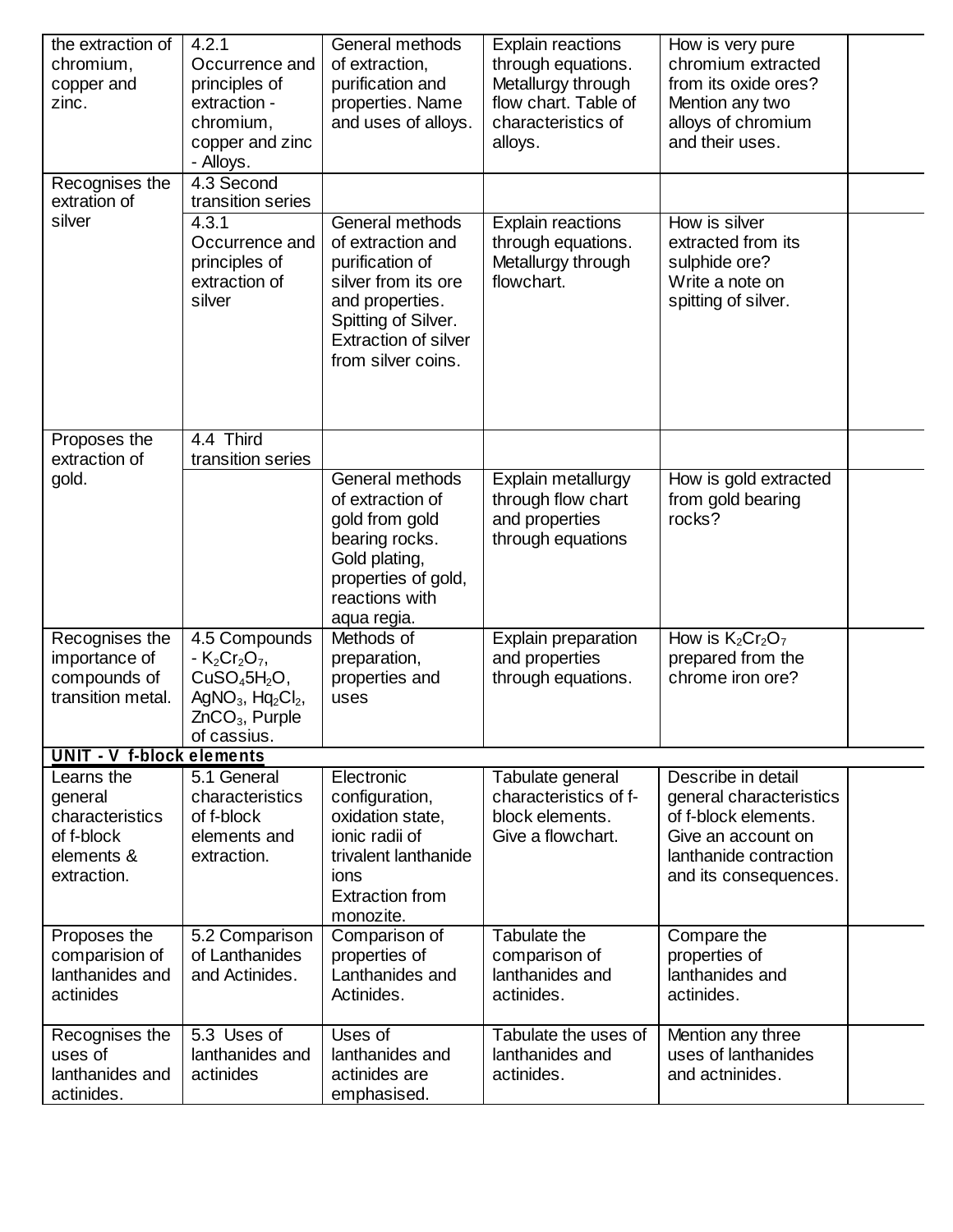| the extraction of<br>chromium,<br>copper and<br>zinc.                               | 4.2.1<br>Occurrence and<br>principles of<br>extraction -<br>chromium,<br>copper and zinc<br>- Alloys.                     | General methods<br>of extraction,<br>purification and<br>properties. Name<br>and uses of alloys.                                                                              | <b>Explain reactions</b><br>through equations.<br>Metallurgy through<br>flow chart. Table of<br>characteristics of<br>alloys. | How is very pure<br>chromium extracted<br>from its oxide ores?<br>Mention any two<br>alloys of chromium<br>and their uses.                     |  |
|-------------------------------------------------------------------------------------|---------------------------------------------------------------------------------------------------------------------------|-------------------------------------------------------------------------------------------------------------------------------------------------------------------------------|-------------------------------------------------------------------------------------------------------------------------------|------------------------------------------------------------------------------------------------------------------------------------------------|--|
| Recognises the<br>extration of                                                      | 4.3 Second<br>transition series                                                                                           |                                                                                                                                                                               |                                                                                                                               |                                                                                                                                                |  |
| silver                                                                              | 4.3.1<br>Occurrence and<br>principles of<br>extraction of<br>silver                                                       | General methods<br>of extraction and<br>purification of<br>silver from its ore<br>and properties.<br>Spitting of Silver.<br><b>Extraction of silver</b><br>from silver coins. | <b>Explain reactions</b><br>through equations.<br>Metallurgy through<br>flowchart.                                            | How is silver<br>extracted from its<br>sulphide ore?<br>Write a note on<br>spitting of silver.                                                 |  |
| Proposes the<br>extraction of                                                       | 4.4 Third<br>transition series                                                                                            |                                                                                                                                                                               |                                                                                                                               |                                                                                                                                                |  |
| gold.                                                                               |                                                                                                                           | General methods<br>of extraction of<br>gold from gold<br>bearing rocks.<br>Gold plating,<br>properties of gold,<br>reactions with<br>aqua regia.                              | Explain metallurgy<br>through flow chart<br>and properties<br>through equations                                               | How is gold extracted<br>from gold bearing<br>rocks?                                                                                           |  |
| Recognises the<br>importance of<br>compounds of<br>transition metal.                | 4.5 Compounds<br>- $K_2Cr_2O_7$ ,<br>$CuSO45H2O$ ,<br>AgNO <sub>3</sub> , $Hq_2Cl_2$ ,<br>$ZnCO3$ , Purple<br>of cassius. | Methods of<br>preparation,<br>properties and<br>uses                                                                                                                          | Explain preparation<br>and properties<br>through equations.                                                                   | How is $K_2Cr_2O_7$<br>prepared from the<br>chrome iron ore?                                                                                   |  |
| <b>UNIT - V f-block elements</b>                                                    |                                                                                                                           |                                                                                                                                                                               |                                                                                                                               |                                                                                                                                                |  |
| Learns the<br>general<br>characteristics<br>of f-block<br>elements &<br>extraction. | 5.1 General<br>characteristics<br>of f-block<br>elements and<br>extraction.                                               | Electronic<br>configuration,<br>oxidation state,<br>ionic radii of<br>trivalent lanthanide<br>ions<br><b>Extraction from</b><br>monozite.                                     | Tabulate general<br>characteristics of f-<br>block elements.<br>Give a flowchart.                                             | Describe in detail<br>general characteristics<br>of f-block elements.<br>Give an account on<br>lanthanide contraction<br>and its consequences. |  |
| Proposes the<br>comparision of<br>lanthanides and<br>actinides                      | 5.2 Comparison<br>of Lanthanides<br>and Actinides.                                                                        | Comparison of<br>properties of<br>Lanthanides and<br>Actinides.                                                                                                               | <b>Tabulate the</b><br>comparison of<br>lanthanides and<br>actinides.                                                         | Compare the<br>properties of<br>lanthanides and<br>actinides.                                                                                  |  |
| Recognises the<br>uses of<br>lanthanides and<br>actinides.                          | 5.3 Uses of<br>lanthanides and<br>actinides                                                                               | Uses of<br>lanthanides and<br>actinides are<br>emphasised.                                                                                                                    | Tabulate the uses of<br>lanthanides and<br>actinides.                                                                         | Mention any three<br>uses of lanthanides<br>and actninides.                                                                                    |  |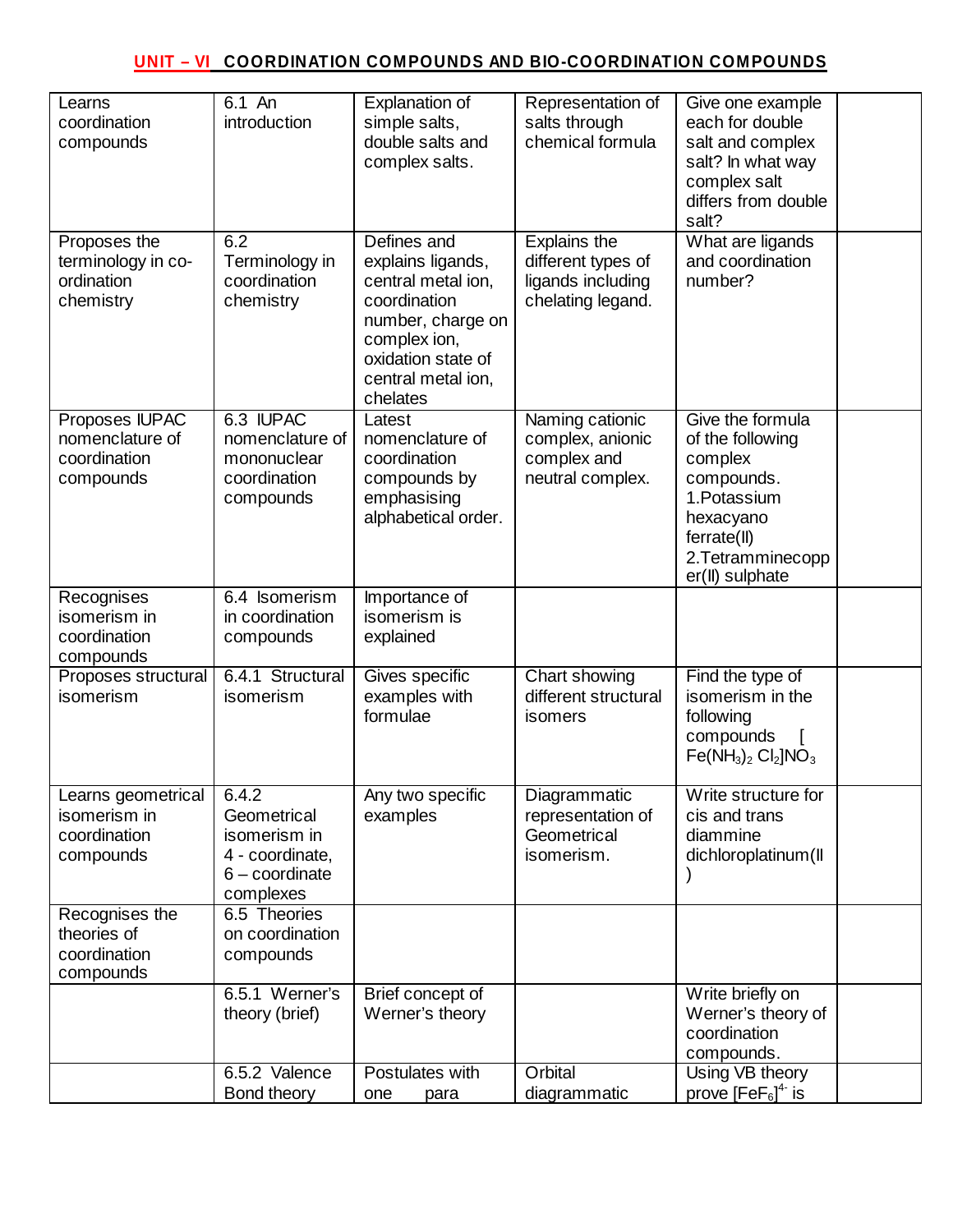## **UNIT – VI COORDINATION COMPOUNDS AND BIO-COORDINATION COMPOUNDS**

| Learns<br>coordination<br>compounds                             | 6.1 An<br>introduction                                                                   | Explanation of<br>simple salts,<br>double salts and<br>complex salts.                                                                                               | Representation of<br>salts through<br>chemical formula                              | Give one example<br>each for double<br>salt and complex<br>salt? In what way<br>complex salt<br>differs from double<br>salt?                      |
|-----------------------------------------------------------------|------------------------------------------------------------------------------------------|---------------------------------------------------------------------------------------------------------------------------------------------------------------------|-------------------------------------------------------------------------------------|---------------------------------------------------------------------------------------------------------------------------------------------------|
| Proposes the<br>terminology in co-<br>ordination<br>chemistry   | 6.2<br>Terminology in<br>coordination<br>chemistry                                       | Defines and<br>explains ligands,<br>central metal ion,<br>coordination<br>number, charge on<br>complex ion,<br>oxidation state of<br>central metal ion,<br>chelates | <b>Explains the</b><br>different types of<br>ligands including<br>chelating legand. | What are ligands<br>and coordination<br>number?                                                                                                   |
| Proposes IUPAC<br>nomenclature of<br>coordination<br>compounds  | 6.3 IUPAC<br>nomenclature of<br>mononuclear<br>coordination<br>compounds                 | Latest<br>nomenclature of<br>coordination<br>compounds by<br>emphasising<br>alphabetical order.                                                                     | Naming cationic<br>complex, anionic<br>complex and<br>neutral complex.              | Give the formula<br>of the following<br>complex<br>compounds.<br>1. Potassium<br>hexacyano<br>ferrate(II)<br>2. Tetramminecopp<br>er(II) sulphate |
| Recognises<br>isomerism in<br>coordination<br>compounds         | 6.4 Isomerism<br>in coordination<br>compounds                                            | Importance of<br>isomerism is<br>explained                                                                                                                          |                                                                                     |                                                                                                                                                   |
| Proposes structural<br><i>isomerism</i>                         | 6.4.1 Structural<br>isomerism                                                            | Gives specific<br>examples with<br>formulae                                                                                                                         | Chart showing<br>different structural<br>isomers                                    | Find the type of<br>isomerism in the<br>following<br>compounds<br>$Fe(NH_3)_2$ Cl <sub>2</sub> $NO_3$                                             |
| Learns geometrical<br>isomerism in<br>coordination<br>compounds | 6.4.2<br>Geometrical<br>isomerism in<br>4 - coordinate,<br>$6$ – coordinate<br>complexes | Any two specific<br>examples                                                                                                                                        | Diagrammatic<br>representation of<br>Geometrical<br>isomerism.                      | Write structure for<br>cis and trans<br>diammine<br>dichloroplatinum(II                                                                           |
| Recognises the<br>theories of<br>coordination<br>compounds      | 6.5 Theories<br>on coordination<br>compounds                                             |                                                                                                                                                                     |                                                                                     |                                                                                                                                                   |
|                                                                 | 6.5.1 Werner's<br>theory (brief)                                                         | Brief concept of<br>Werner's theory                                                                                                                                 |                                                                                     | Write briefly on<br>Werner's theory of<br>coordination<br>compounds.                                                                              |
|                                                                 | 6.5.2 Valence<br>Bond theory                                                             | Postulates with<br>one<br>para                                                                                                                                      | Orbital<br>diagrammatic                                                             | Using VB theory<br>prove $[FeF6]4$ is                                                                                                             |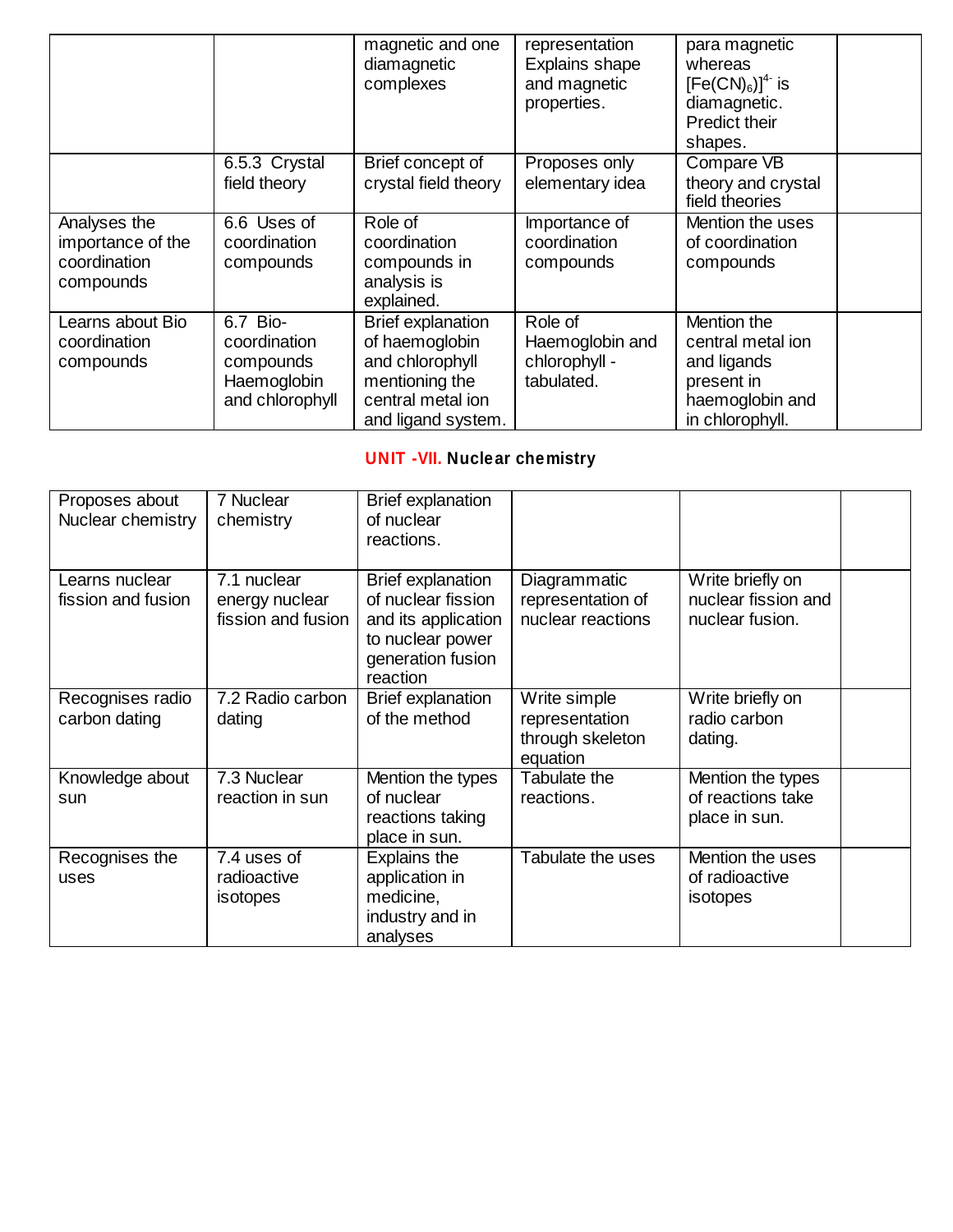|                                                                |                                                                         | magnetic and one<br>diamagnetic<br>complexes                                                                               | representation<br>Explains shape<br>and magnetic<br>properties. | para magnetic<br>whereas<br>$[Fe(CN)6]4$ is<br>diamagnetic.<br><b>Predict their</b><br>shapes.      |  |
|----------------------------------------------------------------|-------------------------------------------------------------------------|----------------------------------------------------------------------------------------------------------------------------|-----------------------------------------------------------------|-----------------------------------------------------------------------------------------------------|--|
|                                                                | 6.5.3 Crystal<br>field theory                                           | Brief concept of<br>crystal field theory                                                                                   | Proposes only<br>elementary idea                                | Compare VB<br>theory and crystal<br>field theories                                                  |  |
| Analyses the<br>importance of the<br>coordination<br>compounds | 6.6 Uses of<br>coordination<br>compounds                                | Role of<br>coordination<br>compounds in<br>analysis is<br>explained.                                                       | Importance of<br>coordination<br>compounds                      | Mention the uses<br>of coordination<br>compounds                                                    |  |
| Learns about Bio<br>coordination<br>compounds                  | 6.7 Bio-<br>coordination<br>compounds<br>Haemoglobin<br>and chlorophyll | <b>Brief explanation</b><br>of haemoglobin<br>and chlorophyll<br>mentioning the<br>central metal ion<br>and ligand system. | Role of<br>Haemoglobin and<br>chlorophyll -<br>tabulated.       | Mention the<br>central metal ion<br>and ligands<br>present in<br>haemoglobin and<br>in chlorophyll. |  |

# **UNIT -VII. Nuclear chemistry**

| Proposes about<br>Nuclear chemistry  | 7 Nuclear<br>chemistry                              | <b>Brief explanation</b><br>of nuclear<br>reactions.                                                                       |                                                        |                                                            |  |
|--------------------------------------|-----------------------------------------------------|----------------------------------------------------------------------------------------------------------------------------|--------------------------------------------------------|------------------------------------------------------------|--|
| Learns nuclear<br>fission and fusion | 7.1 nuclear<br>energy nuclear<br>fission and fusion | <b>Brief explanation</b><br>of nuclear fission<br>and its application<br>to nuclear power<br>generation fusion<br>reaction | Diagrammatic<br>representation of<br>nuclear reactions | Write briefly on<br>nuclear fission and<br>nuclear fusion. |  |
| Recognises radio<br>carbon dating    | 7.2 Radio carbon<br>dating                          | <b>Brief explanation</b><br>of the method                                                                                  | Write simple<br>representation                         | Write briefly on<br>radio carbon                           |  |
|                                      |                                                     |                                                                                                                            | through skeleton<br>equation                           | dating.                                                    |  |
| Knowledge about<br>sun               | 7.3 Nuclear<br>reaction in sun                      | Mention the types<br>of nuclear<br>reactions taking<br>place in sun.                                                       | Tabulate the<br>reactions.                             | Mention the types<br>of reactions take<br>place in sun.    |  |
| Recognises the<br>uses               | 7.4 uses of<br>radioactive<br>isotopes              | Explains the<br>application in<br>medicine,<br>industry and in<br>analyses                                                 | Tabulate the uses                                      | Mention the uses<br>of radioactive<br>isotopes             |  |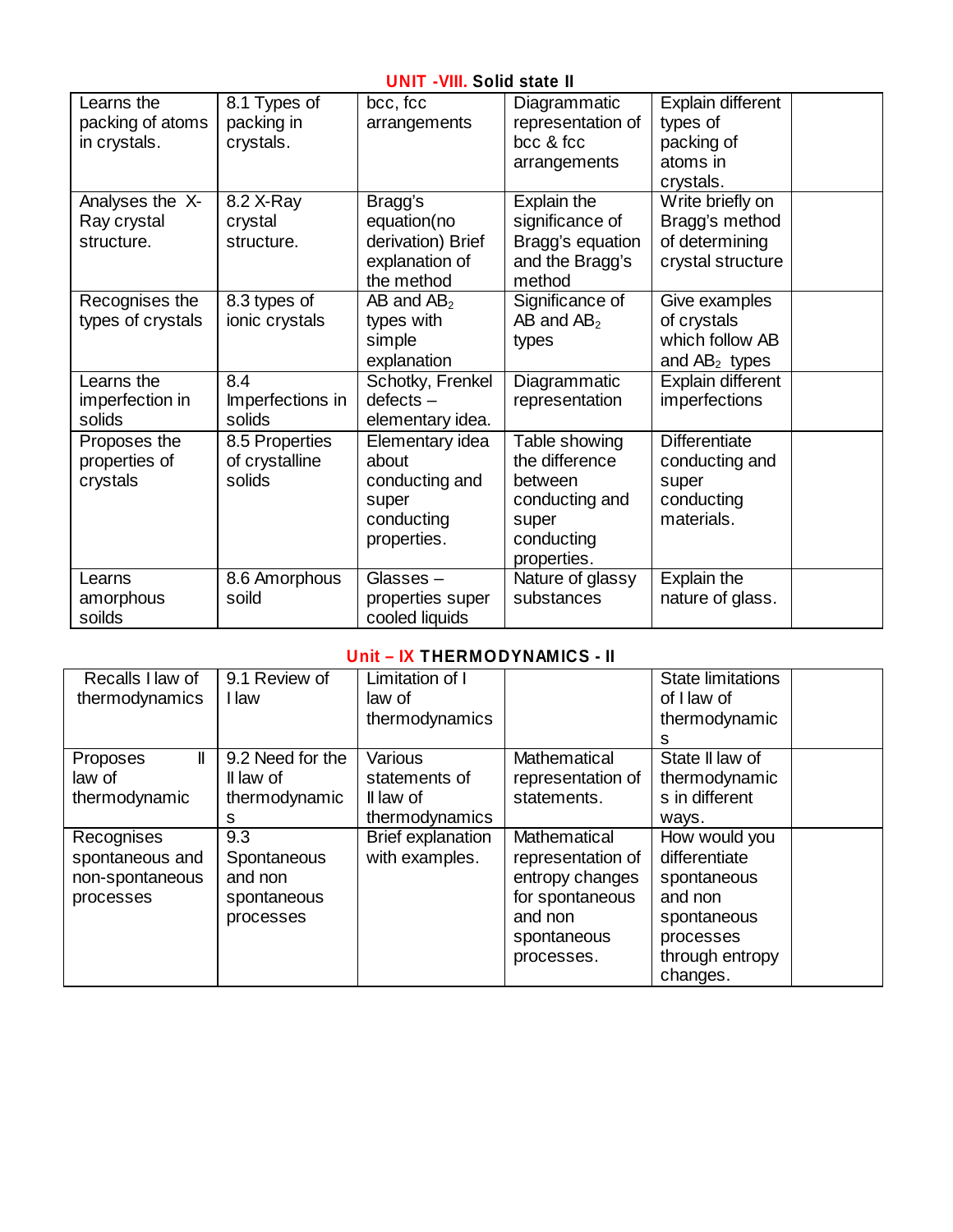#### **UNIT -VIII. Solid state II**

| Learns the        | 8.1 Types of     | bcc, fcc          | Diagrammatic      | Explain different    |  |
|-------------------|------------------|-------------------|-------------------|----------------------|--|
| packing of atoms  | packing in       | arrangements      | representation of | types of             |  |
| in crystals.      | crystals.        |                   | bcc & fcc         | packing of           |  |
|                   |                  |                   | arrangements      | atoms in             |  |
|                   |                  |                   |                   | crystals.            |  |
| Analyses the X-   | 8.2 X-Ray        | Bragg's           | Explain the       | Write briefly on     |  |
| Ray crystal       | crystal          | equation(no       | significance of   | Bragg's method       |  |
| structure.        | structure.       | derivation) Brief | Bragg's equation  | of determining       |  |
|                   |                  | explanation of    | and the Bragg's   | crystal structure    |  |
|                   |                  | the method        | method            |                      |  |
| Recognises the    | 8.3 types of     | $AB$ and $AB_2$   | Significance of   | Give examples        |  |
| types of crystals | ionic crystals   | types with        | AB and $AB2$      | of crystals          |  |
|                   |                  | simple            | types             | which follow AB      |  |
|                   |                  | explanation       |                   | and $AB_2$ types     |  |
| Learns the        | 8.4              | Schotky, Frenkel  | Diagrammatic      | Explain different    |  |
| imperfection in   | Imperfections in | $defects -$       | representation    | imperfections        |  |
| solids            | solids           | elementary idea.  |                   |                      |  |
| Proposes the      | 8.5 Properties   | Elementary idea   | Table showing     | <b>Differentiate</b> |  |
| properties of     | of crystalline   | about             | the difference    | conducting and       |  |
| crystals          | solids           | conducting and    | between           | super                |  |
|                   |                  | super             | conducting and    | conducting           |  |
|                   |                  | conducting        | super             | materials.           |  |
|                   |                  | properties.       | conducting        |                      |  |
|                   |                  |                   | properties.       |                      |  |
| Learns            | 8.6 Amorphous    | Glasses $-$       | Nature of glassy  | Explain the          |  |
| amorphous         | soild            | properties super  | substances        | nature of glass.     |  |
| soilds            |                  | cooled liquids    |                   |                      |  |

### **Unit – IX THERMODYNAMICS - II**

| Recalls I law of | 9.1 Review of    | Limitation of I   |                   | <b>State limitations</b> |
|------------------|------------------|-------------------|-------------------|--------------------------|
| thermodynamics   | I law            | law of            |                   | of I law of              |
|                  |                  | thermodynamics    |                   | thermodynamic            |
|                  |                  |                   |                   | s                        |
| II<br>Proposes   | 9.2 Need for the | Various           | Mathematical      | State II law of          |
| law of           | Il law of        | statements of     | representation of | thermodynamic            |
| thermodynamic    | thermodynamic    | Il law of         | statements.       | s in different           |
|                  | s                | thermodynamics    |                   | ways.                    |
| Recognises       | 9.3              | Brief explanation | Mathematical      | How would you            |
| spontaneous and  | Spontaneous      | with examples.    | representation of | differentiate            |
| non-spontaneous  | and non          |                   | entropy changes   | spontaneous              |
| processes        | spontaneous      |                   | for spontaneous   | and non                  |
|                  | processes        |                   | and non           | spontaneous              |
|                  |                  |                   | spontaneous       | processes                |
|                  |                  |                   | processes.        | through entropy          |
|                  |                  |                   |                   | changes.                 |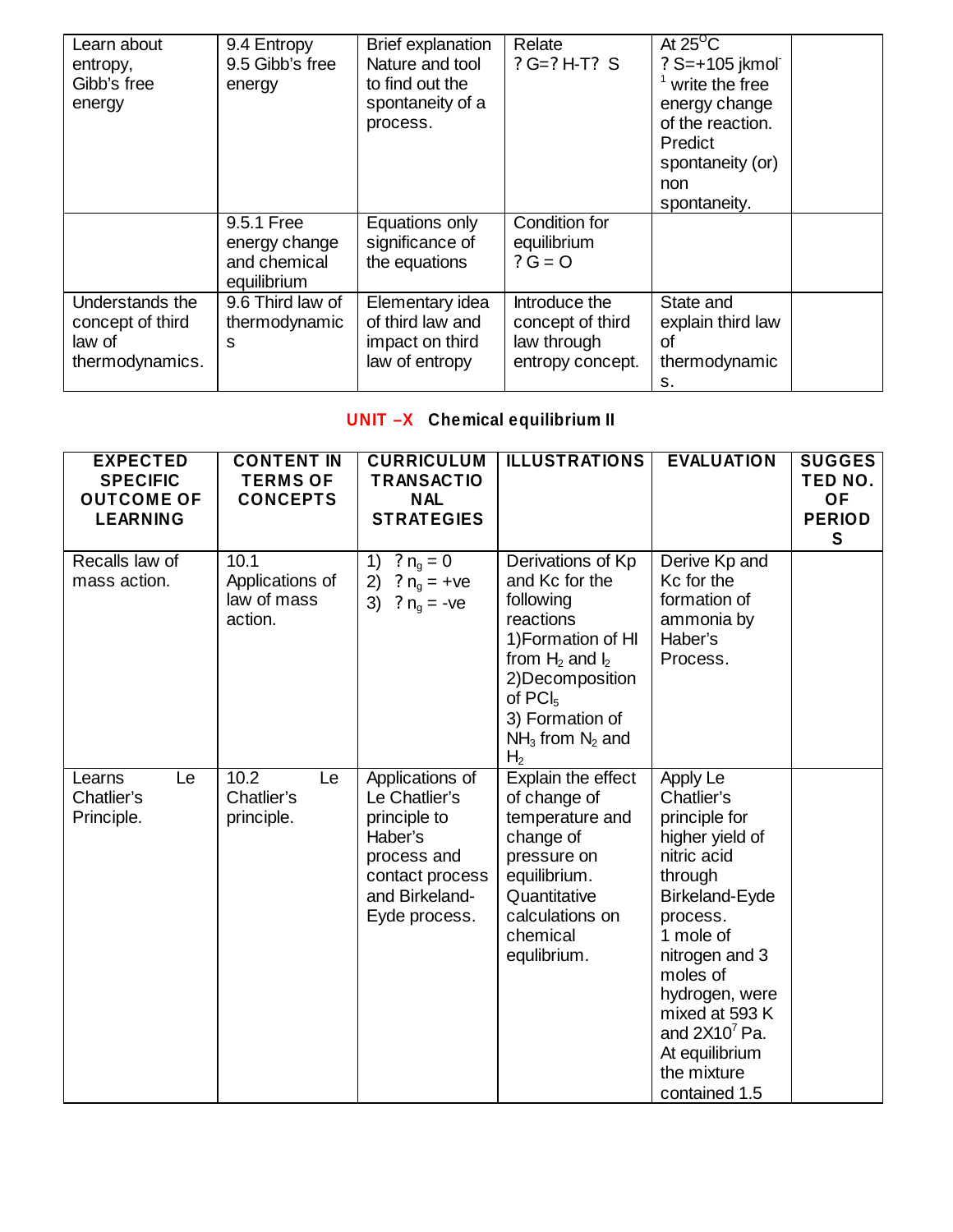| Learn about<br>entropy,<br>Gibb's free<br>energy                 | 9.4 Entropy<br>9.5 Gibb's free<br>energy                   | <b>Brief explanation</b><br>Nature and tool<br>to find out the<br>spontaneity of a<br>process. | Relate<br>$? G = ? H - T? S$                                         | At $25^{\circ}$ C<br>? S=+105 jkmol<br>write the free<br>energy change<br>of the reaction.<br><b>Predict</b><br>spontaneity (or)<br>non<br>spontaneity. |  |
|------------------------------------------------------------------|------------------------------------------------------------|------------------------------------------------------------------------------------------------|----------------------------------------------------------------------|---------------------------------------------------------------------------------------------------------------------------------------------------------|--|
|                                                                  | 9.5.1 Free<br>energy change<br>and chemical<br>equilibrium | Equations only<br>significance of<br>the equations                                             | Condition for<br>equilibrium<br>$? G = O$                            |                                                                                                                                                         |  |
| Understands the<br>concept of third<br>law of<br>thermodynamics. | 9.6 Third law of<br>thermodynamic<br>S                     | Elementary idea<br>of third law and<br>impact on third<br>law of entropy                       | Introduce the<br>concept of third<br>law through<br>entropy concept. | State and<br>explain third law<br>Ωf<br>thermodynamic<br>s.                                                                                             |  |

# **UNIT –X Chemical equilibrium II**

| <b>EXPECTED</b><br><b>SPECIFIC</b><br><b>OUTCOME OF</b><br><b>LEARNING</b> | <b>CONTENT IN</b><br><b>TERMS OF</b><br><b>CONCEPTS</b> | <b>CURRICULUM</b><br><b>TRANSACTIO</b><br><b>NAL</b><br><b>STRATEGIES</b>                                                        | <b>ILLUSTRATIONS</b>                                                                                                                                                                                               | <b>EVALUATION</b>                                                                                                                                                                                                                                                      | <b>SUGGES</b><br>TED NO.<br><b>OF</b><br><b>PERIOD</b><br><b>S</b> |
|----------------------------------------------------------------------------|---------------------------------------------------------|----------------------------------------------------------------------------------------------------------------------------------|--------------------------------------------------------------------------------------------------------------------------------------------------------------------------------------------------------------------|------------------------------------------------------------------------------------------------------------------------------------------------------------------------------------------------------------------------------------------------------------------------|--------------------------------------------------------------------|
| Recalls law of<br>mass action.                                             | 10.1<br>Applications of<br>law of mass<br>action.       | ? $n_g = 0$<br>1)<br>2)<br>? $n_g$ = +ve<br>3)<br>? $n_q = -ve$                                                                  | Derivations of Kp<br>and Kc for the<br>following<br>reactions<br>1) Formation of HI<br>from $H_2$ and $I_2$<br>2) Decomposition<br>of PCI <sub>5</sub><br>3) Formation of<br>$NH3$ from $N2$ and<br>H <sub>2</sub> | Derive Kp and<br>Kc for the<br>formation of<br>ammonia by<br>Haber's<br>Process.                                                                                                                                                                                       |                                                                    |
| Learns<br>Le<br>Chatlier's<br>Principle.                                   | 10.2<br>Le<br>Chatlier's<br>principle.                  | Applications of<br>Le Chatlier's<br>principle to<br>Haber's<br>process and<br>contact process<br>and Birkeland-<br>Eyde process. | Explain the effect<br>of change of<br>temperature and<br>change of<br>pressure on<br>equilibrium.<br>Quantitative<br>calculations on<br>chemical<br>equlibrium.                                                    | Apply Le<br>Chatlier's<br>principle for<br>higher yield of<br>nitric acid<br>through<br>Birkeland-Eyde<br>process.<br>1 mole of<br>nitrogen and 3<br>moles of<br>hydrogen, were<br>mixed at 593 K<br>and $2X107$ Pa.<br>At equilibrium<br>the mixture<br>contained 1.5 |                                                                    |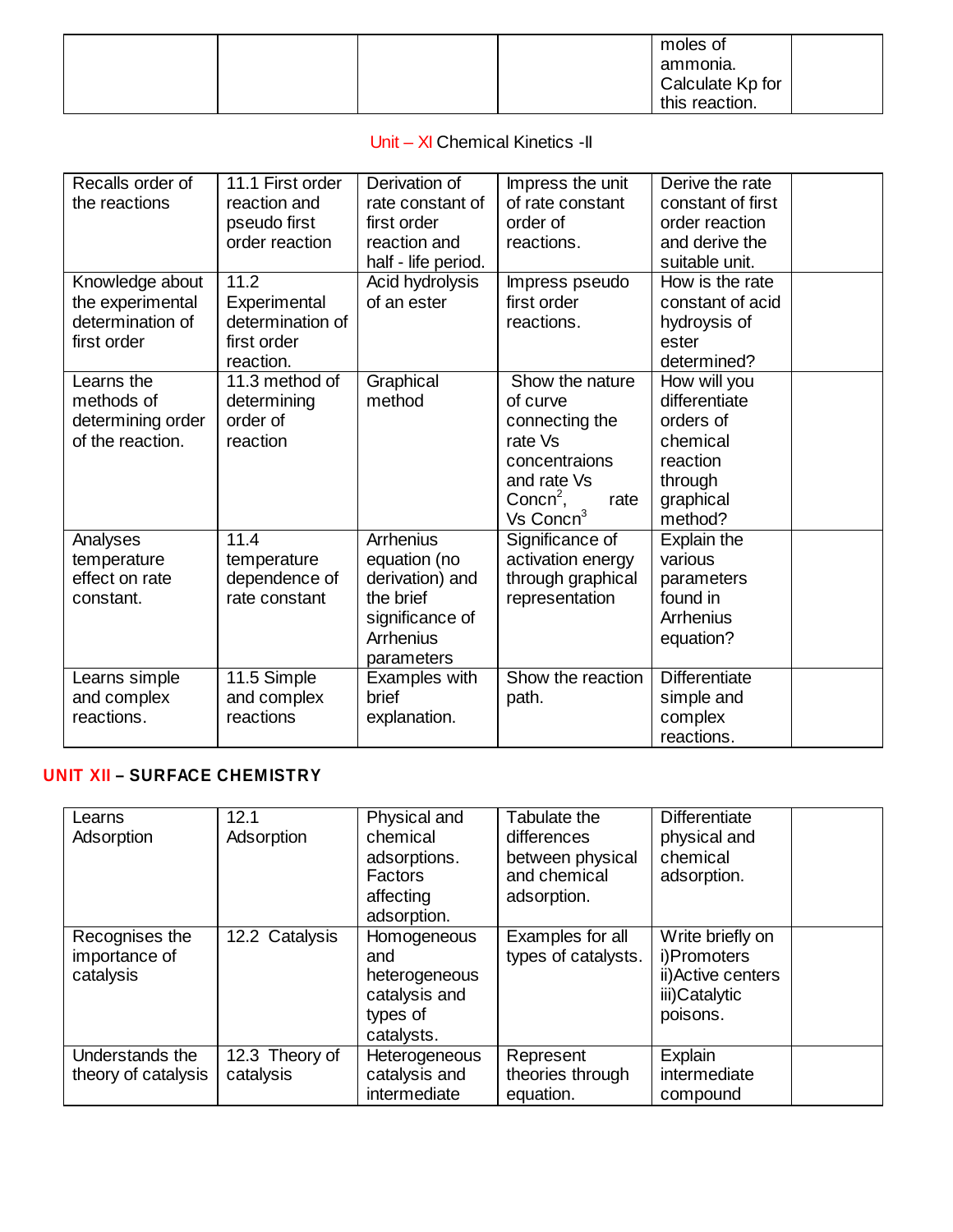|  |  | moles of         |  |
|--|--|------------------|--|
|  |  | ammonia.         |  |
|  |  | Calculate Kp for |  |
|  |  | this reaction.   |  |

### Unit – XI Chemical Kinetics -II

| Recalls order of  | 11.1 First order | Derivation of       |                                      | Derive the rate      |
|-------------------|------------------|---------------------|--------------------------------------|----------------------|
| the reactions     | reaction and     | rate constant of    | Impress the unit<br>of rate constant | constant of first    |
|                   |                  |                     |                                      |                      |
|                   | pseudo first     | first order         | order of                             | order reaction       |
|                   | order reaction   | reaction and        | reactions.                           | and derive the       |
|                   |                  | half - life period. |                                      | suitable unit.       |
| Knowledge about   | 11.2             | Acid hydrolysis     | Impress pseudo                       | How is the rate      |
| the experimental  | Experimental     | of an ester         | first order                          | constant of acid     |
| determination of  | determination of |                     | reactions.                           | hydroysis of         |
| first order       | first order      |                     |                                      | ester                |
|                   | reaction.        |                     |                                      | determined?          |
| Learns the        | 11.3 method of   | Graphical           | Show the nature                      | How will you         |
| methods of        | determining      | method              | of curve                             | differentiate        |
| determining order | order of         |                     | connecting the                       | orders of            |
| of the reaction.  | reaction         |                     | rate Vs                              | chemical             |
|                   |                  |                     | concentraions                        | reaction             |
|                   |                  |                     | and rate Vs                          | through              |
|                   |                  |                     | Conc $n^2$ ,<br>rate                 | graphical            |
|                   |                  |                     | Vs Concn <sup>3</sup>                | method?              |
| Analyses          | 11.4             | Arrhenius           | Significance of                      | Explain the          |
| temperature       | temperature      | equation (no        | activation energy                    | various              |
| effect on rate    | dependence of    | derivation) and     | through graphical                    | parameters           |
| constant.         | rate constant    | the brief           |                                      | found in             |
|                   |                  |                     | representation                       |                      |
|                   |                  | significance of     |                                      | Arrhenius            |
|                   |                  | Arrhenius           |                                      | equation?            |
|                   |                  | parameters          |                                      |                      |
| Learns simple     | 11.5 Simple      | Examples with       | Show the reaction                    | <b>Differentiate</b> |
| and complex       | and complex      | brief               | path.                                | simple and           |
| reactions.        | reactions        | explanation.        |                                      | complex              |
|                   |                  |                     |                                      | reactions.           |

# **UNIT XII – SURFACE CHEMISTRY**

| Learns<br>Adsorption                         | 12.1<br>Adsorption          | Physical and<br>chemical<br>adsorptions.<br><b>Factors</b><br>affecting<br>adsorption. | Tabulate the<br>differences<br>between physical<br>and chemical<br>adsorption. | <b>Differentiate</b><br>physical and<br>chemical<br>adsorption.                    |  |
|----------------------------------------------|-----------------------------|----------------------------------------------------------------------------------------|--------------------------------------------------------------------------------|------------------------------------------------------------------------------------|--|
| Recognises the<br>importance of<br>catalysis | 12.2 Catalysis              | Homogeneous<br>and<br>heterogeneous<br>catalysis and<br>types of<br>catalysts.         | Examples for all<br>types of catalysts.                                        | Write briefly on<br>i)Promoters<br>ii) Active centers<br>iii)Catalytic<br>poisons. |  |
| Understands the<br>theory of catalysis       | 12.3 Theory of<br>catalysis | <b>Heterogeneous</b><br>catalysis and<br>intermediate                                  | Represent<br>theories through<br>equation.                                     | Explain<br>intermediate<br>compound                                                |  |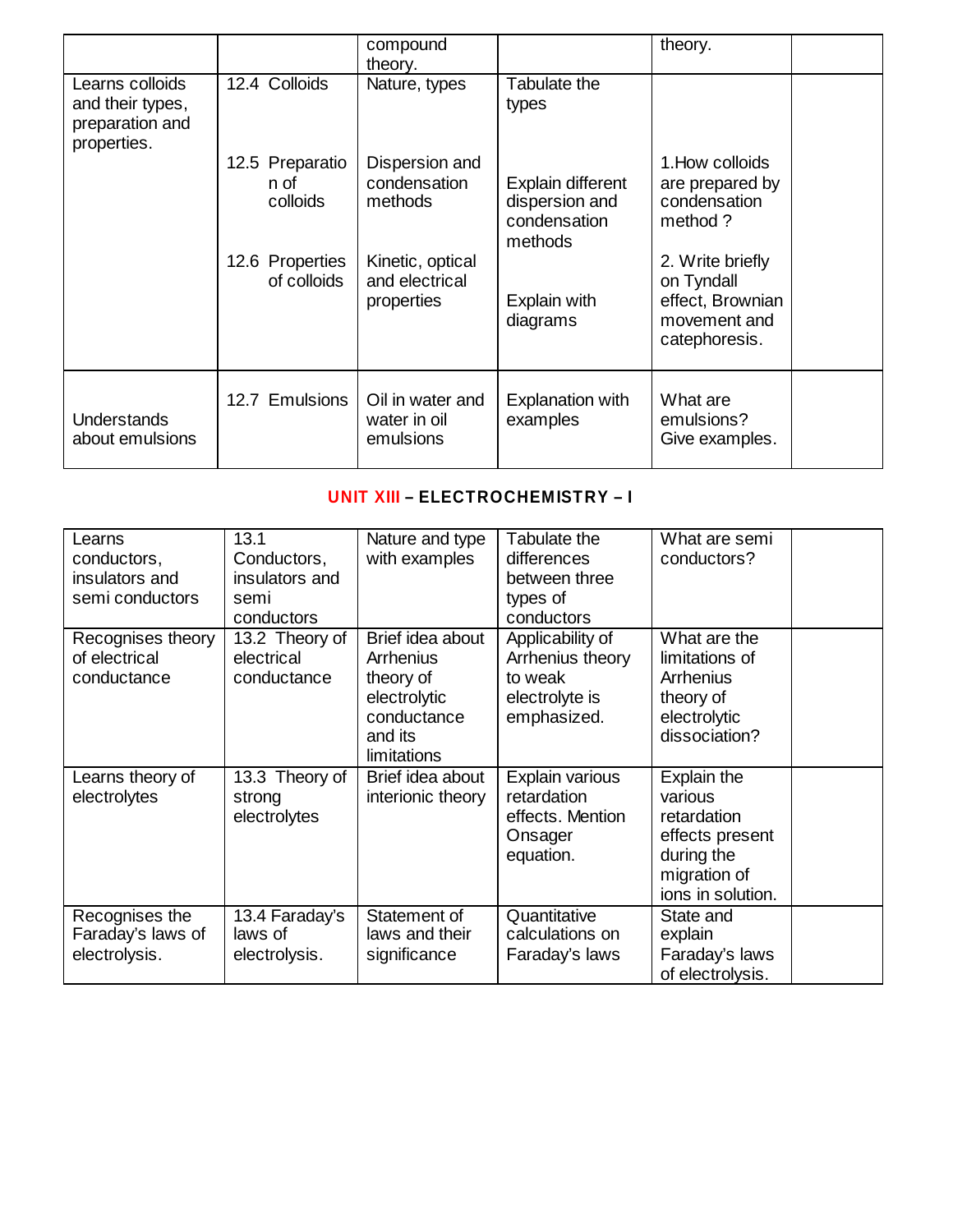|                                                                       |                                     | compound<br>theory.                              |                                                                | theory.                                                                             |  |
|-----------------------------------------------------------------------|-------------------------------------|--------------------------------------------------|----------------------------------------------------------------|-------------------------------------------------------------------------------------|--|
| Learns colloids<br>and their types,<br>preparation and<br>properties. | 12.4 Colloids                       | Nature, types                                    | Tabulate the<br>types                                          |                                                                                     |  |
|                                                                       | 12.5 Preparatio<br>n of<br>colloids | Dispersion and<br>condensation<br>methods        | Explain different<br>dispersion and<br>condensation<br>methods | 1. How colloids<br>are prepared by<br>condensation<br>method ?                      |  |
|                                                                       | 12.6 Properties<br>of colloids      | Kinetic, optical<br>and electrical<br>properties | Explain with<br>diagrams                                       | 2. Write briefly<br>on Tyndall<br>effect, Brownian<br>movement and<br>catephoresis. |  |
| <b>Understands</b><br>about emulsions                                 | 12.7 Emulsions                      | Oil in water and<br>water in oil<br>emulsions    | <b>Explanation with</b><br>examples                            | What are<br>emulsions?<br>Give examples.                                            |  |

# **UNIT XIII – ELECTROCHEMISTRY – I**

| Learns                                               | 13.1                                        | Nature and type                                                                                            | Tabulate the                                                                     | What are semi                                                                                    |
|------------------------------------------------------|---------------------------------------------|------------------------------------------------------------------------------------------------------------|----------------------------------------------------------------------------------|--------------------------------------------------------------------------------------------------|
| conductors,                                          | Conductors,                                 | with examples                                                                                              | differences                                                                      | conductors?                                                                                      |
| insulators and                                       | insulators and                              |                                                                                                            | between three                                                                    |                                                                                                  |
| semi conductors                                      | semi                                        |                                                                                                            | types of                                                                         |                                                                                                  |
|                                                      | conductors                                  |                                                                                                            | conductors                                                                       |                                                                                                  |
| Recognises theory<br>of electrical<br>conductance    | 13.2 Theory of<br>electrical<br>conductance | Brief idea about<br><b>Arrhenius</b><br>theory of<br>electrolytic<br>conductance<br>and its<br>limitations | Applicability of<br>Arrhenius theory<br>to weak<br>electrolyte is<br>emphasized. | What are the<br>limitations of<br><b>Arrhenius</b><br>theory of<br>electrolytic<br>dissociation? |
| Learns theory of                                     | 13.3 Theory of                              | Brief idea about                                                                                           | Explain various                                                                  | Explain the                                                                                      |
| electrolytes                                         | strong                                      | interionic theory                                                                                          | retardation                                                                      | various                                                                                          |
|                                                      | electrolytes                                |                                                                                                            | effects. Mention                                                                 | retardation                                                                                      |
|                                                      |                                             |                                                                                                            | Onsager                                                                          | effects present                                                                                  |
|                                                      |                                             |                                                                                                            | equation.                                                                        | during the                                                                                       |
|                                                      |                                             |                                                                                                            |                                                                                  | migration of                                                                                     |
|                                                      |                                             |                                                                                                            |                                                                                  | ions in solution.                                                                                |
| Recognises the<br>Faraday's laws of<br>electrolysis. | 13.4 Faraday's<br>laws of<br>electrolysis.  | Statement of<br>laws and their<br>significance                                                             | Quantitative<br>calculations on<br>Faraday's laws                                | State and<br>explain<br>Faraday's laws<br>of electrolysis.                                       |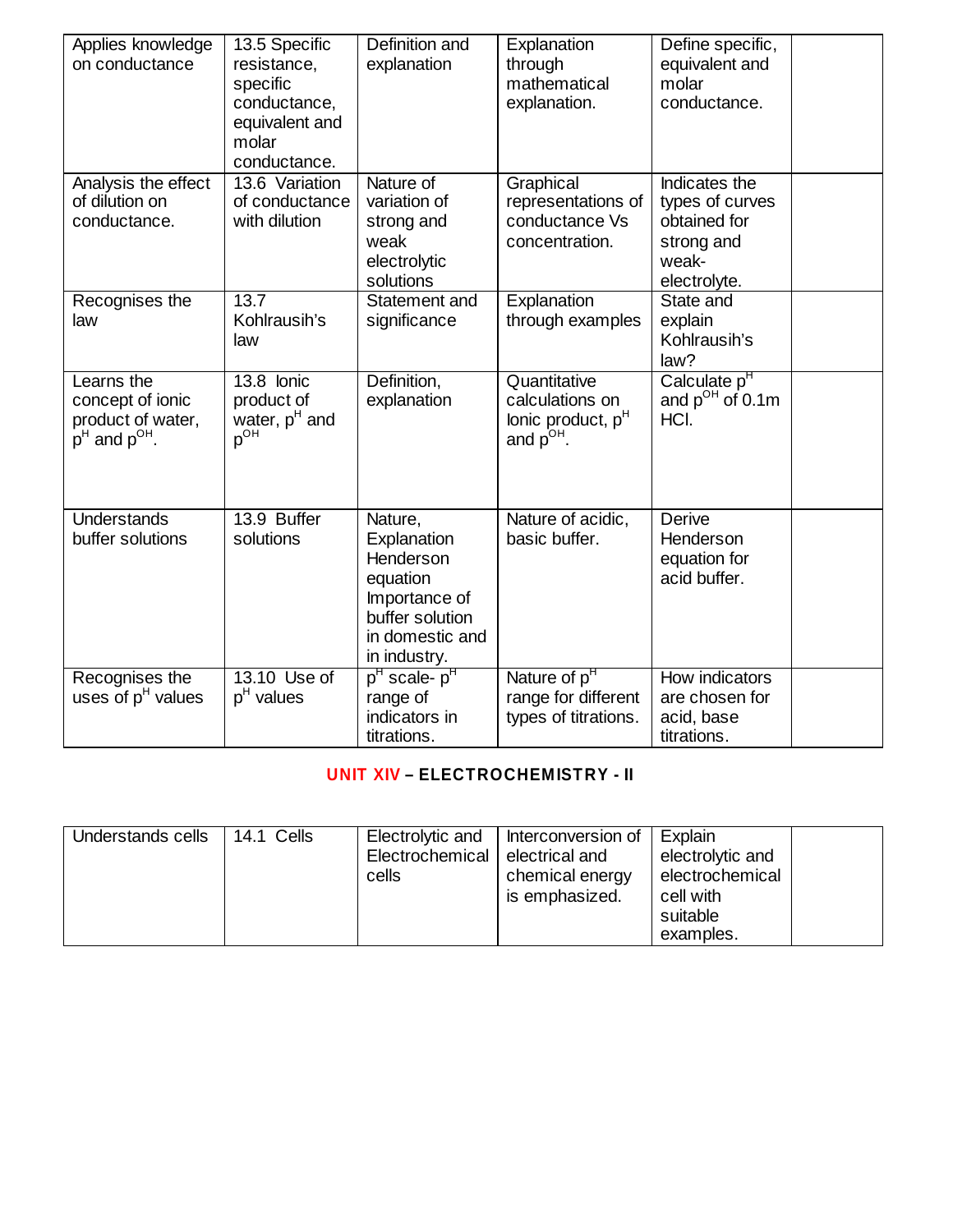| Applies knowledge<br>on conductance                                         | 13.5 Specific<br>resistance,<br>specific<br>conductance,<br>equivalent and<br>molar<br>conductance. | Definition and<br>explanation                                                                                          | Explanation<br>through<br>mathematical<br>explanation.                   | Define specific,<br>equivalent and<br>molar<br>conductance.                             |  |
|-----------------------------------------------------------------------------|-----------------------------------------------------------------------------------------------------|------------------------------------------------------------------------------------------------------------------------|--------------------------------------------------------------------------|-----------------------------------------------------------------------------------------|--|
| Analysis the effect<br>of dilution on<br>conductance.                       | 13.6 Variation<br>of conductance<br>with dilution                                                   | Nature of<br>variation of<br>strong and<br>weak<br>electrolytic<br>solutions                                           | Graphical<br>representations of<br>conductance Vs<br>concentration.      | Indicates the<br>types of curves<br>obtained for<br>strong and<br>weak-<br>electrolyte. |  |
| Recognises the<br>law                                                       | 13.7<br>Kohlrausih's<br>law                                                                         | Statement and<br>significance                                                                                          | Explanation<br>through examples                                          | State and<br>explain<br>Kohlrausih's<br>law?                                            |  |
| Learns the<br>concept of ionic<br>product of water,<br>$p^H$ and $p^{OH}$ . | $\overline{13.8}$ lonic<br>product of<br>water, p <sup>H</sup> and<br>$p^{\overrightarrow{OH}}$     | Definition,<br>explanation                                                                                             | Quantitative<br>calculations on<br>lonic product, $pH$<br>and $p^{OH}$ . | Calculate p <sup>H</sup><br>and $p^{OH}$ of 0.1m<br>HCI.                                |  |
| <b>Understands</b><br>buffer solutions                                      | 13.9 Buffer<br>solutions                                                                            | Nature,<br>Explanation<br>Henderson<br>equation<br>Importance of<br>buffer solution<br>in domestic and<br>in industry. | Nature of acidic,<br>basic buffer.                                       | <b>Derive</b><br>Henderson<br>equation for<br>acid buffer.                              |  |
| Recognises the<br>uses of $pH$ values                                       | 13.10 Use of<br>$pH$ values                                                                         | p <sup>H</sup> scale- p <sup>H</sup><br>range of<br>indicators in<br>titrations.                                       | Nature of p <sup>H</sup><br>range for different<br>types of titrations.  | How indicators<br>are chosen for<br>acid, base<br>titrations.                           |  |

# **UNIT XIV – ELECTROCHEMISTRY - II**

| Understands cells | 14.1 Cells | Electrolytic and<br>Electrochemical<br>cells | Interconversion of<br>electrical and<br>chemical energy<br>is emphasized. | Explain<br>electrolytic and<br>electrochemical<br>cell with<br>suitable<br>examples. |  |
|-------------------|------------|----------------------------------------------|---------------------------------------------------------------------------|--------------------------------------------------------------------------------------|--|
|-------------------|------------|----------------------------------------------|---------------------------------------------------------------------------|--------------------------------------------------------------------------------------|--|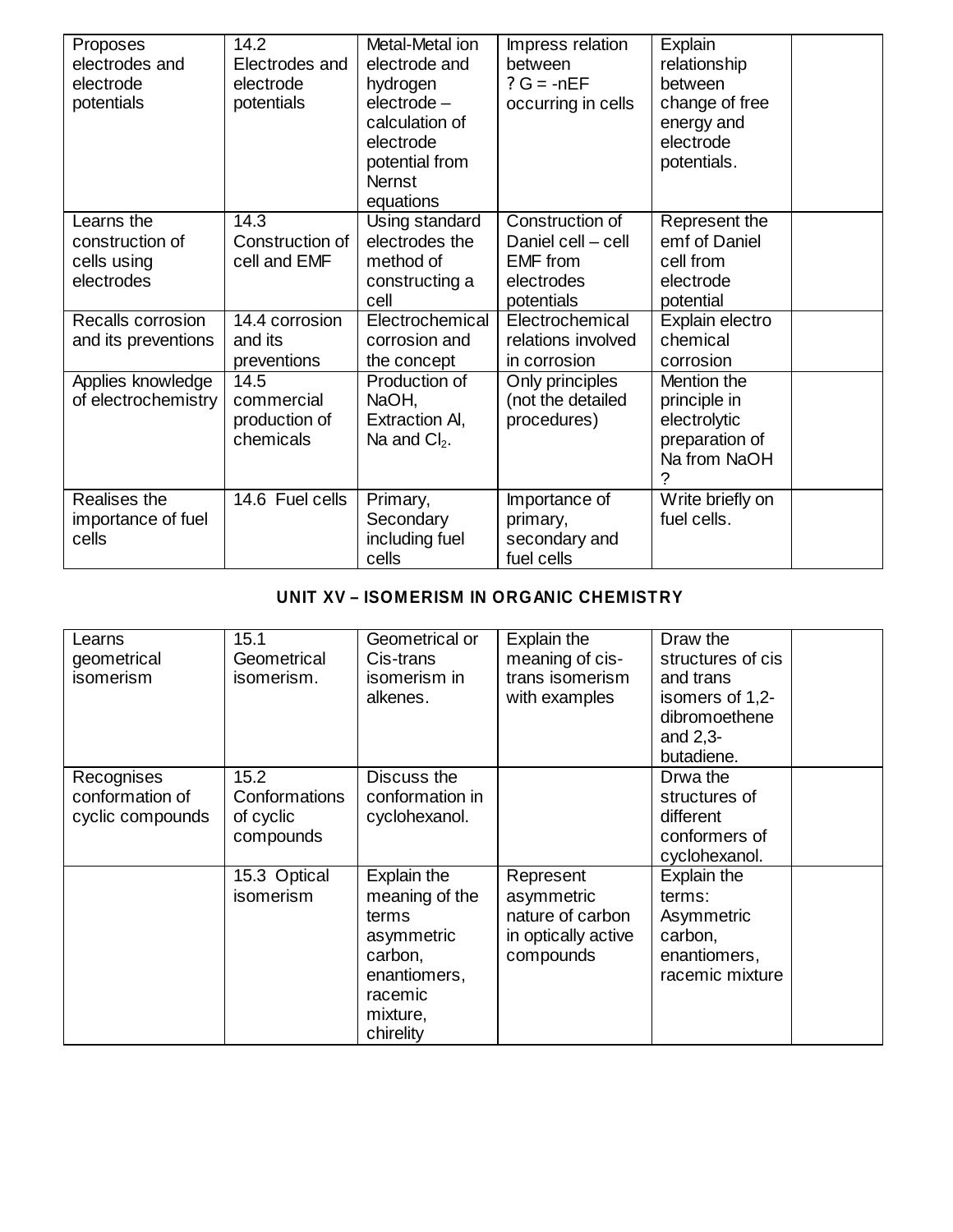| Proposes<br>electrodes and<br>electrode<br>potentials      | 14.2<br>Electrodes and<br>electrode<br>potentials | Metal-Metal ion<br>electrode and<br>hydrogen<br>$electrode -$<br>calculation of<br>electrode<br>potential from<br><b>Nernst</b><br>equations | Impress relation<br>between<br>$? G = -nEF$<br>occurring in cells                    | Explain<br>relationship<br>between<br>change of free<br>energy and<br>electrode<br>potentials. |  |
|------------------------------------------------------------|---------------------------------------------------|----------------------------------------------------------------------------------------------------------------------------------------------|--------------------------------------------------------------------------------------|------------------------------------------------------------------------------------------------|--|
| Learns the<br>construction of<br>cells using<br>electrodes | 14.3<br>Construction of<br>cell and EMF           | Using standard<br>electrodes the<br>method of<br>constructing a<br>cell                                                                      | Construction of<br>Daniel cell - cell<br><b>EMF</b> from<br>electrodes<br>potentials | Represent the<br>emf of Daniel<br>cell from<br>electrode<br>potential                          |  |
| Recalls corrosion<br>and its preventions                   | 14.4 corrosion<br>and its<br>preventions          | Electrochemical<br>corrosion and<br>the concept                                                                                              | Electrochemical<br>relations involved<br>in corrosion                                | Explain electro<br>chemical<br>corrosion                                                       |  |
| Applies knowledge<br>of electrochemistry                   | 14.5<br>commercial<br>production of<br>chemicals  | Production of<br>NaOH,<br>Extraction AI,<br>Na and $Cl2$ .                                                                                   | Only principles<br>(not the detailed<br>procedures)                                  | Mention the<br>principle in<br>electrolytic<br>preparation of<br>Na from NaOH<br>?             |  |
| Realises the<br>importance of fuel<br>cells                | 14.6 Fuel cells                                   | Primary,<br>Secondary<br>including fuel<br>cells                                                                                             | Importance of<br>primary,<br>secondary and<br>fuel cells                             | Write briefly on<br>fuel cells.                                                                |  |

### **UNIT XV – ISOMERISM IN ORGANIC CHEMISTRY**

| Learns<br>geometrical<br>isomerism                | 15.1<br>Geometrical<br>isomerism.               | Geometrical or<br>Cis-trans<br>isomerism in<br>alkenes.                                                             | Explain the<br>meaning of cis-<br>trans isomerism<br>with examples              | Draw the<br>structures of cis<br>and trans<br>isomers of 1,2-<br>dibromoethene<br>and $2,3-$<br>butadiene. |  |
|---------------------------------------------------|-------------------------------------------------|---------------------------------------------------------------------------------------------------------------------|---------------------------------------------------------------------------------|------------------------------------------------------------------------------------------------------------|--|
| Recognises<br>conformation of<br>cyclic compounds | 15.2<br>Conformations<br>of cyclic<br>compounds | Discuss the<br>conformation in<br>cyclohexanol.                                                                     |                                                                                 | Drwa the<br>structures of<br>different<br>conformers of<br>cyclohexanol.                                   |  |
|                                                   | 15.3 Optical<br>isomerism                       | Explain the<br>meaning of the<br>terms<br>asymmetric<br>carbon,<br>enantiomers,<br>racemic<br>mixture,<br>chirelity | Represent<br>asymmetric<br>nature of carbon<br>in optically active<br>compounds | Explain the<br>terms:<br>Asymmetric<br>carbon,<br>enantiomers,<br>racemic mixture                          |  |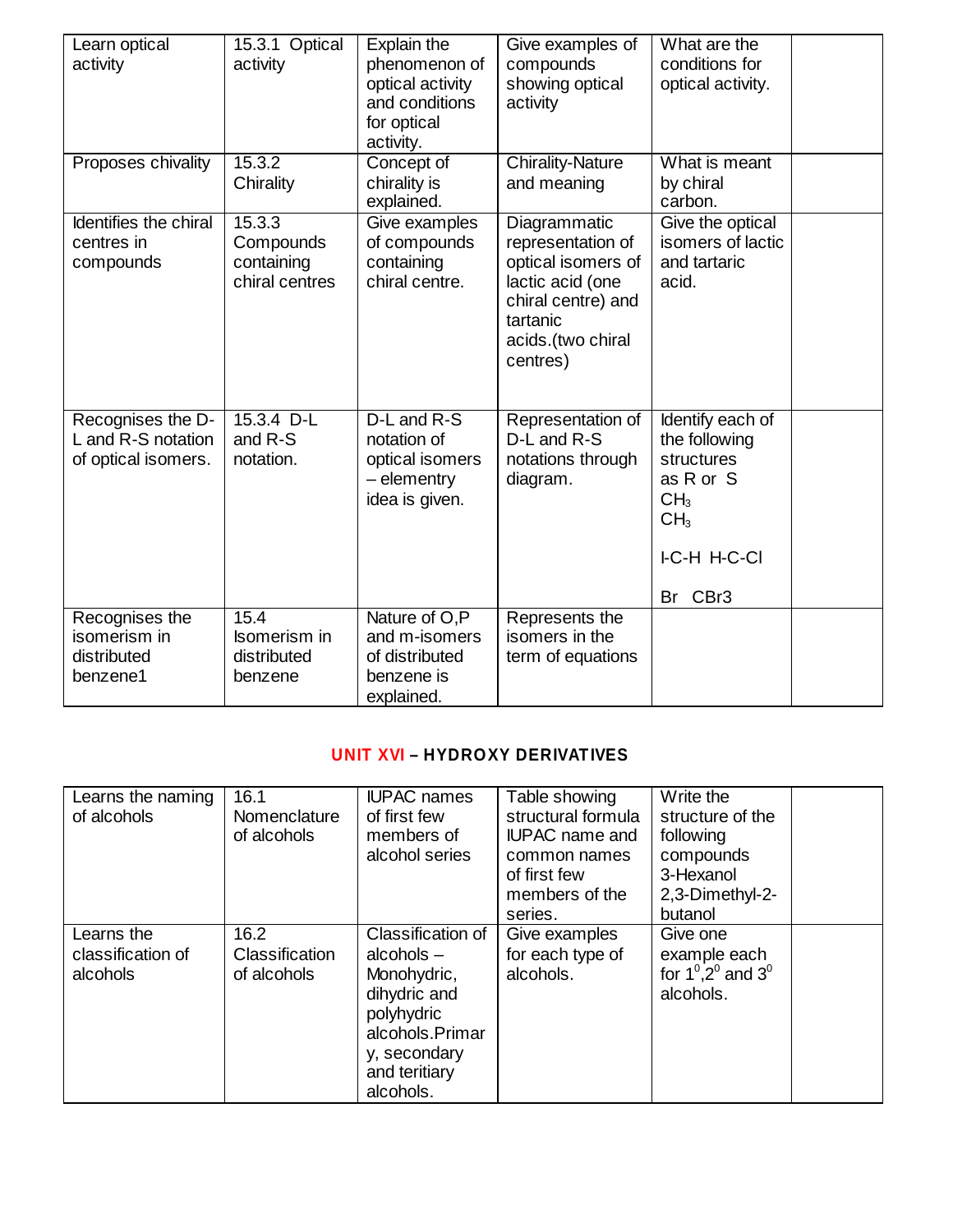| Learn optical<br>activity                                      | 15.3.1 Optical<br>activity                          | Explain the<br>phenomenon of<br>optical activity<br>and conditions<br>for optical<br>activity. | Give examples of<br>compounds<br>showing optical<br>activity                                                                                   | What are the<br>conditions for<br>optical activity.                                                                                     |  |
|----------------------------------------------------------------|-----------------------------------------------------|------------------------------------------------------------------------------------------------|------------------------------------------------------------------------------------------------------------------------------------------------|-----------------------------------------------------------------------------------------------------------------------------------------|--|
| Proposes chivality                                             | 15.3.2<br>Chirality                                 | Concept of<br>chirality is<br>explained.                                                       | <b>Chirality-Nature</b><br>and meaning                                                                                                         | What is meant<br>by chiral<br>carbon.                                                                                                   |  |
| Identifies the chiral<br>centres in<br>compounds               | 15.3.3<br>Compounds<br>containing<br>chiral centres | Give examples<br>of compounds<br>containing<br>chiral centre.                                  | Diagrammatic<br>representation of<br>optical isomers of<br>lactic acid (one<br>chiral centre) and<br>tartanic<br>acids.(two chiral<br>centres) | Give the optical<br>isomers of lactic<br>and tartaric<br>acid.                                                                          |  |
| Recognises the D-<br>L and R-S notation<br>of optical isomers. | $15.3.4$ D-L<br>and R-S<br>notation.                | D-L and R-S<br>notation of<br>optical isomers<br>$-$ elementry<br>idea is given.               | Representation of<br>D-L and R-S<br>notations through<br>diagram.                                                                              | Identify each of<br>the following<br>structures<br>as R or S<br>CH <sub>3</sub><br>CH <sub>3</sub><br><b>I-C-H H-C-CI</b><br>CBr3<br>Br |  |
| Recognises the<br>isomerism in<br>distributed<br>benzene1      | 15.4<br>Isomerism in<br>distributed<br>benzene      | Nature of O,P<br>and m-isomers<br>of distributed<br>benzene is<br>explained.                   | Represents the<br>isomers in the<br>term of equations                                                                                          |                                                                                                                                         |  |

### **UNIT XVI – HYDROXY DERIVATIVES**

| Learns the naming<br>of alcohols            | 16.1<br>Nomenclature<br>of alcohols          | <b>IUPAC</b> names<br>of first few<br>members of<br>alcohol series                                                                              | Table showing<br>structural formula<br><b>IUPAC</b> name and<br>common names<br>of first few<br>members of the<br>series. | Write the<br>structure of the<br>following<br>compounds<br>3-Hexanol<br>2,3-Dimethyl-2-<br>butanol |  |
|---------------------------------------------|----------------------------------------------|-------------------------------------------------------------------------------------------------------------------------------------------------|---------------------------------------------------------------------------------------------------------------------------|----------------------------------------------------------------------------------------------------|--|
| Learns the<br>classification of<br>alcohols | 16.2<br><b>Classification</b><br>of alcohols | Classification of<br>alcohols $-$<br>Monohydric,<br>dihydric and<br>polyhydric<br>alcohols.Primar<br>y, secondary<br>and teritiary<br>alcohols. | Give examples<br>for each type of<br>alcohols.                                                                            | Give one<br>example each<br>for $1^0, 2^0$ and $3^0$<br>alcohols.                                  |  |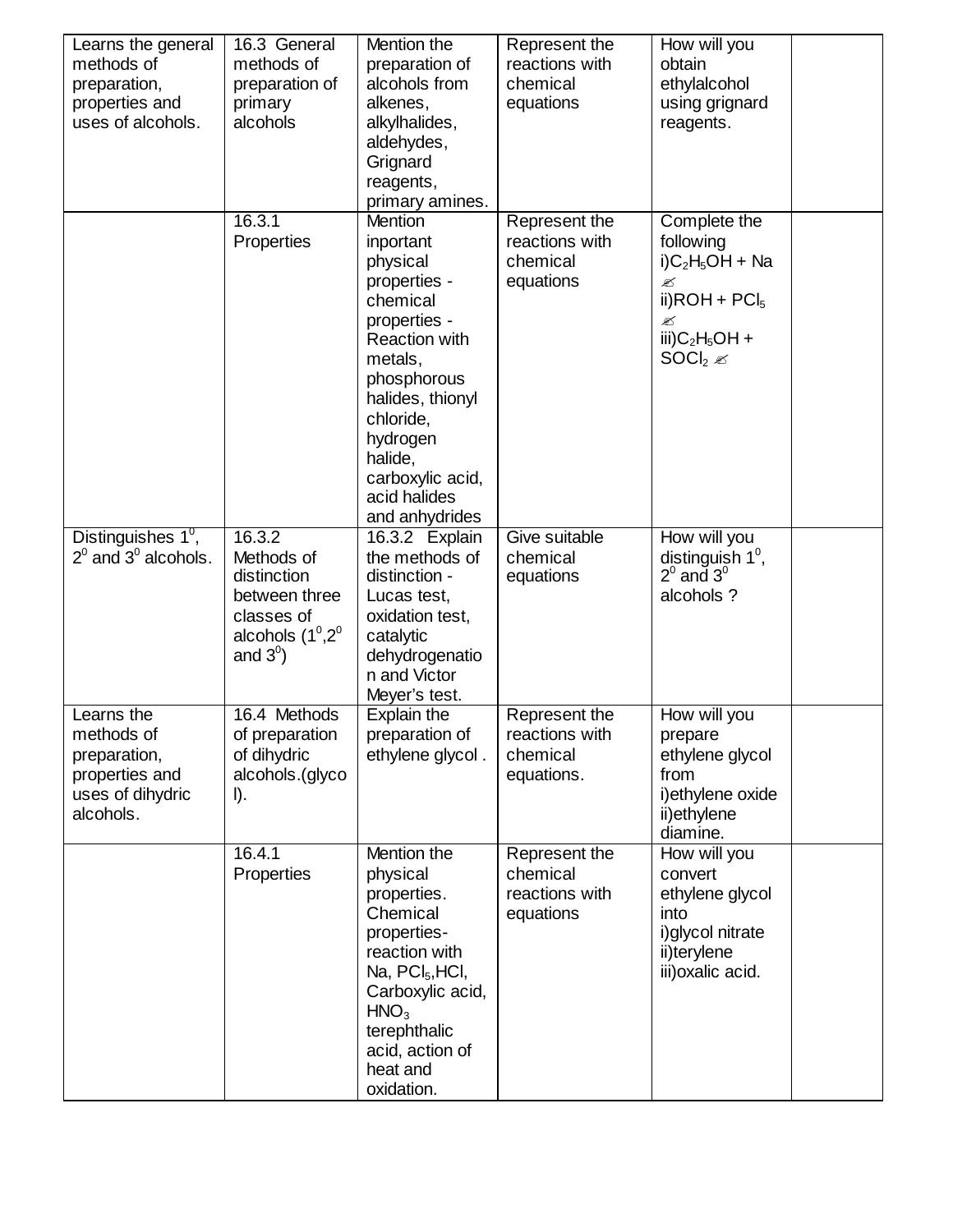| Learns the general<br>methods of<br>preparation,<br>properties and<br>uses of alcohols.     | 16.3 General<br>methods of<br>preparation of<br>primary<br>alcohols                                       | Mention the<br>preparation of<br>alcohols from<br>alkenes,<br>alkylhalides,<br>aldehydes,<br>Grignard<br>reagents,<br>primary amines.                                                                                                               | Represent the<br>reactions with<br>chemical<br>equations  | How will you<br>obtain<br>ethylalcohol<br>using grignard<br>reagents.                                                                           |
|---------------------------------------------------------------------------------------------|-----------------------------------------------------------------------------------------------------------|-----------------------------------------------------------------------------------------------------------------------------------------------------------------------------------------------------------------------------------------------------|-----------------------------------------------------------|-------------------------------------------------------------------------------------------------------------------------------------------------|
|                                                                                             | 16.3.1<br>Properties                                                                                      | <b>Mention</b><br>inportant<br>physical<br>properties -<br>chemical<br>properties -<br><b>Reaction with</b><br>metals,<br>phosphorous<br>halides, thionyl<br>chloride,<br>hydrogen<br>halide,<br>carboxylic acid,<br>acid halides<br>and anhydrides | Represent the<br>reactions with<br>chemical<br>equations  | Complete the<br>following<br>$i)C_2H_5OH + Na$<br>✍<br>ii) $ROH + PCI_5$<br>Ø<br>iii) $C_2H_5OH +$<br>SOCI <sub>2</sub> $\mathscr{\mathscr{C}}$ |
| Distinguishes 1 <sup>0</sup> ,<br>$2^0$ and $3^0$ alcohols.                                 | 16.3.2<br>Methods of<br>distinction<br>between three<br>classes of<br>alcohols $(1^0,2^0)$<br>and $3^0$ ) | 16.3.2 Explain<br>the methods of<br>distinction -<br>Lucas test,<br>oxidation test,<br>catalytic<br>dehydrogenatio<br>n and Victor<br>Meyer's test.                                                                                                 | Give suitable<br>chemical<br>equations                    | How will you<br>distinguish $1^\circ$ ,<br>$2^{\circ}$ and $3^{\circ}$<br>alcohols ?                                                            |
| Learns the<br>methods of<br>preparation,<br>properties and<br>uses of dihydric<br>alcohols. | 16.4 Methods<br>of preparation<br>of dihydric<br>alcohols.(glyco<br>$I$ ).                                | Explain the<br>preparation of<br>ethylene glycol.                                                                                                                                                                                                   | Represent the<br>reactions with<br>chemical<br>equations. | How will you<br>prepare<br>ethylene glycol<br>from<br>i) ethylene oxide<br>ii)ethylene<br>diamine.                                              |
|                                                                                             | 16.4.1<br>Properties                                                                                      | Mention the<br>physical<br>properties.<br>Chemical<br>properties-<br>reaction with<br>Na, $PCI5$ , HCI,<br>Carboxylic acid,<br>HNO <sub>3</sub><br>terephthalic<br>acid, action of<br>heat and<br>oxidation.                                        | Represent the<br>chemical<br>reactions with<br>equations  | How will you<br>convert<br>ethylene glycol<br>into<br>i) glycol nitrate<br>ii)terylene<br>iii) oxalic acid.                                     |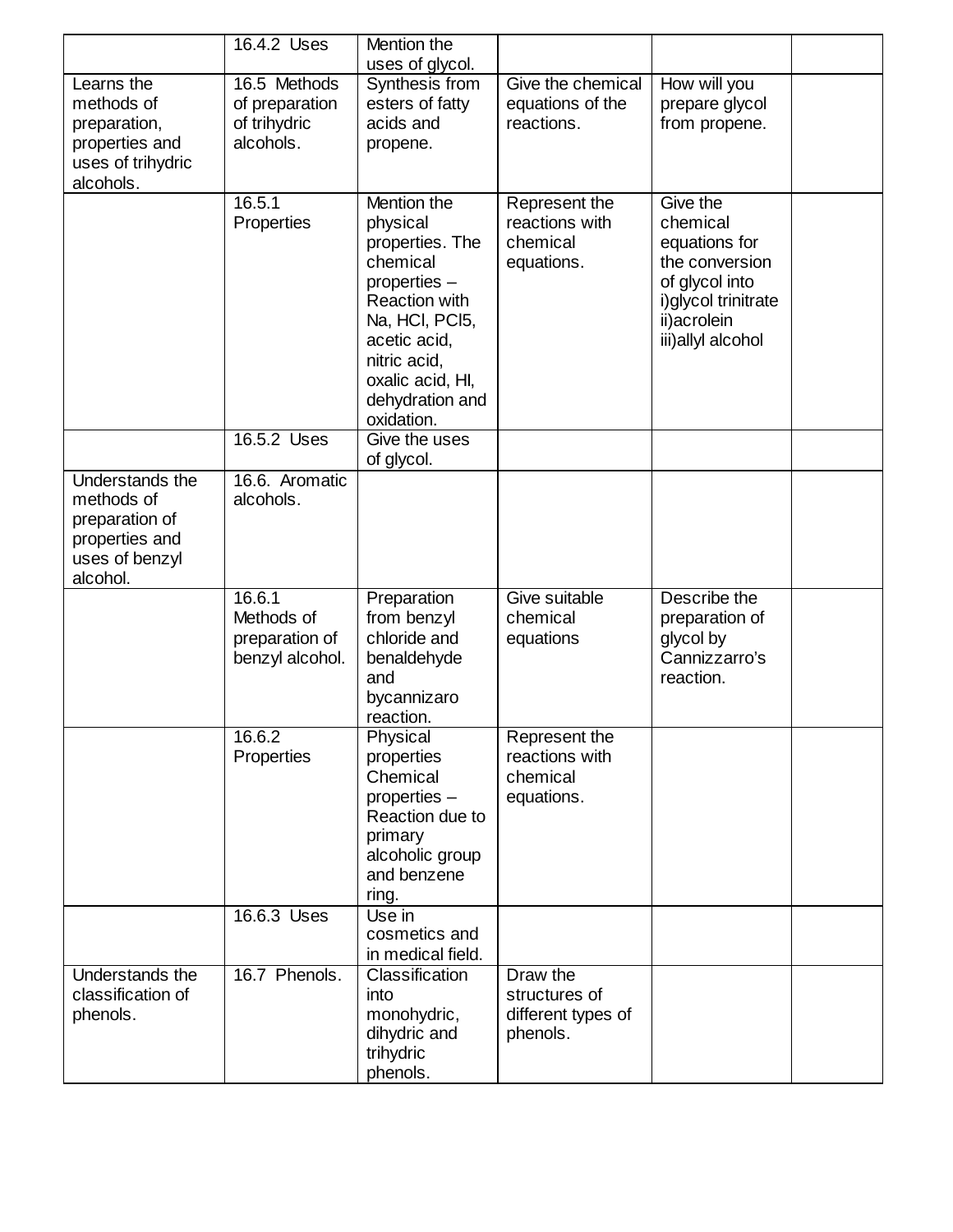|                                                                                                        | 16.4.2 Uses                                                 | Mention the<br>uses of glycol.                                                                                                                                                                 |                                                             |                                                                                                                                        |  |
|--------------------------------------------------------------------------------------------------------|-------------------------------------------------------------|------------------------------------------------------------------------------------------------------------------------------------------------------------------------------------------------|-------------------------------------------------------------|----------------------------------------------------------------------------------------------------------------------------------------|--|
| Learns the<br>methods of<br>preparation,<br>properties and<br>uses of trihydric<br>alcohols.           | 16.5 Methods<br>of preparation<br>of trihydric<br>alcohols. | Synthesis from<br>esters of fatty<br>acids and<br>propene.                                                                                                                                     | Give the chemical<br>equations of the<br>reactions.         | How will you<br>prepare glycol<br>from propene.                                                                                        |  |
|                                                                                                        | 16.5.1<br>Properties                                        | Mention the<br>physical<br>properties. The<br>chemical<br>properties -<br>Reaction with<br>Na, HCI, PCI5,<br>acetic acid,<br>nitric acid,<br>oxalic acid, HI,<br>dehydration and<br>oxidation. | Represent the<br>reactions with<br>chemical<br>equations.   | Give the<br>chemical<br>equations for<br>the conversion<br>of glycol into<br>i) glycol trinitrate<br>ii)acrolein<br>iii) allyl alcohol |  |
|                                                                                                        | 16.5.2 Uses                                                 | Give the uses<br>of glycol.                                                                                                                                                                    |                                                             |                                                                                                                                        |  |
| <b>Understands the</b><br>methods of<br>preparation of<br>properties and<br>uses of benzyl<br>alcohol. | 16.6. Aromatic<br>alcohols.                                 |                                                                                                                                                                                                |                                                             |                                                                                                                                        |  |
|                                                                                                        | 16.6.1<br>Methods of<br>preparation of<br>benzyl alcohol.   | Preparation<br>from benzyl<br>chloride and<br>benaldehyde<br>and<br>bycannizaro<br>reaction.                                                                                                   | Give suitable<br>chemical<br>equations                      | Describe the<br>preparation of<br>glycol by<br>Cannizzarro's<br>reaction.                                                              |  |
|                                                                                                        | 16.6.2<br>Properties                                        | Physical<br>properties<br>Chemical<br>properties -<br>Reaction due to<br>primary<br>alcoholic group<br>and benzene<br>ring.                                                                    | Represent the<br>reactions with<br>chemical<br>equations.   |                                                                                                                                        |  |
|                                                                                                        | 16.6.3 Uses                                                 | Use in<br>cosmetics and<br>in medical field.                                                                                                                                                   |                                                             |                                                                                                                                        |  |
| Understands the<br>classification of<br>phenols.                                                       | 16.7 Phenols.                                               | Classification<br>into<br>monohydric,<br>dihydric and<br>trihydric<br>phenols.                                                                                                                 | Draw the<br>structures of<br>different types of<br>phenols. |                                                                                                                                        |  |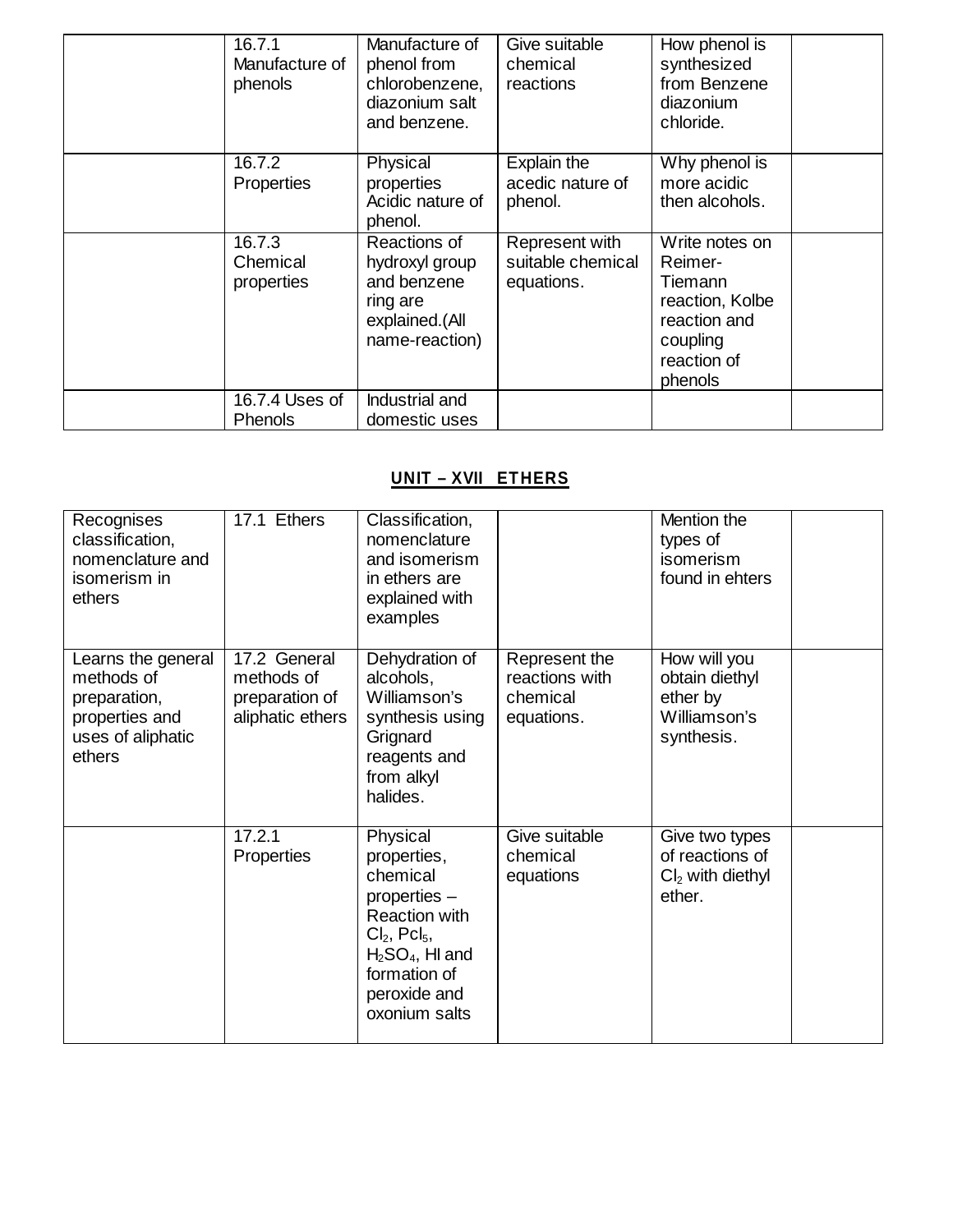| 16.7.1<br>Manufacture of<br>phenols | Manufacture of<br>phenol from<br>chlorobenzene,<br>diazonium salt<br>and benzene.             | Give suitable<br>chemical<br>reactions            | How phenol is<br>synthesized<br>from Benzene<br>diazonium<br>chloride.                                        |  |
|-------------------------------------|-----------------------------------------------------------------------------------------------|---------------------------------------------------|---------------------------------------------------------------------------------------------------------------|--|
| 16.7.2<br>Properties                | Physical<br>properties<br>Acidic nature of<br>phenol.                                         | Explain the<br>acedic nature of<br>phenol.        | Why phenol is<br>more acidic<br>then alcohols.                                                                |  |
| 16.7.3<br>Chemical<br>properties    | Reactions of<br>hydroxyl group<br>and benzene<br>ring are<br>explained.(All<br>name-reaction) | Represent with<br>suitable chemical<br>equations. | Write notes on<br>Reimer-<br>Tiemann<br>reaction, Kolbe<br>reaction and<br>coupling<br>reaction of<br>phenols |  |
| 16.7.4 Uses of<br><b>Phenols</b>    | Industrial and<br>domestic uses                                                               |                                                   |                                                                                                               |  |

# **UNIT – XVII ETHERS**

| Recognises<br>classification,<br>nomenclature and<br>isomerism in<br>ethers                       | 17.1 Ethers                                                      | Classification,<br>nomenclature<br>and isomerism<br>in ethers are<br>explained with<br>examples                                                                           |                                                           | Mention the<br>types of<br>isomerism<br>found in ehters                  |  |
|---------------------------------------------------------------------------------------------------|------------------------------------------------------------------|---------------------------------------------------------------------------------------------------------------------------------------------------------------------------|-----------------------------------------------------------|--------------------------------------------------------------------------|--|
| Learns the general<br>methods of<br>preparation,<br>properties and<br>uses of aliphatic<br>ethers | 17.2 General<br>methods of<br>preparation of<br>aliphatic ethers | Dehydration of<br>alcohols,<br>Williamson's<br>synthesis using<br>Grignard<br>reagents and<br>from alkyl<br>halides.                                                      | Represent the<br>reactions with<br>chemical<br>equations. | How will you<br>obtain diethyl<br>ether by<br>Williamson's<br>synthesis. |  |
|                                                                                                   | 17.2.1<br>Properties                                             | Physical<br>properties,<br>chemical<br>properties $-$<br>Reaction with<br>$Cl2$ , Pcl <sub>5</sub> ,<br>$H2SO4$ , HI and<br>formation of<br>peroxide and<br>oxonium salts | Give suitable<br>chemical<br>equations                    | Give two types<br>of reactions of<br>$Cl2$ with diethyl<br>ether.        |  |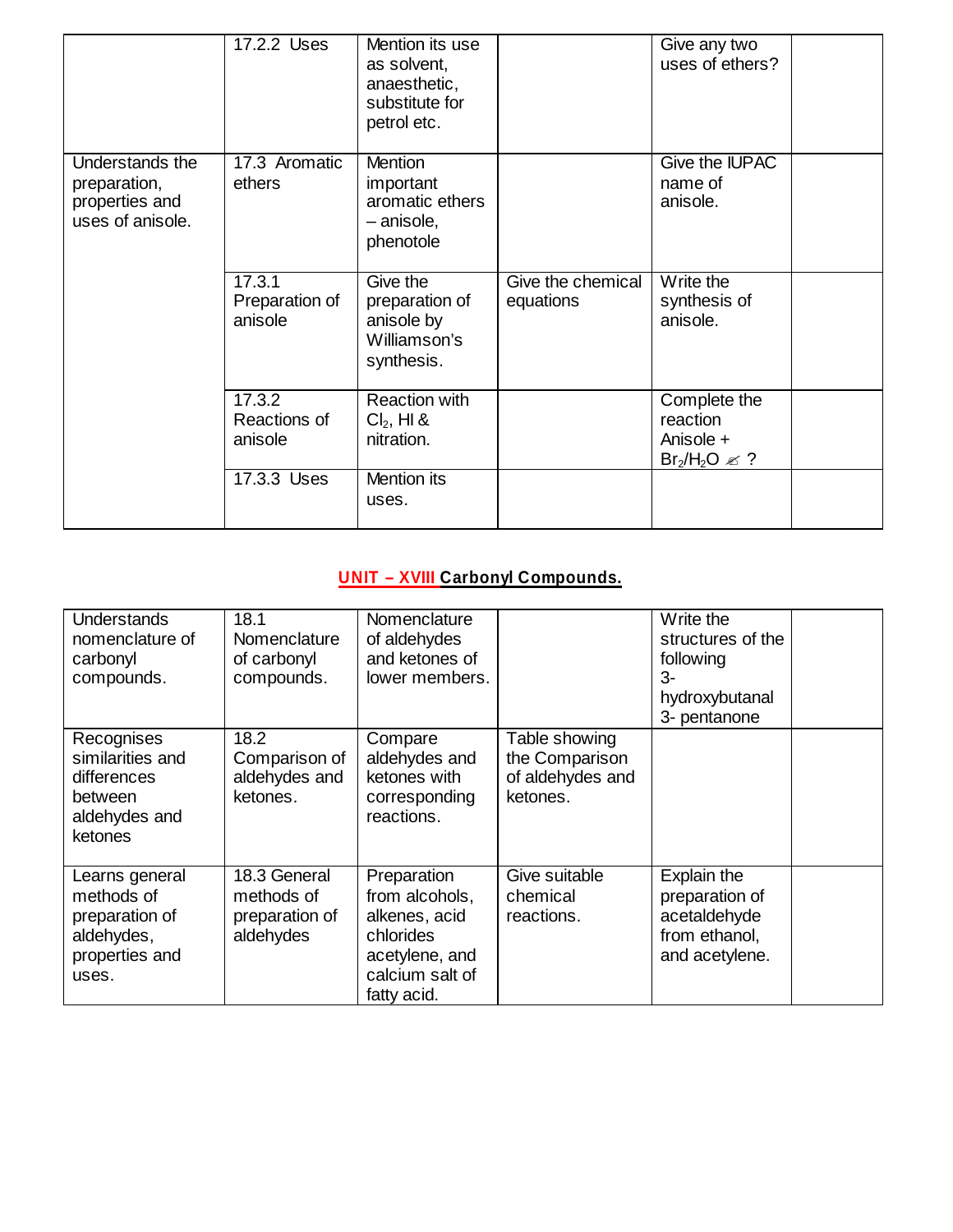|                                                                       | 17.2.2 Uses                         | Mention its use<br>as solvent,<br>anaesthetic,<br>substitute for<br>petrol etc. |                                | Give any two<br>uses of ethers?                            |  |
|-----------------------------------------------------------------------|-------------------------------------|---------------------------------------------------------------------------------|--------------------------------|------------------------------------------------------------|--|
| Understands the<br>preparation,<br>properties and<br>uses of anisole. | 17.3 Aromatic<br>ethers             | <b>Mention</b><br>important<br>aromatic ethers<br>- anisole,<br>phenotole       |                                | Give the IUPAC<br>name of<br>anisole.                      |  |
|                                                                       | 17.3.1<br>Preparation of<br>anisole | Give the<br>preparation of<br>anisole by<br>Williamson's<br>synthesis.          | Give the chemical<br>equations | Write the<br>synthesis of<br>anisole.                      |  |
|                                                                       | 17.3.2<br>Reactions of<br>anisole   | <b>Reaction with</b><br>$Cl2$ , HI &<br>nitration.                              |                                | Complete the<br>reaction<br>Anisole +<br>$Br_2/H_2O \ll ?$ |  |
|                                                                       | 17.3.3 Uses                         | Mention its<br>uses.                                                            |                                |                                                            |  |

# **UNIT – XVIII Carbonyl Compounds.**

| <b>Understands</b><br>nomenclature of<br>carbonyl<br>compounds.                         | 18.1<br>Nomenclature<br>of carbonyl<br>compounds.         | Nomenclature<br>of aldehydes<br>and ketones of<br>lower members.                                                |                                                                 | Write the<br>structures of the<br>following<br>3-<br>hydroxybutanal<br>3- pentanone |  |
|-----------------------------------------------------------------------------------------|-----------------------------------------------------------|-----------------------------------------------------------------------------------------------------------------|-----------------------------------------------------------------|-------------------------------------------------------------------------------------|--|
| Recognises<br>similarities and<br>differences<br>between<br>aldehydes and<br>ketones    | 18.2<br>Comparison of<br>aldehydes and<br>ketones.        | Compare<br>aldehydes and<br>ketones with<br>corresponding<br>reactions.                                         | Table showing<br>the Comparison<br>of aldehydes and<br>ketones. |                                                                                     |  |
| Learns general<br>methods of<br>preparation of<br>aldehydes,<br>properties and<br>uses. | 18.3 General<br>methods of<br>preparation of<br>aldehydes | Preparation<br>from alcohols,<br>alkenes, acid<br>chlorides<br>acetylene, and<br>calcium salt of<br>fatty acid. | Give suitable<br>chemical<br>reactions.                         | Explain the<br>preparation of<br>acetaldehyde<br>from ethanol.<br>and acetylene.    |  |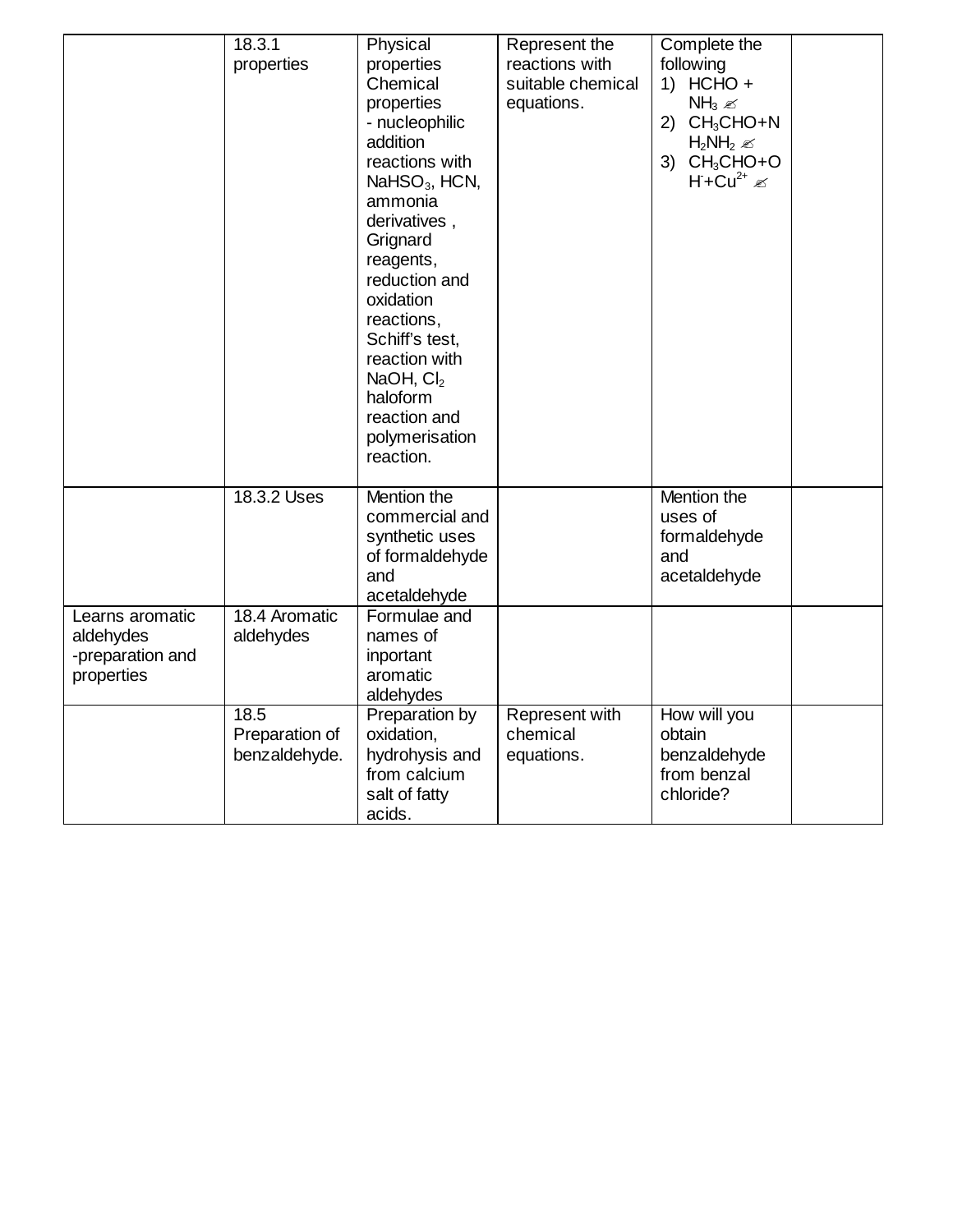|                  | 18.3.1         | Physical        | Represent the     | Complete the              |  |
|------------------|----------------|-----------------|-------------------|---------------------------|--|
|                  | properties     | properties      | reactions with    | following                 |  |
|                  |                | Chemical        | suitable chemical | 1) HCHO $+$               |  |
|                  |                | properties      | equations.        | $NH3$ $\ll$               |  |
|                  |                | - nucleophilic  |                   | 2) $CH3CHO+N$             |  |
|                  |                | addition        |                   | $H_2NH_2 \mathcal{L}$     |  |
|                  |                | reactions with  |                   | 3) $CH3CHO+O$             |  |
|                  |                | $NaHSO3$ , HCN, |                   | $H + Cu^{2+} \mathscr{A}$ |  |
|                  |                | ammonia         |                   |                           |  |
|                  |                | derivatives,    |                   |                           |  |
|                  |                | Grignard        |                   |                           |  |
|                  |                | reagents,       |                   |                           |  |
|                  |                | reduction and   |                   |                           |  |
|                  |                | oxidation       |                   |                           |  |
|                  |                | reactions,      |                   |                           |  |
|                  |                | Schiff's test,  |                   |                           |  |
|                  |                | reaction with   |                   |                           |  |
|                  |                | NaOH, $Cl2$     |                   |                           |  |
|                  |                | haloform        |                   |                           |  |
|                  |                | reaction and    |                   |                           |  |
|                  |                | polymerisation  |                   |                           |  |
|                  |                | reaction.       |                   |                           |  |
|                  |                |                 |                   |                           |  |
|                  | 18.3.2 Uses    | Mention the     |                   | Mention the               |  |
|                  |                | commercial and  |                   | uses of                   |  |
|                  |                | synthetic uses  |                   | formaldehyde              |  |
|                  |                | of formaldehyde |                   | and                       |  |
|                  |                | and             |                   | acetaldehyde              |  |
|                  |                | acetaldehyde    |                   |                           |  |
| Learns aromatic  | 18.4 Aromatic  | Formulae and    |                   |                           |  |
| aldehydes        | aldehydes      | names of        |                   |                           |  |
| -preparation and |                | inportant       |                   |                           |  |
| properties       |                | aromatic        |                   |                           |  |
|                  |                | aldehydes       |                   |                           |  |
|                  | 18.5           | Preparation by  | Represent with    | How will you              |  |
|                  | Preparation of | oxidation,      | chemical          | obtain                    |  |
|                  | benzaldehyde.  | hydrohysis and  | equations.        | benzaldehyde              |  |
|                  |                | from calcium    |                   | from benzal               |  |
|                  |                | salt of fatty   |                   | chloride?                 |  |
|                  |                | acids.          |                   |                           |  |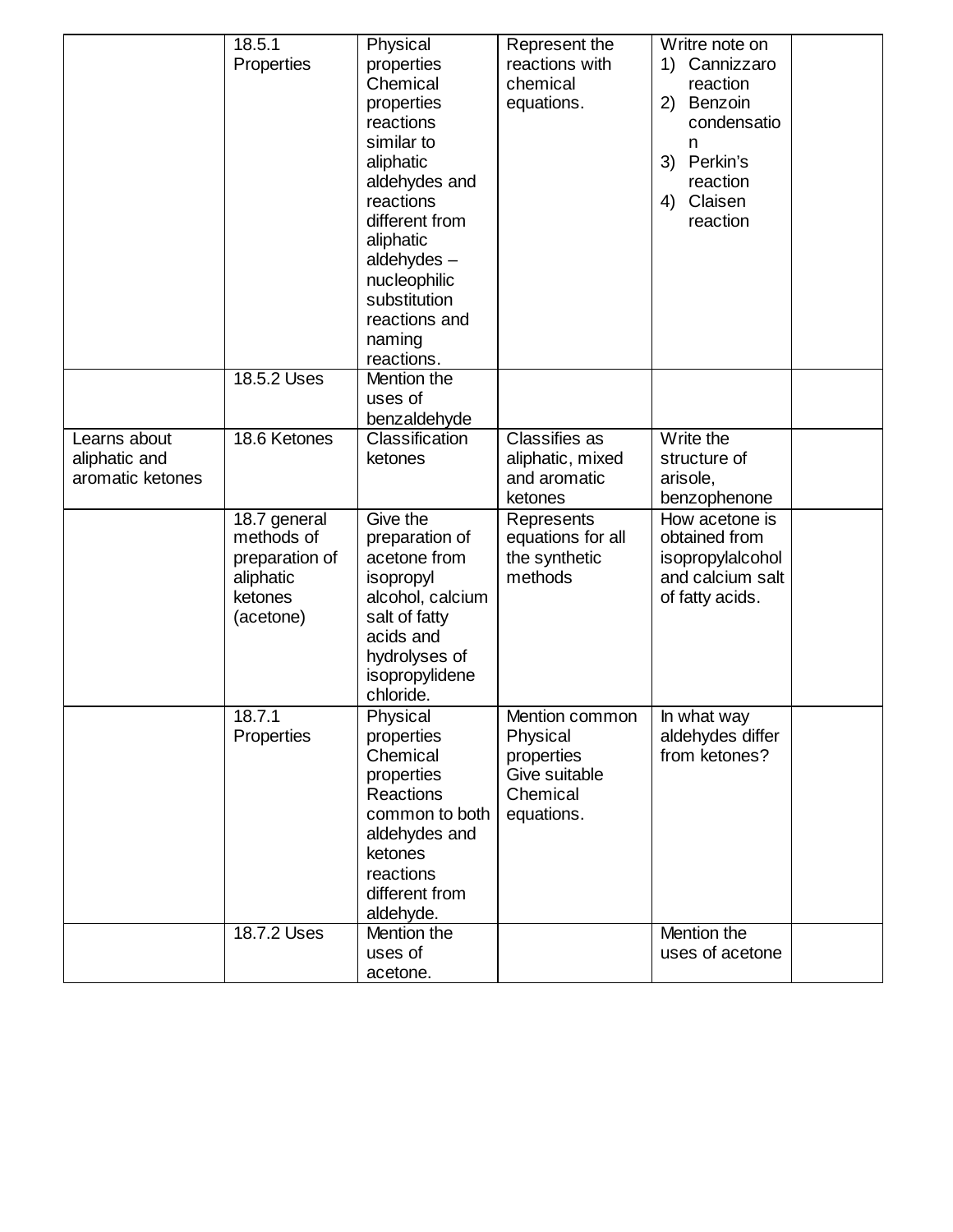|                  | 18.5.1               | Physical                        | Represent the            | Writre note on   |  |
|------------------|----------------------|---------------------------------|--------------------------|------------------|--|
|                  | Properties           | properties                      | reactions with           | Cannizzaro<br>1) |  |
|                  |                      | Chemical                        | chemical                 | reaction         |  |
|                  |                      | properties                      | equations.               | 2) Benzoin       |  |
|                  |                      | reactions                       |                          | condensatio      |  |
|                  |                      | similar to                      |                          | n                |  |
|                  |                      | aliphatic                       |                          | Perkin's<br>3)   |  |
|                  |                      | aldehydes and                   |                          | reaction         |  |
|                  |                      | reactions                       |                          | Claisen<br>4)    |  |
|                  |                      | different from                  |                          | reaction         |  |
|                  |                      | aliphatic                       |                          |                  |  |
|                  |                      | aldehydes $-$                   |                          |                  |  |
|                  |                      | nucleophilic                    |                          |                  |  |
|                  |                      | substitution                    |                          |                  |  |
|                  |                      | reactions and                   |                          |                  |  |
|                  |                      | naming                          |                          |                  |  |
|                  |                      | reactions.                      |                          |                  |  |
|                  | 18.5.2 Uses          | Mention the                     |                          |                  |  |
|                  |                      | uses of                         |                          |                  |  |
|                  |                      | benzaldehyde                    |                          |                  |  |
| Learns about     | 18.6 Ketones         | Classification                  | <b>Classifies as</b>     | Write the        |  |
| aliphatic and    |                      | ketones                         | aliphatic, mixed         | structure of     |  |
| aromatic ketones |                      |                                 | and aromatic             | arisole,         |  |
|                  |                      |                                 | ketones                  | benzophenone     |  |
|                  | 18.7 general         | Give the                        | Represents               | How acetone is   |  |
|                  | methods of           | preparation of                  | equations for all        | obtained from    |  |
|                  | preparation of       | acetone from                    | the synthetic<br>methods | isopropylalcohol |  |
|                  | aliphatic<br>ketones | isopropyl                       |                          | and calcium salt |  |
|                  |                      | alcohol, calcium                |                          | of fatty acids.  |  |
|                  | (acetone)            | salt of fatty<br>acids and      |                          |                  |  |
|                  |                      |                                 |                          |                  |  |
|                  |                      | hydrolyses of<br>isopropylidene |                          |                  |  |
|                  |                      | chloride.                       |                          |                  |  |
|                  | 18.7.1               | Physical                        | Mention common           | In what way      |  |
|                  | Properties           | properties                      | Physical                 | aldehydes differ |  |
|                  |                      | Chemical                        | properties               | from ketones?    |  |
|                  |                      | properties                      | Give suitable            |                  |  |
|                  |                      | Reactions                       | Chemical                 |                  |  |
|                  |                      | common to both                  | equations.               |                  |  |
|                  |                      | aldehydes and                   |                          |                  |  |
|                  |                      | ketones                         |                          |                  |  |
|                  |                      | reactions                       |                          |                  |  |
|                  |                      | different from                  |                          |                  |  |
|                  |                      | aldehyde.                       |                          |                  |  |
|                  |                      |                                 |                          | Mention the      |  |
|                  | 18.7.2 Uses          | Mention the                     |                          |                  |  |
|                  |                      | uses of                         |                          | uses of acetone  |  |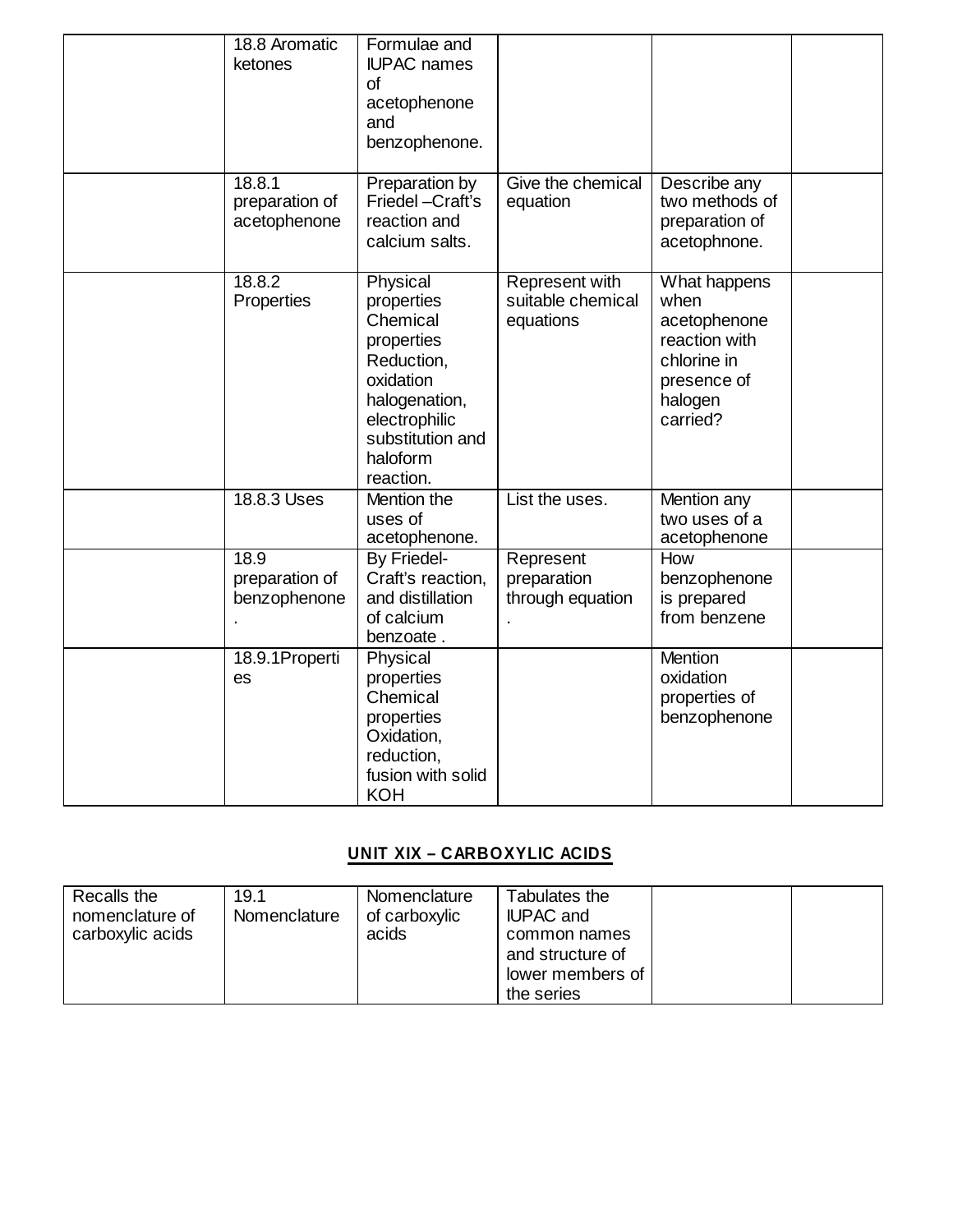| 18.8 Aromatic<br>ketones                 | Formulae and<br><b>IUPAC</b> names<br><b>of</b><br>acetophenone<br>and<br>benzophenone.                                                                    |                                                  |                                                                                                            |  |
|------------------------------------------|------------------------------------------------------------------------------------------------------------------------------------------------------------|--------------------------------------------------|------------------------------------------------------------------------------------------------------------|--|
| 18.8.1<br>preparation of<br>acetophenone | Preparation by<br>Friedel -Craft's<br>reaction and<br>calcium salts.                                                                                       | Give the chemical<br>equation                    | Describe any<br>two methods of<br>preparation of<br>acetophnone.                                           |  |
| 18.8.2<br>Properties                     | Physical<br>properties<br>Chemical<br>properties<br>Reduction,<br>oxidation<br>halogenation,<br>electrophilic<br>substitution and<br>haloform<br>reaction. | Represent with<br>suitable chemical<br>equations | What happens<br>when<br>acetophenone<br>reaction with<br>chlorine in<br>presence of<br>halogen<br>carried? |  |
| 18.8.3 Uses                              | Mention the<br>uses of<br>acetophenone.                                                                                                                    | List the uses.                                   | Mention any<br>two uses of a<br>acetophenone                                                               |  |
| 18.9<br>preparation of<br>benzophenone   | By Friedel-<br>Craft's reaction,<br>and distillation<br>of calcium<br>benzoate.                                                                            | Represent<br>preparation<br>through equation     | How<br>benzophenone<br>is prepared<br>from benzene                                                         |  |
| 18.9.1Properti<br>es                     | Physical<br>properties<br>Chemical<br>properties<br>Oxidation,<br>reduction,<br>fusion with solid<br><b>KOH</b>                                            |                                                  | <b>Mention</b><br>oxidation<br>properties of<br>benzophenone                                               |  |

## **UNIT XIX – CARBOXYLIC ACIDS**

| Recalls the<br>nomenclature of<br>carboxylic acids | 19.1<br>Nomenclature | Nomenclature<br>of carboxylic<br>acids | Tabulates the<br><b>IUPAC and</b><br>common names<br>and structure of<br>lower members of |  |
|----------------------------------------------------|----------------------|----------------------------------------|-------------------------------------------------------------------------------------------|--|
|                                                    |                      |                                        | the series                                                                                |  |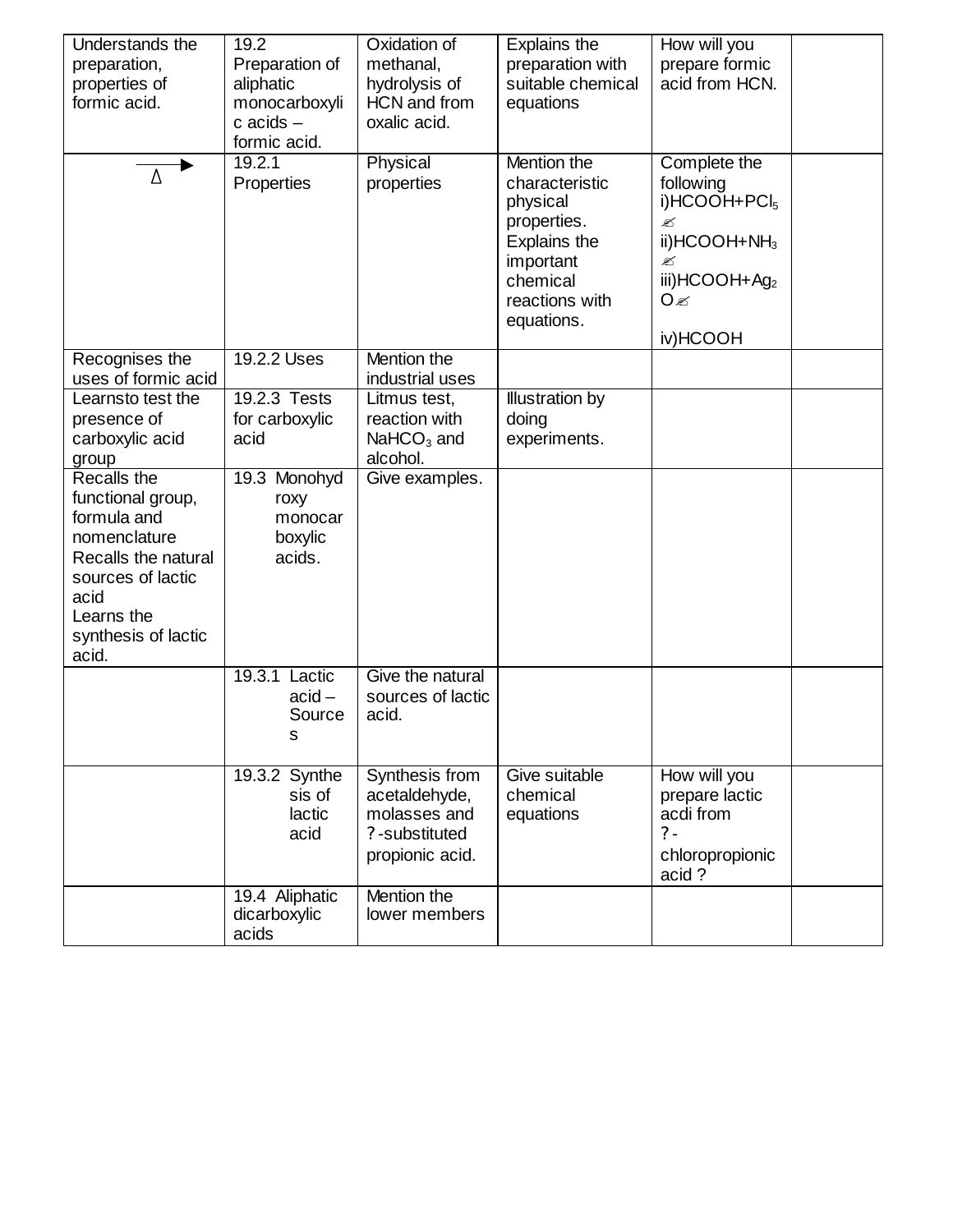| Understands the              | 19.2             | Oxidation of      | Explains the      | How will you                     |  |
|------------------------------|------------------|-------------------|-------------------|----------------------------------|--|
| preparation,                 | Preparation of   | methanal,         | preparation with  | prepare formic                   |  |
| properties of                | aliphatic        | hydrolysis of     | suitable chemical | acid from HCN.                   |  |
| formic acid.                 | monocarboxyli    | HCN and from      | equations         |                                  |  |
|                              | $c$ acids $-$    | oxalic acid.      |                   |                                  |  |
|                              | formic acid.     |                   |                   |                                  |  |
| Δ                            | 19.2.1           | Physical          | Mention the       | Complete the                     |  |
|                              | Properties       | properties        | characteristic    | following                        |  |
|                              |                  |                   | physical          | i)HCOOH+PCI <sub>5</sub>         |  |
|                              |                  |                   | properties.       | ✍                                |  |
|                              |                  |                   | Explains the      | ii) $HCOOH + NH3$                |  |
|                              |                  |                   | important         | ✍                                |  |
|                              |                  |                   | chemical          | iii)HCOOH+Ag <sub>2</sub><br>O ≪ |  |
|                              |                  |                   | reactions with    |                                  |  |
|                              |                  |                   | equations.        | iv)HCOOH                         |  |
| Recognises the               | 19.2.2 Uses      | Mention the       |                   |                                  |  |
| uses of formic acid          |                  | industrial uses   |                   |                                  |  |
| Learnsto test the            | 19.2.3 Tests     | Litmus test,      | Illustration by   |                                  |  |
| presence of                  | for carboxylic   | reaction with     | doing             |                                  |  |
| carboxylic acid              | acid             | $NaHCO3$ and      | experiments.      |                                  |  |
| group                        |                  | alcohol.          |                   |                                  |  |
| Recalls the                  | 19.3 Monohyd     | Give examples.    |                   |                                  |  |
| functional group,            | roxy             |                   |                   |                                  |  |
| formula and                  | monocar          |                   |                   |                                  |  |
| nomenclature                 | boxylic          |                   |                   |                                  |  |
| Recalls the natural          | acids.           |                   |                   |                                  |  |
| sources of lactic            |                  |                   |                   |                                  |  |
| acid                         |                  |                   |                   |                                  |  |
| Learns the                   |                  |                   |                   |                                  |  |
| synthesis of lactic<br>acid. |                  |                   |                   |                                  |  |
|                              | 19.3.1<br>Lactic | Give the natural  |                   |                                  |  |
|                              | $acid -$         | sources of lactic |                   |                                  |  |
|                              | Source           | acid.             |                   |                                  |  |
|                              | s                |                   |                   |                                  |  |
|                              |                  |                   |                   |                                  |  |
|                              | 19.3.2 Synthe    | Synthesis from    | Give suitable     | How will you                     |  |
|                              | sis of           | acetaldehyde,     | chemical          | prepare lactic                   |  |
|                              | lactic           | molasses and      | equations         | acdi from                        |  |
|                              | acid             | ?-substituted     |                   | $? -$                            |  |
|                              |                  | propionic acid.   |                   | chloropropionic                  |  |
|                              |                  |                   |                   | acid?                            |  |
|                              | 19.4 Aliphatic   | Mention the       |                   |                                  |  |
|                              | dicarboxylic     | lower members     |                   |                                  |  |
|                              | acids            |                   |                   |                                  |  |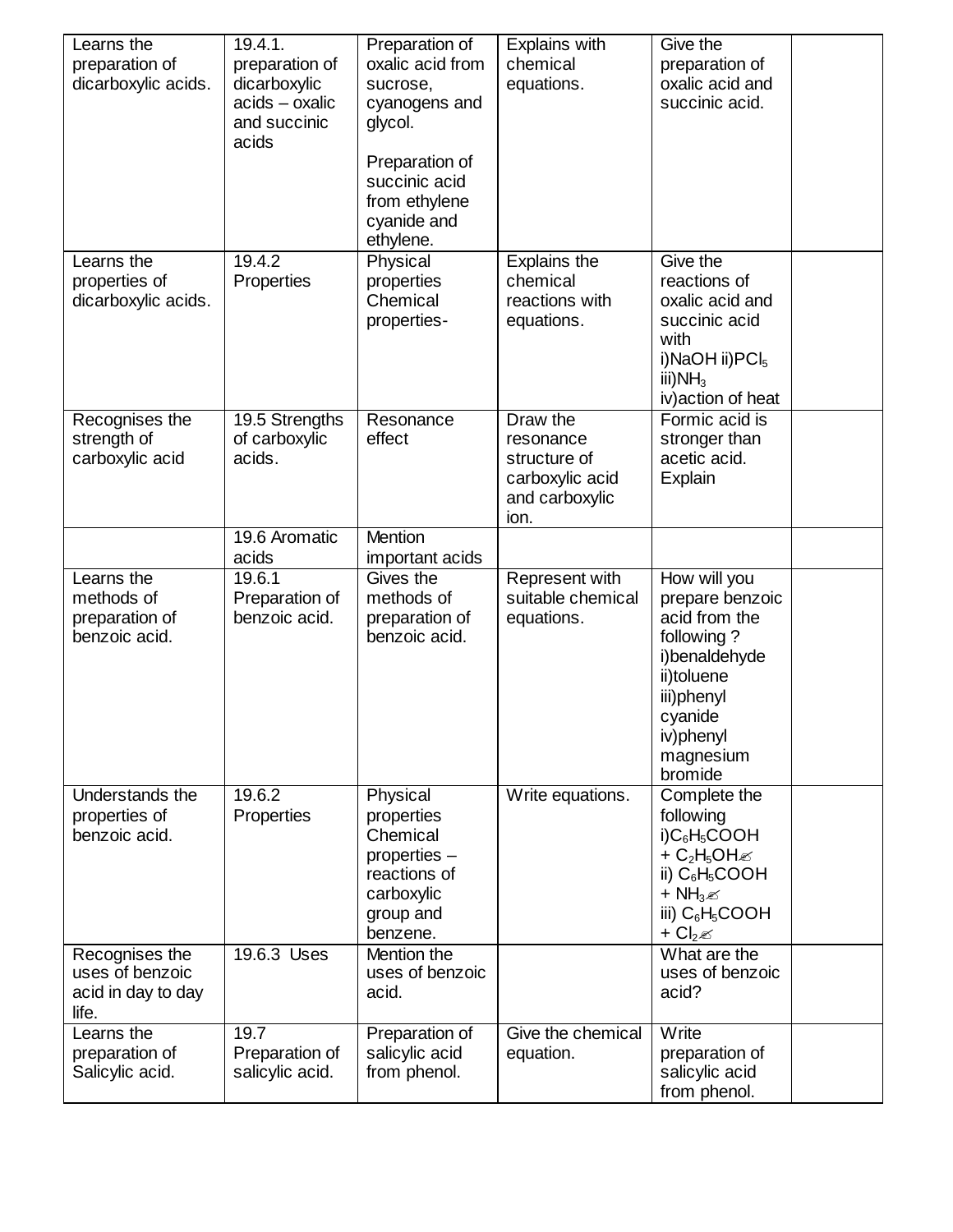| Learns the<br>preparation of<br>dicarboxylic acids.              | 19.4.1.<br>preparation of<br>dicarboxylic<br>$acids - oxalic$<br>and succinic<br>acids | Preparation of<br>oxalic acid from<br>sucrose.<br>cyanogens and<br>glycol.<br>Preparation of<br>succinic acid<br>from ethylene<br>cyanide and<br>ethylene. | Explains with<br>chemical<br>equations.                                            | Give the<br>preparation of<br>oxalic acid and<br>succinic acid.                                                                                             |  |
|------------------------------------------------------------------|----------------------------------------------------------------------------------------|------------------------------------------------------------------------------------------------------------------------------------------------------------|------------------------------------------------------------------------------------|-------------------------------------------------------------------------------------------------------------------------------------------------------------|--|
| Learns the<br>properties of<br>dicarboxylic acids.               | 19.4.2<br>Properties                                                                   | Physical<br>properties<br>Chemical<br>properties-                                                                                                          | Explains the<br>chemical<br>reactions with<br>equations.                           | Give the<br>reactions of<br>oxalic acid and<br>succinic acid<br>with<br>i)NaOH ii)PCI <sub>5</sub><br>iii) $NH3$<br>iv) action of heat                      |  |
| Recognises the<br>strength of<br>carboxylic acid                 | 19.5 Strengths<br>of carboxylic<br>acids.                                              | Resonance<br>effect                                                                                                                                        | Draw the<br>resonance<br>structure of<br>carboxylic acid<br>and carboxylic<br>ion. | Formic acid is<br>stronger than<br>acetic acid.<br>Explain                                                                                                  |  |
|                                                                  | 19.6 Aromatic<br>acids                                                                 | Mention<br>important acids                                                                                                                                 |                                                                                    |                                                                                                                                                             |  |
| Learns the<br>methods of<br>preparation of<br>benzoic acid.      | 19.6.1<br>Preparation of<br>benzoic acid.                                              | Gives the<br>methods of<br>preparation of<br>benzoic acid.                                                                                                 | Represent with<br>suitable chemical<br>equations.                                  | How will you<br>prepare benzoic<br>acid from the<br>following?<br>i)benaldehyde<br>ii)toluene<br>iii)phenyl<br>cyanide<br>iv)phenyl<br>magnesium<br>bromide |  |
| Understands the<br>properties of<br>benzoic acid.                | 19.6.2<br>Properties                                                                   | Physical<br>properties<br>Chemical<br>properties -<br>reactions of<br>carboxylic<br>group and<br>benzene.                                                  | Write equations.                                                                   | Complete the<br>following<br>$i)C_6H_5COOH$<br>+ $C_2H_5OH \otimes$<br>ii) $C_6H_5COOH$<br>+ $NH3$<br>iii) $C_6H_5COOH$<br>+ $Cl2 \mathscr{A}$              |  |
| Recognises the<br>uses of benzoic<br>acid in day to day<br>life. | 19.6.3 Uses                                                                            | Mention the<br>uses of benzoic<br>acid.                                                                                                                    |                                                                                    | What are the<br>uses of benzoic<br>acid?                                                                                                                    |  |
| Learns the<br>preparation of<br>Salicylic acid.                  | 19.7<br>Preparation of<br>salicylic acid.                                              | Preparation of<br>salicylic acid<br>from phenol.                                                                                                           | Give the chemical<br>equation.                                                     | Write<br>preparation of<br>salicylic acid<br>from phenol.                                                                                                   |  |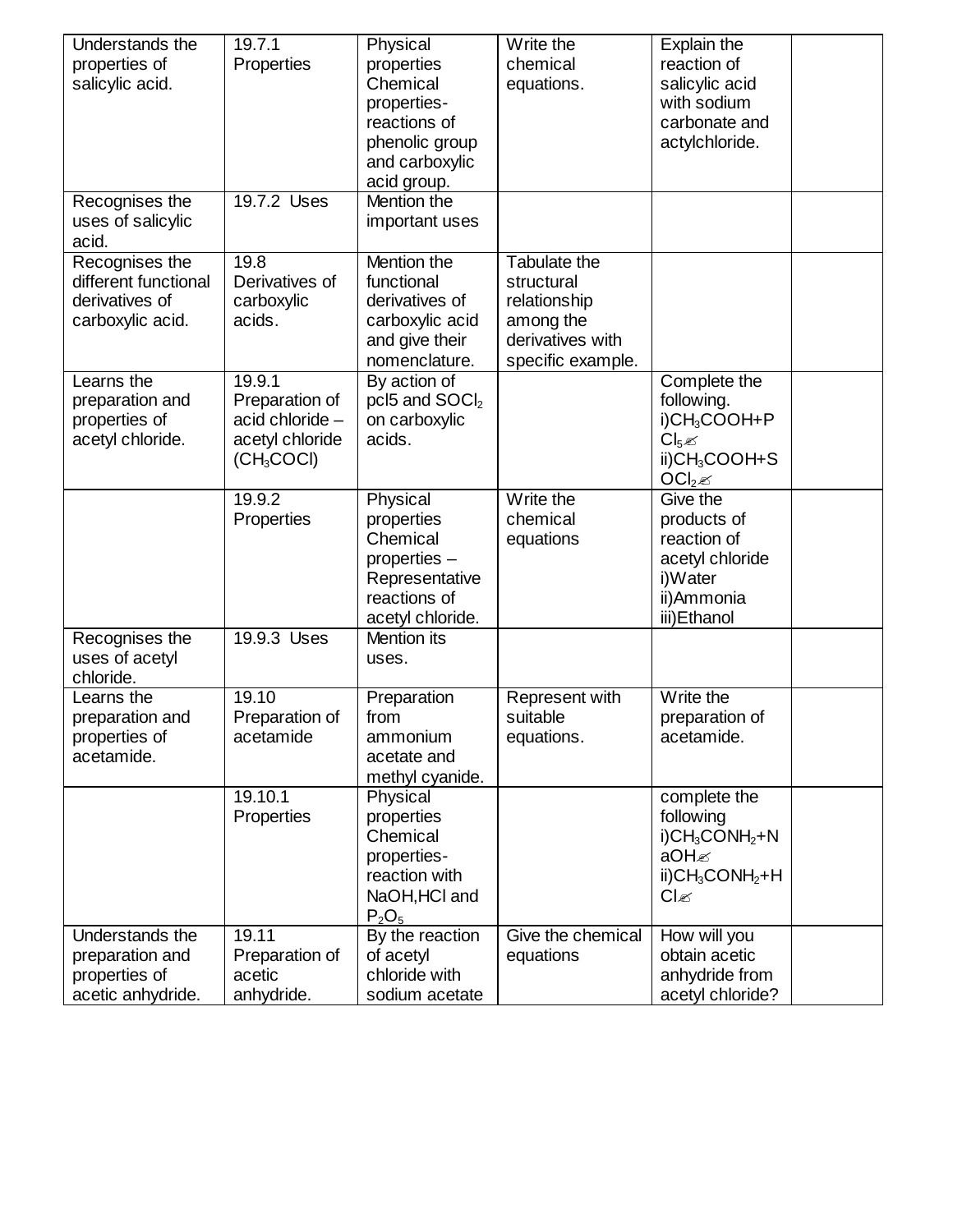| Understands the      | 19.7.1                 | Physical           | Write the         | Explain the                                |  |
|----------------------|------------------------|--------------------|-------------------|--------------------------------------------|--|
| properties of        | Properties             | properties         | chemical          | reaction of                                |  |
| salicylic acid.      |                        | Chemical           | equations.        | salicylic acid                             |  |
|                      |                        | properties-        |                   | with sodium                                |  |
|                      |                        | reactions of       |                   | carbonate and                              |  |
|                      |                        | phenolic group     |                   | actylchloride.                             |  |
|                      |                        | and carboxylic     |                   |                                            |  |
|                      |                        | acid group.        |                   |                                            |  |
| Recognises the       | 19.7.2 Uses            | Mention the        |                   |                                            |  |
| uses of salicylic    |                        | important uses     |                   |                                            |  |
| acid.                |                        |                    |                   |                                            |  |
| Recognises the       | 19.8                   | Mention the        | Tabulate the      |                                            |  |
| different functional | Derivatives of         | functional         | structural        |                                            |  |
| derivatives of       | carboxylic             | derivatives of     | relationship      |                                            |  |
| carboxylic acid.     | acids.                 | carboxylic acid    | among the         |                                            |  |
|                      |                        | and give their     | derivatives with  |                                            |  |
|                      |                        | nomenclature.      | specific example. |                                            |  |
| Learns the           | 19.9.1                 | By action of       |                   | Complete the                               |  |
| preparation and      | Preparation of         | pcl5 and $SOCl2$   |                   | following.                                 |  |
| properties of        | acid chloride -        | on carboxylic      |                   | i)CH <sub>3</sub> COOH+P                   |  |
| acetyl chloride.     | acetyl chloride        | acids.             |                   | $Cl_5 \mathscr{L}$                         |  |
|                      | (CH <sub>3</sub> COCl) |                    |                   | ii)CH <sub>3</sub> COOH+S                  |  |
|                      |                        |                    |                   | OCl <sub>2</sub>                           |  |
|                      | 19.9.2                 | Physical           | Write the         | Give the                                   |  |
|                      | Properties             | properties         | chemical          | products of                                |  |
|                      |                        | Chemical           | equations         | reaction of                                |  |
|                      |                        | properties -       |                   | acetyl chloride                            |  |
|                      |                        | Representative     |                   | i)Water                                    |  |
|                      |                        | reactions of       |                   | ii)Ammonia                                 |  |
|                      |                        | acetyl chloride.   |                   | iii) Ethanol                               |  |
| Recognises the       | 19.9.3 Uses            | <b>Mention</b> its |                   |                                            |  |
| uses of acetyl       |                        | uses.              |                   |                                            |  |
| chloride.            |                        |                    |                   |                                            |  |
| Learns the           | 19.10                  | Preparation        | Represent with    | Write the                                  |  |
| preparation and      | Preparation of         | from               | suitable          | preparation of                             |  |
| properties of        | acetamide              | ammonium           | equations.        | acetamide.                                 |  |
| acetamide.           |                        | acetate and        |                   |                                            |  |
|                      |                        | methyl cyanide.    |                   |                                            |  |
|                      | 19.10.1                | Physical           |                   | complete the                               |  |
|                      | Properties             | properties         |                   | following                                  |  |
|                      |                        | Chemical           |                   | $i)$ CH <sub>3</sub> CONH <sub>2</sub> +N  |  |
|                      |                        | properties-        |                   | aOH                                        |  |
|                      |                        | reaction with      |                   | $ii)$ CH <sub>3</sub> CONH <sub>2</sub> +H |  |
|                      |                        | NaOH, HCI and      |                   | $Cl_{\mathscr{C}}$                         |  |
|                      |                        | $P_2O_5$           |                   |                                            |  |
| Understands the      | 19.11                  | By the reaction    | Give the chemical | How will you                               |  |
| preparation and      | Preparation of         | of acetyl          | equations         | obtain acetic                              |  |
| properties of        | acetic                 | chloride with      |                   | anhydride from                             |  |
| acetic anhydride.    | anhydride.             | sodium acetate     |                   | acetyl chloride?                           |  |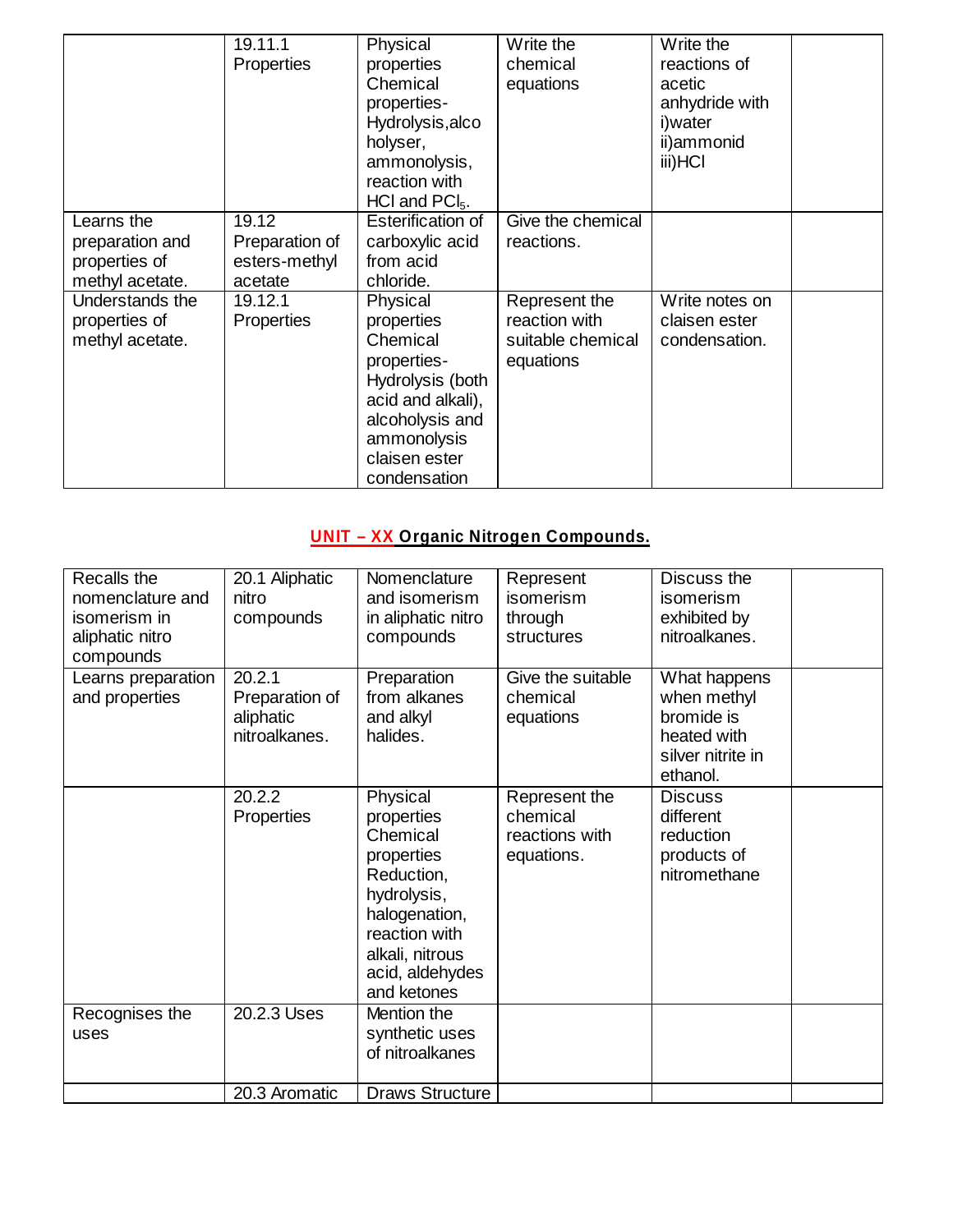|                                                                   | 19.11.1<br><b>Properties</b>                        | Physical<br>properties<br>Chemical<br>properties-<br>Hydrolysis, alco<br>holyser,<br>ammonolysis,<br>reaction with<br>$HCl$ and $PCl5$ .                      | Write the<br>chemical<br>equations                               | Write the<br>reactions of<br>acetic<br>anhydride with<br>i)water<br>ii)ammonid<br>iii)HCI |
|-------------------------------------------------------------------|-----------------------------------------------------|---------------------------------------------------------------------------------------------------------------------------------------------------------------|------------------------------------------------------------------|-------------------------------------------------------------------------------------------|
| Learns the<br>preparation and<br>properties of<br>methyl acetate. | 19.12<br>Preparation of<br>esters-methyl<br>acetate | Esterification of<br>carboxylic acid<br>from acid<br>chloride.                                                                                                | Give the chemical<br>reactions.                                  |                                                                                           |
| Understands the<br>properties of<br>methyl acetate.               | 19.12.1<br><b>Properties</b>                        | Physical<br>properties<br>Chemical<br>properties-<br>Hydrolysis (both<br>acid and alkali),<br>alcoholysis and<br>ammonolysis<br>claisen ester<br>condensation | Represent the<br>reaction with<br>suitable chemical<br>equations | Write notes on<br>claisen ester<br>condensation.                                          |

# **UNIT – XX Organic Nitrogen Compounds.**

| Recalls the<br>nomenclature and<br>isomerism in<br>aliphatic nitro<br>compounds | 20.1 Aliphatic<br>nitro<br>compounds                   | Nomenclature<br>and isomerism<br>in aliphatic nitro<br>compounds                                                                                                     | Represent<br><i>isomerism</i><br>through<br>structures    | Discuss the<br>isomerism<br>exhibited by<br>nitroalkanes.                                 |  |
|---------------------------------------------------------------------------------|--------------------------------------------------------|----------------------------------------------------------------------------------------------------------------------------------------------------------------------|-----------------------------------------------------------|-------------------------------------------------------------------------------------------|--|
| Learns preparation<br>and properties                                            | 20.2.1<br>Preparation of<br>aliphatic<br>nitroalkanes. | Preparation<br>from alkanes<br>and alkyl<br>halides.                                                                                                                 | Give the suitable<br>chemical<br>equations                | What happens<br>when methyl<br>bromide is<br>heated with<br>silver nitrite in<br>ethanol. |  |
|                                                                                 | 20.2.2<br><b>Properties</b>                            | Physical<br>properties<br>Chemical<br>properties<br>Reduction,<br>hydrolysis,<br>halogenation,<br>reaction with<br>alkali, nitrous<br>acid, aldehydes<br>and ketones | Represent the<br>chemical<br>reactions with<br>equations. | <b>Discuss</b><br>different<br>reduction<br>products of<br>nitromethane                   |  |
| Recognises the<br>uses                                                          | 20.2.3 Uses                                            | Mention the<br>synthetic uses<br>of nitroalkanes                                                                                                                     |                                                           |                                                                                           |  |
|                                                                                 | 20.3 Aromatic                                          | <b>Draws Structure</b>                                                                                                                                               |                                                           |                                                                                           |  |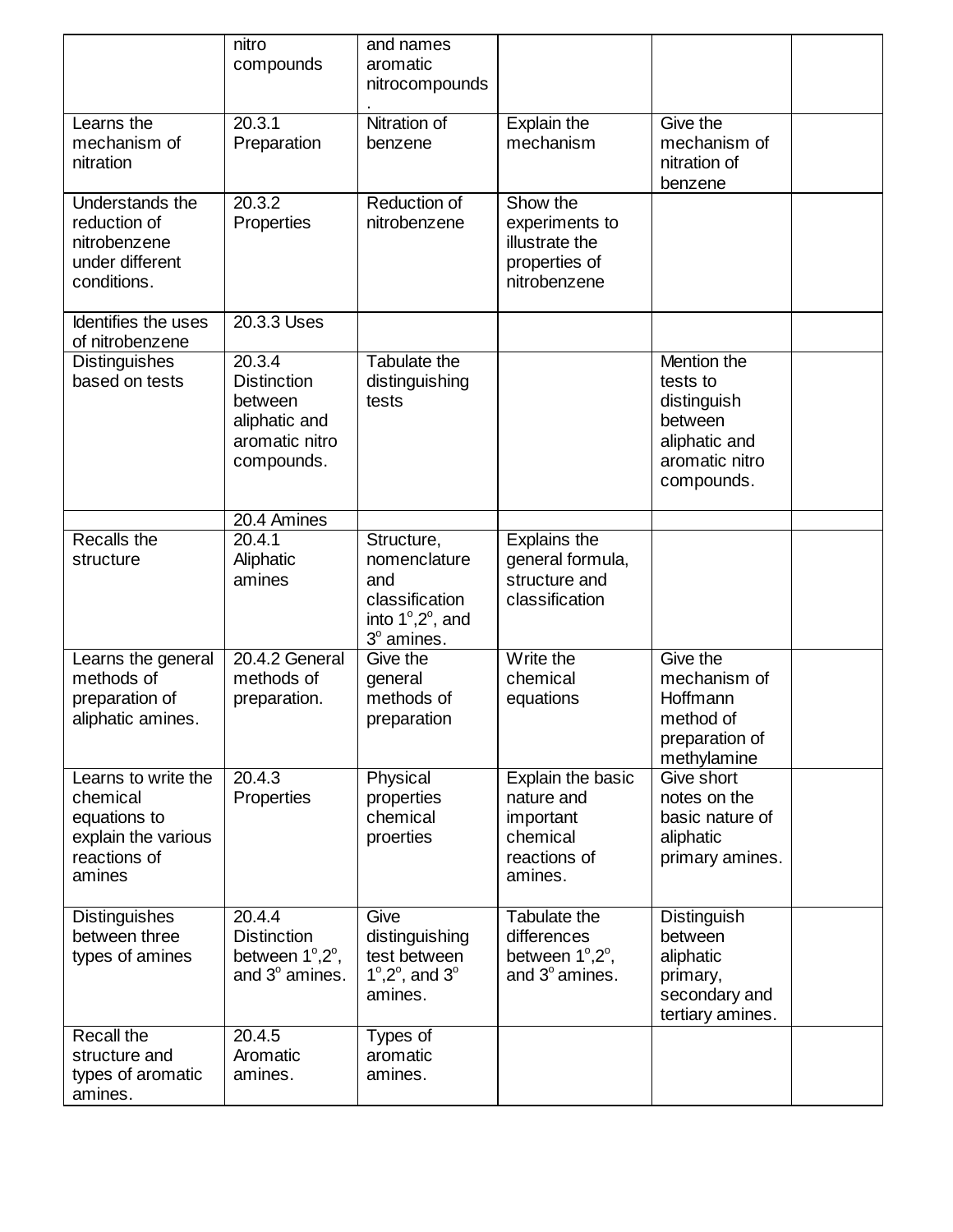|                                                                                                  | nitro<br>compounds                                                                       | and names<br>aromatic<br>nitrocompounds                                                       |                                                                                     |                                                                                                    |  |
|--------------------------------------------------------------------------------------------------|------------------------------------------------------------------------------------------|-----------------------------------------------------------------------------------------------|-------------------------------------------------------------------------------------|----------------------------------------------------------------------------------------------------|--|
| Learns the<br>mechanism of<br>nitration                                                          | 20.3.1<br>Preparation                                                                    | Nitration of<br>benzene                                                                       | Explain the<br>mechanism                                                            | Give the<br>mechanism of<br>nitration of<br>benzene                                                |  |
| <b>Understands the</b><br>reduction of<br>nitrobenzene<br>under different<br>conditions.         | $\overline{20.3.2}$<br>Properties                                                        | Reduction of<br>nitrobenzene                                                                  | Show the<br>experiments to<br>illustrate the<br>properties of<br>nitrobenzene       |                                                                                                    |  |
| Identifies the uses<br>of nitrobenzene                                                           | 20.3.3 Uses                                                                              |                                                                                               |                                                                                     |                                                                                                    |  |
| <b>Distinguishes</b><br>based on tests                                                           | 20.3.4<br><b>Distinction</b><br>between<br>aliphatic and<br>aromatic nitro<br>compounds. | Tabulate the<br>distinguishing<br>tests                                                       |                                                                                     | Mention the<br>tests to<br>distinguish<br>between<br>aliphatic and<br>aromatic nitro<br>compounds. |  |
|                                                                                                  | 20.4 Amines                                                                              |                                                                                               |                                                                                     |                                                                                                    |  |
| Recalls the<br>structure                                                                         | 20.4.1<br>Aliphatic<br>amines                                                            | Structure,<br>nomenclature<br>and<br>classification<br>into 1°,2°, and<br>3° amines.          | Explains the<br>general formula,<br>structure and<br>classification                 |                                                                                                    |  |
| Learns the general<br>methods of<br>preparation of<br>aliphatic amines.                          | 20.4.2 General<br>methods of<br>preparation.                                             | Give the<br>general<br>methods of<br>preparation                                              | Write the<br>chemical<br>equations                                                  | Give the<br>mechanism of<br>Hoffmann<br>method of<br>preparation of<br>methylamine                 |  |
| Learns to write the<br>chemical<br>equations to<br>explain the various<br>reactions of<br>amines | $\overline{20.4.3}$<br>Properties                                                        | Physical<br>properties<br>chemical<br>proerties                                               | Explain the basic<br>nature and<br>important<br>chemical<br>reactions of<br>amines. | Give short<br>notes on the<br>basic nature of<br>aliphatic<br>primary amines.                      |  |
| <b>Distinguishes</b><br>between three<br>types of amines                                         | 20.4.4<br><b>Distinction</b><br>between 1°,2°,<br>and 3° amines.                         | Give<br>distinguishing<br>test between<br>$1^{\circ}, 2^{\circ}$ , and $3^{\circ}$<br>amines. | Tabulate the<br>differences<br>between 1°,2°,<br>and $3^\circ$ amines.              | Distinguish<br>between<br>aliphatic<br>primary,<br>secondary and<br>tertiary amines.               |  |
| Recall the<br>structure and<br>types of aromatic<br>amines.                                      | 20.4.5<br>Aromatic<br>amines.                                                            | Types of<br>aromatic<br>amines.                                                               |                                                                                     |                                                                                                    |  |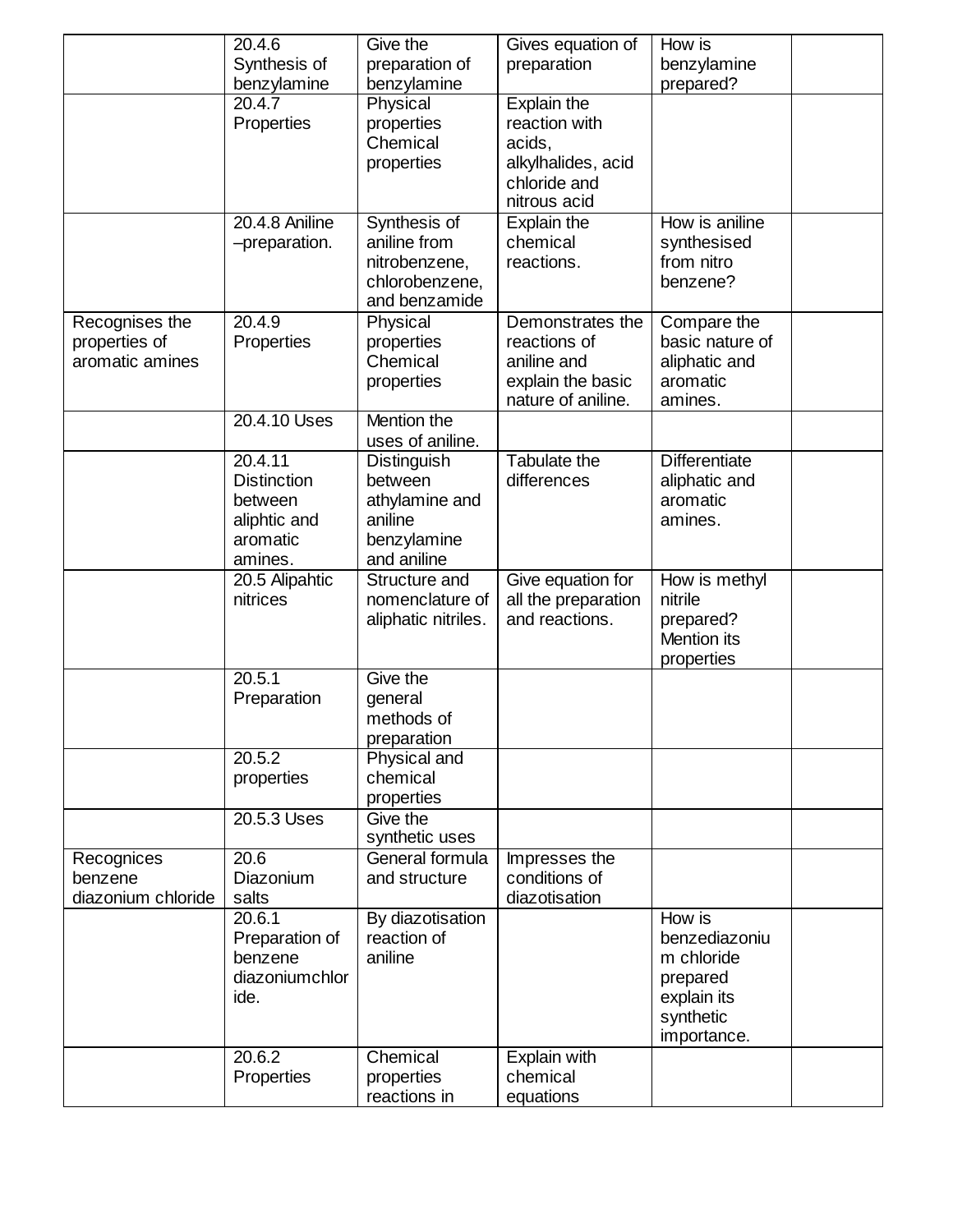|                    | 20.4.6             | Give the                    | Gives equation of   | How is               |  |
|--------------------|--------------------|-----------------------------|---------------------|----------------------|--|
|                    | Synthesis of       | preparation of              | preparation         | benzylamine          |  |
|                    | benzylamine        | benzylamine                 |                     | prepared?            |  |
|                    | 20.4.7             | Physical                    | Explain the         |                      |  |
|                    | Properties         | properties                  | reaction with       |                      |  |
|                    |                    | Chemical                    | acids,              |                      |  |
|                    |                    | properties                  | alkylhalides, acid  |                      |  |
|                    |                    |                             | chloride and        |                      |  |
|                    |                    |                             | nitrous acid        |                      |  |
|                    | 20.4.8 Aniline     | Synthesis of                | Explain the         | How is aniline       |  |
|                    | -preparation.      | aniline from                | chemical            | synthesised          |  |
|                    |                    | nitrobenzene,               | reactions.          | from nitro           |  |
|                    |                    | chlorobenzene,              |                     | benzene?             |  |
|                    |                    | and benzamide               |                     |                      |  |
| Recognises the     | 20.4.9             | Physical                    | Demonstrates the    | Compare the          |  |
| properties of      | Properties         | properties                  | reactions of        | basic nature of      |  |
| aromatic amines    |                    | Chemical                    | aniline and         | aliphatic and        |  |
|                    |                    | properties                  | explain the basic   | aromatic             |  |
|                    |                    |                             | nature of aniline.  | amines.              |  |
|                    | 20.4.10 Uses       | Mention the                 |                     |                      |  |
|                    |                    | uses of aniline.            |                     |                      |  |
|                    | 20.4.11            | Distinguish                 | <b>Tabulate the</b> | <b>Differentiate</b> |  |
|                    | <b>Distinction</b> | between                     | differences         | aliphatic and        |  |
|                    | between            | athylamine and              |                     | aromatic             |  |
|                    | aliphtic and       | aniline                     |                     | amines.              |  |
|                    | aromatic           | benzylamine                 |                     |                      |  |
|                    | amines.            | and aniline                 |                     |                      |  |
|                    | 20.5 Alipahtic     | Structure and               | Give equation for   | How is methyl        |  |
|                    | nitrices           | nomenclature of             | all the preparation | nitrile              |  |
|                    |                    | aliphatic nitriles.         | and reactions.      | prepared?            |  |
|                    |                    |                             |                     | Mention its          |  |
|                    | 20.5.1             | Give the                    |                     | properties           |  |
|                    |                    |                             |                     |                      |  |
|                    | Preparation        | general<br>methods of       |                     |                      |  |
|                    |                    |                             |                     |                      |  |
|                    | 20.5.2             | preparation<br>Physical and |                     |                      |  |
|                    | properties         | chemical                    |                     |                      |  |
|                    |                    | properties                  |                     |                      |  |
|                    | 20.5.3 Uses        | Give the                    |                     |                      |  |
|                    |                    | synthetic uses              |                     |                      |  |
| Recognices         | 20.6               | General formula             | Impresses the       |                      |  |
| benzene            | Diazonium          | and structure               | conditions of       |                      |  |
| diazonium chloride | salts              |                             | diazotisation       |                      |  |
|                    | 20.6.1             | By diazotisation            |                     | How is               |  |
|                    | Preparation of     | reaction of                 |                     | benzediazoniu        |  |
|                    | benzene            | aniline                     |                     | m chloride           |  |
|                    | diazoniumchlor     |                             |                     | prepared             |  |
|                    | ide.               |                             |                     | explain its          |  |
|                    |                    |                             |                     | synthetic            |  |
|                    |                    |                             |                     | importance.          |  |
|                    | 20.6.2             | Chemical                    | Explain with        |                      |  |
|                    | Properties         | properties                  | chemical            |                      |  |
|                    |                    | reactions in                | equations           |                      |  |
|                    |                    |                             |                     |                      |  |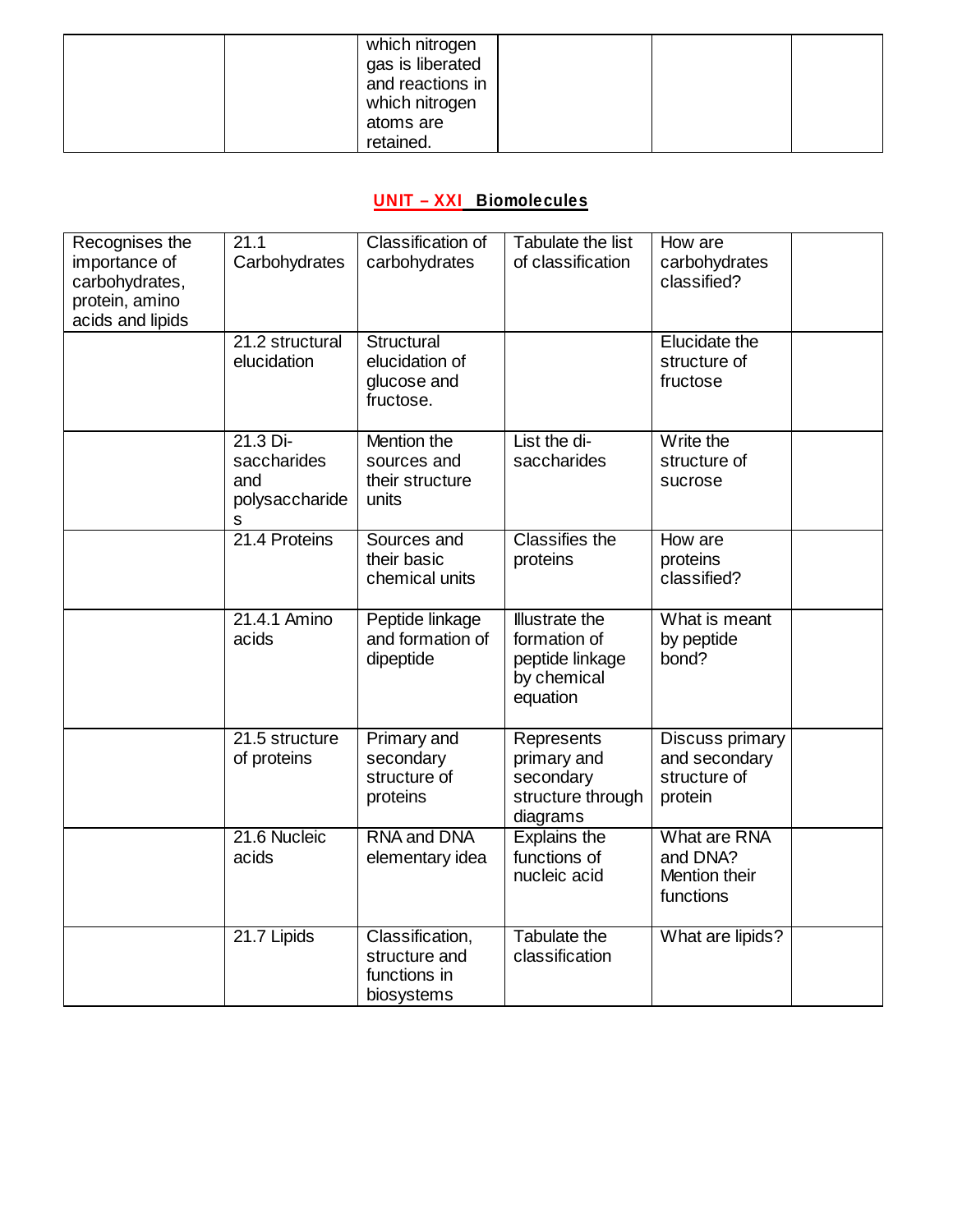| which nitrogen<br>gas is liberated<br>and reactions in<br>which nitrogen |  |  |
|--------------------------------------------------------------------------|--|--|
| atoms are                                                                |  |  |
| retained.                                                                |  |  |

# **UNIT – XXI Biomolecules**

| Recognises the   | 21.1            | Classification of  | Tabulate the list     | How are          |  |
|------------------|-----------------|--------------------|-----------------------|------------------|--|
| importance of    | Carbohydrates   | carbohydrates      | of classification     | carbohydrates    |  |
| carbohydrates,   |                 |                    |                       | classified?      |  |
| protein, amino   |                 |                    |                       |                  |  |
| acids and lipids |                 |                    |                       |                  |  |
|                  | 21.2 structural | Structural         |                       | Elucidate the    |  |
|                  | elucidation     | elucidation of     |                       | structure of     |  |
|                  |                 | glucose and        |                       | fructose         |  |
|                  |                 | fructose.          |                       |                  |  |
|                  |                 |                    |                       |                  |  |
|                  | 21.3 Di-        | Mention the        | List the di-          | Write the        |  |
|                  | saccharides     | sources and        | saccharides           | structure of     |  |
|                  | and             | their structure    |                       | sucrose          |  |
|                  | polysaccharide  | units              |                       |                  |  |
|                  | s               |                    |                       |                  |  |
|                  | 21.4 Proteins   | Sources and        | <b>Classifies the</b> | How are          |  |
|                  |                 | their basic        | proteins              | proteins         |  |
|                  |                 | chemical units     |                       | classified?      |  |
|                  |                 |                    |                       |                  |  |
|                  | 21.4.1 Amino    | Peptide linkage    | <b>Illustrate the</b> | What is meant    |  |
|                  | acids           | and formation of   | formation of          | by peptide       |  |
|                  |                 | dipeptide          | peptide linkage       | bond?            |  |
|                  |                 |                    | by chemical           |                  |  |
|                  |                 |                    | equation              |                  |  |
|                  |                 |                    |                       |                  |  |
|                  | 21.5 structure  | Primary and        | Represents            | Discuss primary  |  |
|                  | of proteins     | secondary          | primary and           | and secondary    |  |
|                  |                 | structure of       | secondary             | structure of     |  |
|                  |                 | proteins           | structure through     | protein          |  |
|                  |                 |                    | diagrams              |                  |  |
|                  | 21.6 Nucleic    | <b>RNA and DNA</b> | Explains the          | What are RNA     |  |
|                  | acids           | elementary idea    | functions of          | and DNA?         |  |
|                  |                 |                    | nucleic acid          | Mention their    |  |
|                  |                 |                    |                       | functions        |  |
|                  | 21.7 Lipids     | Classification,    | <b>Tabulate the</b>   | What are lipids? |  |
|                  |                 | structure and      | classification        |                  |  |
|                  |                 | functions in       |                       |                  |  |
|                  |                 | biosystems         |                       |                  |  |
|                  |                 |                    |                       |                  |  |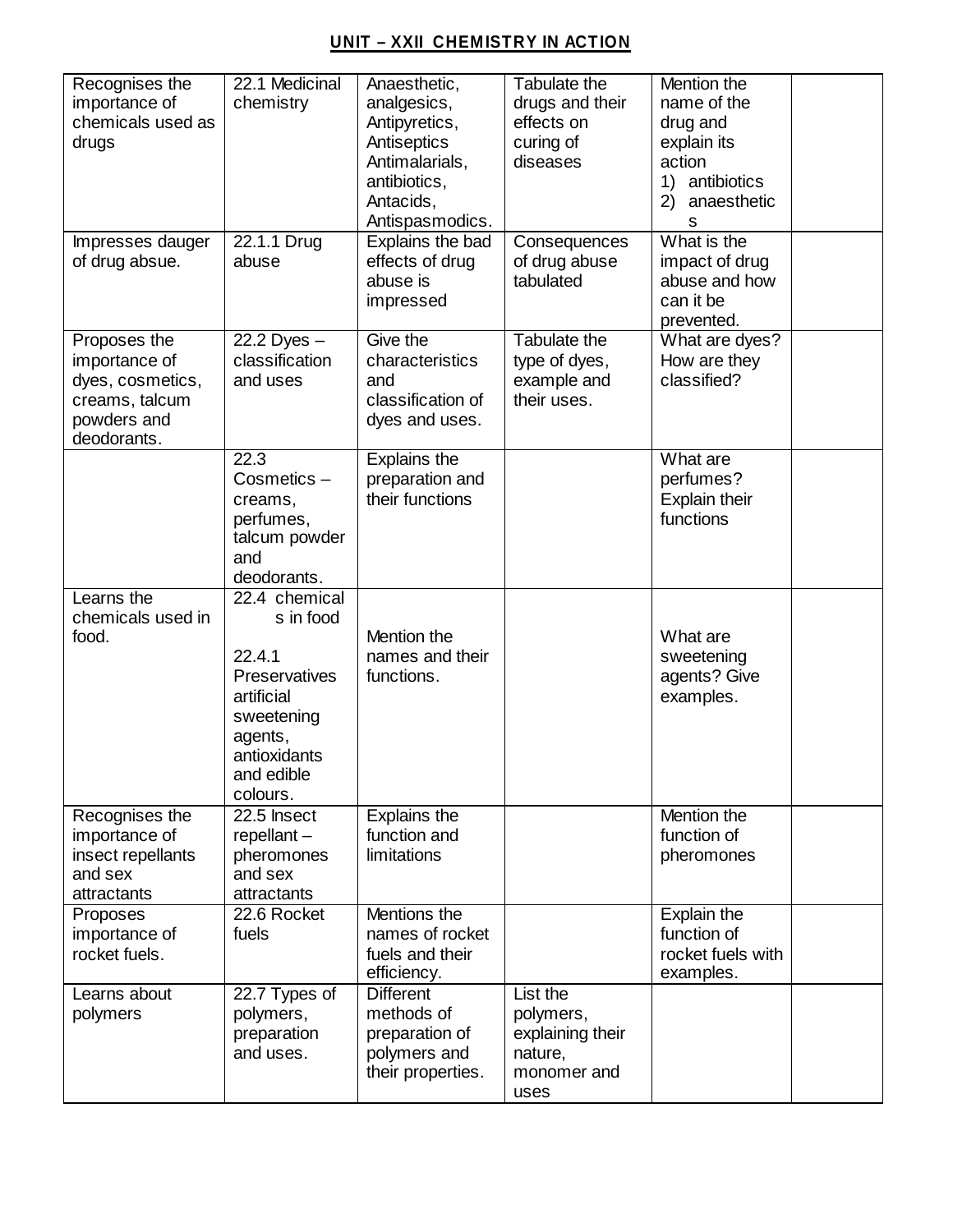### **UNIT – XXII CHEMISTRY IN ACTION**

| Recognises the<br>importance of<br>chemicals used as<br>drugs                                     | 22.1 Medicinal<br>chemistry                                                                                                            | Anaesthetic,<br>analgesics,<br>Antipyretics,<br>Antiseptics<br>Antimalarials,<br>antibiotics,<br>Antacids,<br>Antispasmodics. | Tabulate the<br>drugs and their<br>effects on<br>curing of<br>diseases      | Mention the<br>name of the<br>drug and<br>explain its<br>action<br>1)<br>antibiotics<br>2)<br>anaesthetic<br>s |  |
|---------------------------------------------------------------------------------------------------|----------------------------------------------------------------------------------------------------------------------------------------|-------------------------------------------------------------------------------------------------------------------------------|-----------------------------------------------------------------------------|----------------------------------------------------------------------------------------------------------------|--|
| Impresses dauger<br>of drug absue.                                                                | 22.1.1 Drug<br>abuse                                                                                                                   | Explains the bad<br>effects of drug<br>abuse is<br>impressed                                                                  | Consequences<br>of drug abuse<br>tabulated                                  | What is the<br>impact of drug<br>abuse and how<br>can it be<br>prevented.                                      |  |
| Proposes the<br>importance of<br>dyes, cosmetics,<br>creams, talcum<br>powders and<br>deodorants. | 22.2 Dyes $-$<br>classification<br>and uses                                                                                            | Give the<br>characteristics<br>and<br>classification of<br>dyes and uses.                                                     | <b>Tabulate the</b><br>type of dyes,<br>example and<br>their uses.          | What are dyes?<br>How are they<br>classified?                                                                  |  |
|                                                                                                   | 22.3<br>Cosmetics-<br>creams,<br>perfumes,<br>talcum powder<br>and<br>deodorants.                                                      | Explains the<br>preparation and<br>their functions                                                                            |                                                                             | What are<br>perfumes?<br><b>Explain their</b><br>functions                                                     |  |
| Learns the<br>chemicals used in<br>food.                                                          | 22.4 chemical<br>s in food<br>22.4.1<br>Preservatives<br>artificial<br>sweetening<br>agents,<br>antioxidants<br>and edible<br>colours. | Mention the<br>names and their<br>functions.                                                                                  |                                                                             | What are<br>sweetening<br>agents? Give<br>examples.                                                            |  |
| Recognises the<br>importance of<br>insect repellants<br>and sex<br>attractants                    | 22.5 Insect<br>$repellant -$<br>pheromones<br>and sex<br>attractants                                                                   | Explains the<br>function and<br>limitations                                                                                   |                                                                             | Mention the<br>function of<br>pheromones                                                                       |  |
| Proposes<br>importance of<br>rocket fuels.                                                        | 22.6 Rocket<br>fuels                                                                                                                   | Mentions the<br>names of rocket<br>fuels and their<br>efficiency.                                                             |                                                                             | Explain the<br>function of<br>rocket fuels with<br>examples.                                                   |  |
| Learns about<br>polymers                                                                          | 22.7 Types of<br>polymers,<br>preparation<br>and uses.                                                                                 | <b>Different</b><br>methods of<br>preparation of<br>polymers and<br>their properties.                                         | List the<br>polymers,<br>explaining their<br>nature,<br>monomer and<br>uses |                                                                                                                |  |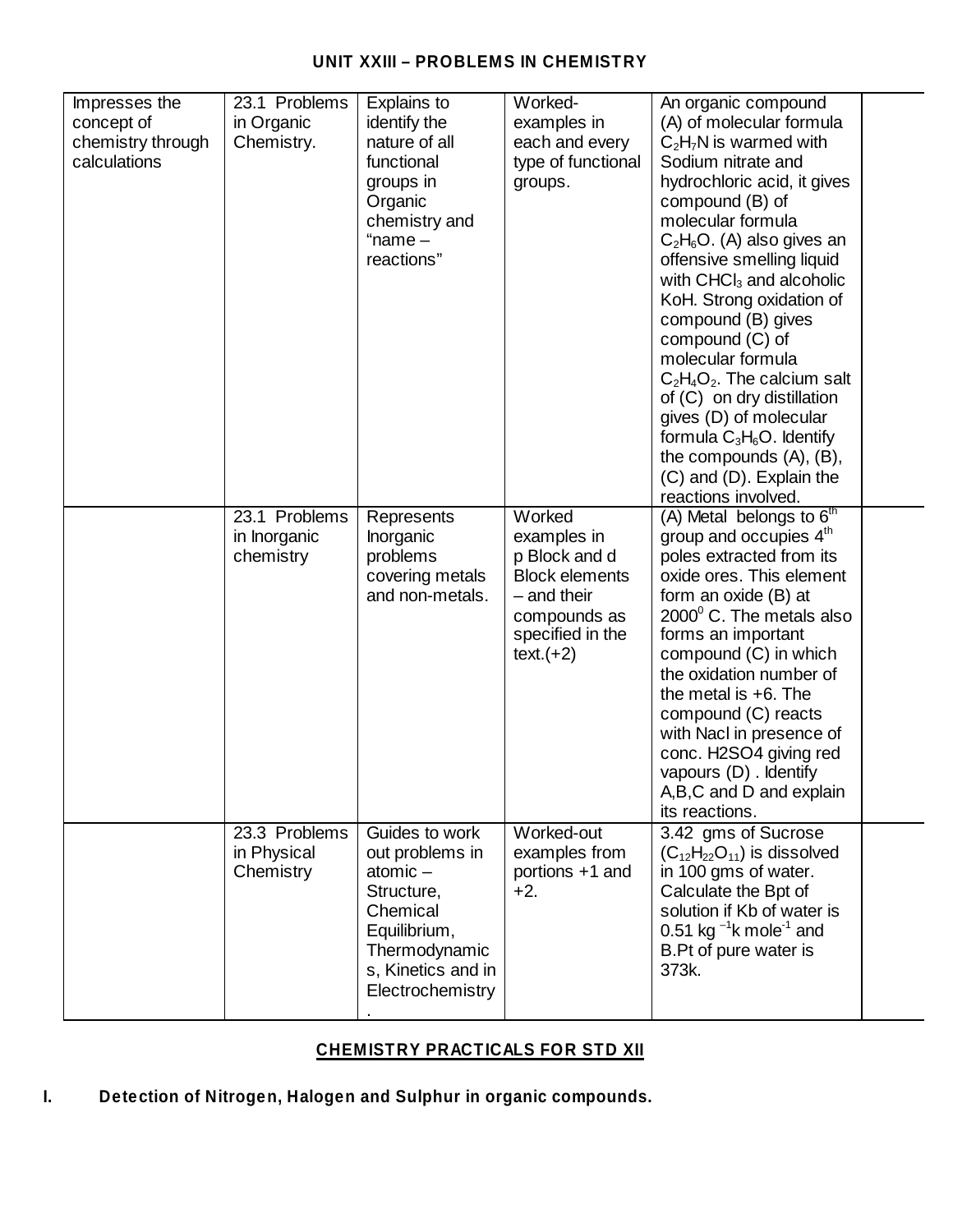### **UNIT XXIII – PROBLEMS IN CHEMISTRY**

| Impresses the     | 23.1 Problems | Explains to        | Worked-               | An organic compound                      |  |
|-------------------|---------------|--------------------|-----------------------|------------------------------------------|--|
| concept of        | in Organic    | identify the       | examples in           | (A) of molecular formula                 |  |
| chemistry through | Chemistry.    | nature of all      | each and every        | $C_2H_7N$ is warmed with                 |  |
| calculations      |               | functional         | type of functional    | Sodium nitrate and                       |  |
|                   |               | groups in          | groups.               | hydrochloric acid, it gives              |  |
|                   |               | Organic            |                       | compound (B) of                          |  |
|                   |               | chemistry and      |                       | molecular formula                        |  |
|                   |               | "name $-$          |                       | $C_2H_6O.$ (A) also gives an             |  |
|                   |               | reactions"         |                       | offensive smelling liquid                |  |
|                   |               |                    |                       | with $CHCl3$ and alcoholic               |  |
|                   |               |                    |                       | KoH. Strong oxidation of                 |  |
|                   |               |                    |                       | compound (B) gives                       |  |
|                   |               |                    |                       | compound (C) of                          |  |
|                   |               |                    |                       | molecular formula                        |  |
|                   |               |                    |                       | $C_2H_4O_2$ . The calcium salt           |  |
|                   |               |                    |                       | of (C) on dry distillation               |  |
|                   |               |                    |                       | gives (D) of molecular                   |  |
|                   |               |                    |                       | formula $C_3H_6O$ . Identify             |  |
|                   |               |                    |                       | the compounds $(A)$ , $(B)$ ,            |  |
|                   |               |                    |                       | (C) and (D). Explain the                 |  |
|                   |               |                    |                       | reactions involved.                      |  |
|                   | 23.1 Problems | Represents         | Worked                | (A) Metal belongs to 6 <sup>th</sup>     |  |
|                   | in Inorganic  | Inorganic          | examples in           | group and occupies 4 <sup>th</sup>       |  |
|                   | chemistry     | problems           | p Block and d         | poles extracted from its                 |  |
|                   |               | covering metals    | <b>Block elements</b> | oxide ores. This element                 |  |
|                   |               | and non-metals.    | $-$ and their         | form an oxide (B) at                     |  |
|                   |               |                    | compounds as          | $2000^{\circ}$ C. The metals also        |  |
|                   |               |                    | specified in the      | forms an important                       |  |
|                   |               |                    | $text.(+2)$           | compound (C) in which                    |  |
|                   |               |                    |                       | the oxidation number of                  |  |
|                   |               |                    |                       | the metal is $+6$ . The                  |  |
|                   |               |                    |                       | compound (C) reacts                      |  |
|                   |               |                    |                       | with Nacl in presence of                 |  |
|                   |               |                    |                       | conc. H2SO4 giving red                   |  |
|                   |               |                    |                       | vapours (D) . Identify                   |  |
|                   |               |                    |                       | A,B,C and D and explain                  |  |
|                   | 23.3 Problems | Guides to work     | Worked-out            | its reactions.<br>3.42 gms of Sucrose    |  |
|                   | in Physical   | out problems in    | examples from         | $(C_{12}H_{22}O_{11})$ is dissolved      |  |
|                   | Chemistry     | atomic $-$         | portions +1 and       | in 100 gms of water.                     |  |
|                   |               | Structure,         | $+2.$                 | Calculate the Bpt of                     |  |
|                   |               | Chemical           |                       | solution if Kb of water is               |  |
|                   |               | Equilibrium,       |                       | 0.51 kg $^{-1}$ k mole <sup>-1</sup> and |  |
|                   |               | Thermodynamic      |                       | B.Pt of pure water is                    |  |
|                   |               | s, Kinetics and in |                       | 373k.                                    |  |
|                   |               | Electrochemistry   |                       |                                          |  |
|                   |               |                    |                       |                                          |  |
|                   |               |                    |                       |                                          |  |

### **CHEMISTRY PRACTICALS FOR STD XII**

**I. Detection of Nitrogen, Halogen and Sulphur in organic compounds.**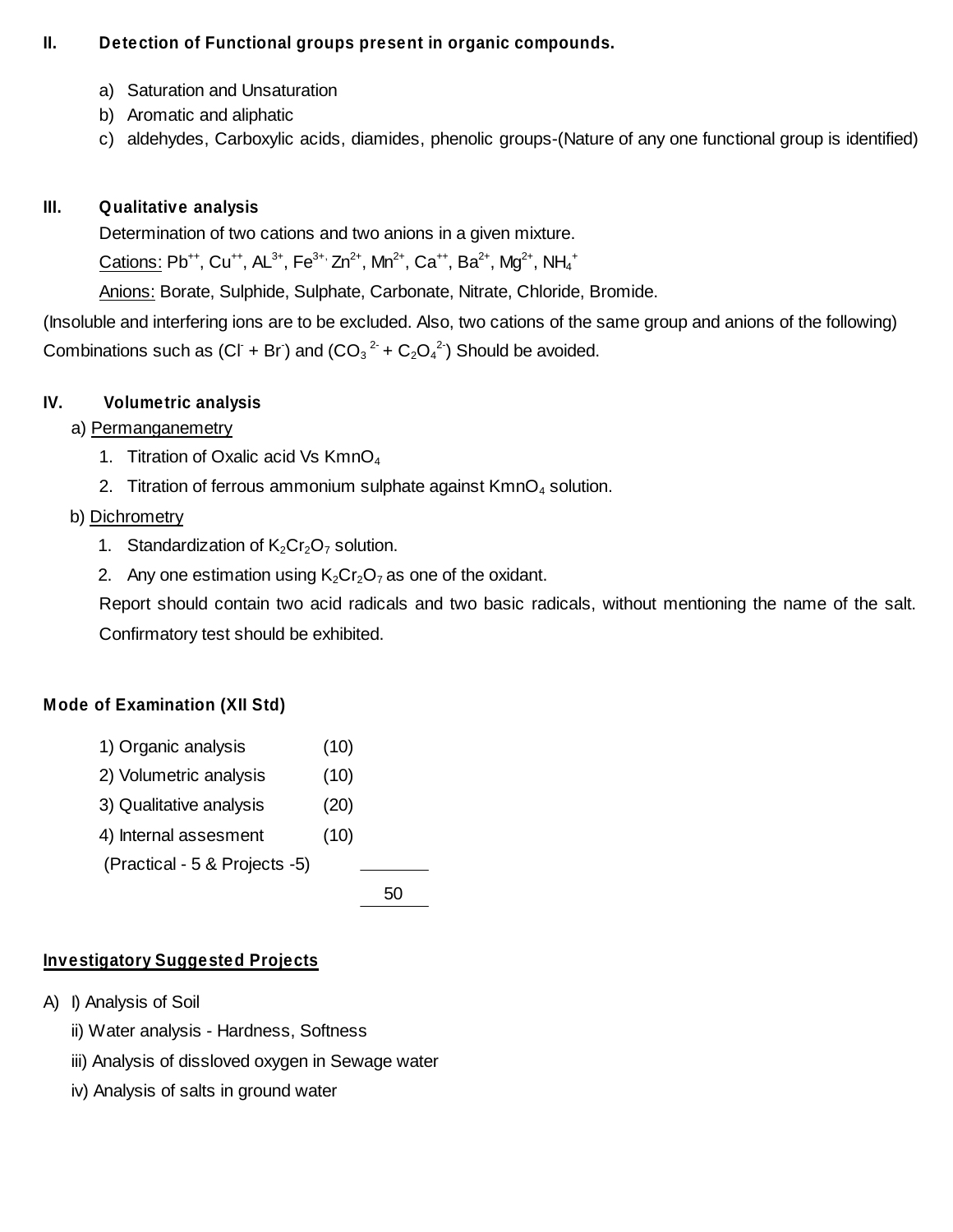### **II. Detection of Functional groups present in organic compounds.**

- a) Saturation and Unsaturation
- b) Aromatic and aliphatic
- c) aldehydes, Carboxylic acids, diamides, phenolic groups-(Nature of any one functional group is identified)

### **III. Qualitative analysis**

Determination of two cations and two anions in a given mixture.

 $\overline{\text{Cations}}: \textsf{Pb}^{++}, \textsf{Cu}^{++}, \textsf{AL}^{3+}, \textsf{Fe}^{3+}, \textsf{Zn}^{2+}, \textsf{Mn}^{2+}, \textsf{Ca}^{++}, \textsf{Ba}^{2+}, \textsf{Mg}^{2+}, \textsf{NH}_4^+$ 

Anions: Borate, Sulphide, Sulphate, Carbonate, Nitrate, Chloride, Bromide.

(Insoluble and interfering ions are to be excluded. Also, two cations of the same group and anions of the following) Combinations such as (CI + Br) and (CO<sub>3</sub><sup>2-</sup> + C<sub>2</sub>O<sub>4</sub><sup>2-</sup>) Should be avoided.

## **IV. Volumetric analysis**

### a) Permanganemetry

- 1. Titration of Oxalic acid Vs  $KmnO<sub>4</sub>$
- 2. Titration of ferrous ammonium sulphate against  $KmnO<sub>4</sub>$  solution.

### b) Dichrometry

- 1. Standardization of  $K_2Cr_2O_7$  solution.
- 2. Any one estimation using  $K_2Cr_2O_7$  as one of the oxidant.

Report should contain two acid radicals and two basic radicals, without mentioning the name of the salt. Confirmatory test should be exhibited.

### **Mode of Examination (XII Std)**

- 1) Organic analysis (10)
- 2) Volumetric analysis (10)
- 3) Qualitative analysis (20)
- 4) Internal assesment (10)

(Practical - 5 & Projects -5)

50

## **Investigatory Suggested Projects**

- A) I) Analysis of Soil
	- ii) Water analysis Hardness, Softness
	- iii) Analysis of dissloved oxygen in Sewage water
	- iv) Analysis of salts in ground water